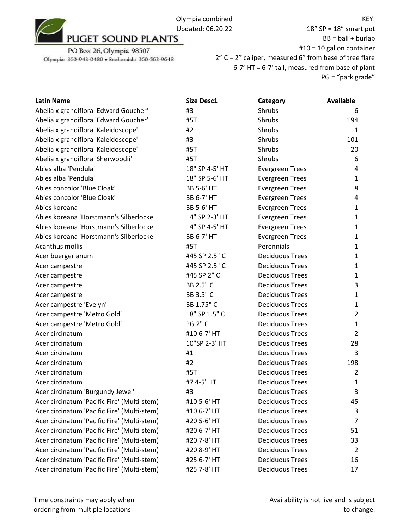

18" SP = 18" smart pot  $BB = ball + burlap$ #10 = 10 gallon container 2" C = 2" caliper, measured 6" from base of tree flare 6-7' HT = 6-7' tall, measured from base of plant PG = "park grade"

| <b>Latin Name</b>                           | <b>Size Desc1</b> | Category               | <b>Available</b> |
|---------------------------------------------|-------------------|------------------------|------------------|
| Abelia x grandiflora 'Edward Goucher'       | #3                | Shrubs                 | 6                |
| Abelia x grandiflora 'Edward Goucher'       | #5T               | Shrubs                 | 194              |
| Abelia x grandiflora 'Kaleidoscope'         | #2                | Shrubs                 | $\mathbf{1}$     |
| Abelia x grandiflora 'Kaleidoscope'         | #3                | Shrubs                 | 101              |
| Abelia x grandiflora 'Kaleidoscope'         | #5T               | Shrubs                 | 20               |
| Abelia x grandiflora 'Sherwoodii'           | #5T               | Shrubs                 | 6                |
| Abies alba 'Pendula'                        | 18" SP 4-5' HT    | <b>Evergreen Trees</b> | 4                |
| Abies alba 'Pendula'                        | 18" SP 5-6' HT    | <b>Evergreen Trees</b> | $\mathbf{1}$     |
| Abies concolor 'Blue Cloak'                 | <b>BB 5-6' HT</b> | <b>Evergreen Trees</b> | 8                |
| Abies concolor 'Blue Cloak'                 | <b>BB 6-7' HT</b> | <b>Evergreen Trees</b> | 4                |
| Abies koreana                               | <b>BB 5-6' HT</b> | <b>Evergreen Trees</b> | 1                |
| Abies koreana 'Horstmann's Silberlocke'     | 14" SP 2-3' HT    | <b>Evergreen Trees</b> | $\mathbf{1}$     |
| Abies koreana 'Horstmann's Silberlocke'     | 14" SP 4-5' HT    | <b>Evergreen Trees</b> | $\mathbf{1}$     |
| Abies koreana 'Horstmann's Silberlocke'     | <b>BB 6-7' HT</b> | <b>Evergreen Trees</b> | 1                |
| Acanthus mollis                             | #5T               | Perennials             | $\mathbf{1}$     |
| Acer buergerianum                           | #45 SP 2.5" C     | <b>Deciduous Trees</b> | 1                |
| Acer campestre                              | #45 SP 2.5" C     | <b>Deciduous Trees</b> | $\mathbf{1}$     |
| Acer campestre                              | #45 SP 2" C       | <b>Deciduous Trees</b> | 1                |
| Acer campestre                              | BB 2.5" C         | <b>Deciduous Trees</b> | 3                |
| Acer campestre                              | BB 3.5" C         | <b>Deciduous Trees</b> | 1                |
| Acer campestre 'Evelyn'                     | BB 1.75" C        | <b>Deciduous Trees</b> | 1                |
| Acer campestre 'Metro Gold'                 | 18" SP 1.5" C     | <b>Deciduous Trees</b> | $\overline{2}$   |
| Acer campestre 'Metro Gold'                 | <b>PG 2" C</b>    | <b>Deciduous Trees</b> | $\mathbf{1}$     |
| Acer circinatum                             | #10 6-7' HT       | <b>Deciduous Trees</b> | $\overline{2}$   |
| Acer circinatum                             | 10"SP 2-3' HT     | <b>Deciduous Trees</b> | 28               |
| Acer circinatum                             | #1                | <b>Deciduous Trees</b> | 3                |
| Acer circinatum                             | #2                | <b>Deciduous Trees</b> | 198              |
| Acer circinatum                             | #5T               | <b>Deciduous Trees</b> | $\overline{2}$   |
| Acer circinatum                             | #7 4-5' HT        | <b>Deciduous Trees</b> | $\mathbf{1}$     |
| Acer circinatum 'Burgundy Jewel'            | #3                | <b>Deciduous Trees</b> | 3                |
| Acer circinatum 'Pacific Fire' (Multi-stem) | #10 5-6' HT       | <b>Deciduous Trees</b> | 45               |
| Acer circinatum 'Pacific Fire' (Multi-stem) | #10 6-7' HT       | <b>Deciduous Trees</b> | 3                |
| Acer circinatum 'Pacific Fire' (Multi-stem) | #20 5-6' HT       | <b>Deciduous Trees</b> | 7                |
| Acer circinatum 'Pacific Fire' (Multi-stem) | #20 6-7' HT       | <b>Deciduous Trees</b> | 51               |
| Acer circinatum 'Pacific Fire' (Multi-stem) | #20 7-8' HT       | <b>Deciduous Trees</b> | 33               |
| Acer circinatum 'Pacific Fire' (Multi-stem) | #20 8-9' HT       | <b>Deciduous Trees</b> | 2                |
| Acer circinatum 'Pacific Fire' (Multi-stem) | #25 6-7' HT       | <b>Deciduous Trees</b> | 16               |
| Acer circinatum 'Pacific Fire' (Multi-stem) | #25 7-8' HT       | <b>Deciduous Trees</b> | 17               |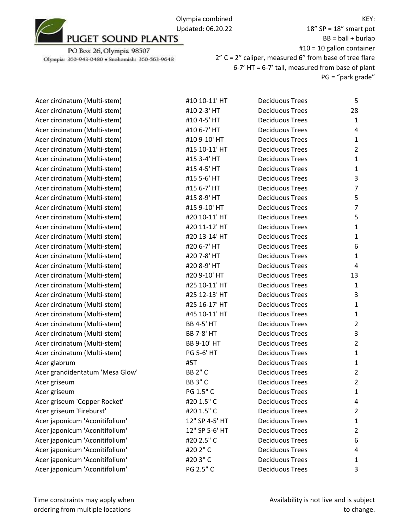Olympia combined Updated: 06.20.22<br>PUGET SOUND PLANTS

PO Box 26, Olympia 98507 Olympia: 360-943-0480 · Snohomish: 360-563-9648

| Acer circinatum (Multi-stem)    | #10 10-11' HT     | <b>Deciduous Trees</b> | 5                       |
|---------------------------------|-------------------|------------------------|-------------------------|
| Acer circinatum (Multi-stem)    | #10 2-3' HT       | <b>Deciduous Trees</b> | 28                      |
| Acer circinatum (Multi-stem)    | #10 4-5' HT       | <b>Deciduous Trees</b> | $\mathbf{1}$            |
| Acer circinatum (Multi-stem)    | #10 6-7' HT       | <b>Deciduous Trees</b> | 4                       |
| Acer circinatum (Multi-stem)    | #10 9-10' HT      | <b>Deciduous Trees</b> | 1                       |
| Acer circinatum (Multi-stem)    | #15 10-11' HT     | <b>Deciduous Trees</b> | $\overline{c}$          |
| Acer circinatum (Multi-stem)    | #15 3-4' HT       | <b>Deciduous Trees</b> | 1                       |
| Acer circinatum (Multi-stem)    | #15 4-5' HT       | <b>Deciduous Trees</b> | 1                       |
| Acer circinatum (Multi-stem)    | #15 5-6' HT       | <b>Deciduous Trees</b> | 3                       |
| Acer circinatum (Multi-stem)    | #15 6-7' HT       | <b>Deciduous Trees</b> | 7                       |
| Acer circinatum (Multi-stem)    | #15 8-9' HT       | <b>Deciduous Trees</b> | 5                       |
| Acer circinatum (Multi-stem)    | #15 9-10' HT      | <b>Deciduous Trees</b> | 7                       |
| Acer circinatum (Multi-stem)    | #20 10-11' HT     | <b>Deciduous Trees</b> | 5                       |
| Acer circinatum (Multi-stem)    | #20 11-12' HT     | <b>Deciduous Trees</b> | 1                       |
| Acer circinatum (Multi-stem)    | #20 13-14' HT     | <b>Deciduous Trees</b> | 1                       |
| Acer circinatum (Multi-stem)    | #20 6-7' HT       | <b>Deciduous Trees</b> | 6                       |
| Acer circinatum (Multi-stem)    | #20 7-8' HT       | <b>Deciduous Trees</b> | $\mathbf{1}$            |
| Acer circinatum (Multi-stem)    | #20 8-9' HT       | <b>Deciduous Trees</b> | $\overline{4}$          |
| Acer circinatum (Multi-stem)    | #20 9-10' HT      | <b>Deciduous Trees</b> | 13                      |
| Acer circinatum (Multi-stem)    | #25 10-11' HT     | <b>Deciduous Trees</b> | 1                       |
| Acer circinatum (Multi-stem)    | #25 12-13' HT     | <b>Deciduous Trees</b> | 3                       |
| Acer circinatum (Multi-stem)    | #25 16-17' HT     | <b>Deciduous Trees</b> | 1                       |
| Acer circinatum (Multi-stem)    | #45 10-11' HT     | <b>Deciduous Trees</b> | $\mathbf{1}$            |
| Acer circinatum (Multi-stem)    | <b>BB 4-5' HT</b> | <b>Deciduous Trees</b> | $\overline{c}$          |
| Acer circinatum (Multi-stem)    | <b>BB 7-8' HT</b> | <b>Deciduous Trees</b> | 3                       |
| Acer circinatum (Multi-stem)    | BB 9-10' HT       | <b>Deciduous Trees</b> | $\overline{c}$          |
| Acer circinatum (Multi-stem)    | PG 5-6' HT        | <b>Deciduous Trees</b> | $\mathbf{1}$            |
| Acer glabrum                    | #5T               | <b>Deciduous Trees</b> | $\mathbf{1}$            |
| Acer grandidentatum 'Mesa Glow' | <b>BB 2" C</b>    | <b>Deciduous Trees</b> | $\overline{\mathbf{c}}$ |
| Acer griseum                    | <b>BB 3" C</b>    | <b>Deciduous Trees</b> | $\overline{2}$          |
| Acer griseum                    | PG 1.5" C         | <b>Deciduous Trees</b> | 1                       |
| Acer griseum 'Copper Rocket'    | #20 1.5" C        | <b>Deciduous Trees</b> | 4                       |
| Acer griseum 'Fireburst'        | #20 1.5" C        | <b>Deciduous Trees</b> | $\overline{c}$          |
| Acer japonicum 'Aconitifolium'  | 12" SP 4-5' HT    | <b>Deciduous Trees</b> | 1                       |
| Acer japonicum 'Aconitifolium'  | 12" SP 5-6' HT    | <b>Deciduous Trees</b> | $\overline{c}$          |
| Acer japonicum 'Aconitifolium'  | #20 2.5" C        | <b>Deciduous Trees</b> | 6                       |
| Acer japonicum 'Aconitifolium'  | #20 2" C          | <b>Deciduous Trees</b> | 4                       |
| Acer japonicum 'Aconitifolium'  | #203"C            | <b>Deciduous Trees</b> | 1                       |
| Acer japonicum 'Aconitifolium'  | PG 2.5" C         | <b>Deciduous Trees</b> | 3                       |
|                                 |                   |                        |                         |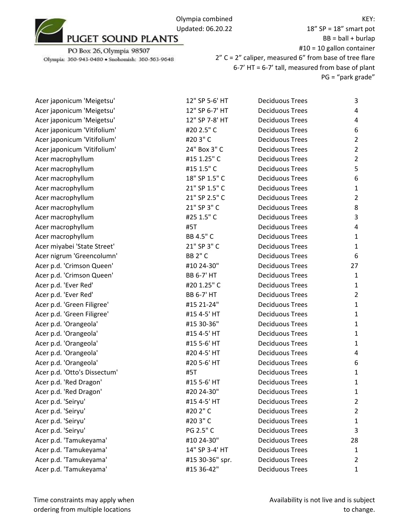

PO Box 26, Olympia 98507 Olympia: 360-943-0480 · Snohomish: 360-563-9648

| Acer japonicum 'Meigetsu'    | 12" SP 5-6' HT    | <b>Deciduous Trees</b> | 3              |
|------------------------------|-------------------|------------------------|----------------|
| Acer japonicum 'Meigetsu'    | 12" SP 6-7' HT    | <b>Deciduous Trees</b> | 4              |
| Acer japonicum 'Meigetsu'    | 12" SP 7-8' HT    | <b>Deciduous Trees</b> | 4              |
| Acer japonicum 'Vitifolium'  | #20 2.5" C        | <b>Deciduous Trees</b> | 6              |
| Acer japonicum 'Vitifolium'  | #203"C            | <b>Deciduous Trees</b> | $\overline{2}$ |
| Acer japonicum 'Vitifolium'  | 24" Box 3" C      | <b>Deciduous Trees</b> | $\overline{2}$ |
| Acer macrophyllum            | #15 1.25" C       | <b>Deciduous Trees</b> | $\overline{2}$ |
| Acer macrophyllum            | #15 1.5" C        | <b>Deciduous Trees</b> | 5              |
| Acer macrophyllum            | 18" SP 1.5" C     | <b>Deciduous Trees</b> | 6              |
| Acer macrophyllum            | 21" SP 1.5" C     | <b>Deciduous Trees</b> | $\mathbf{1}$   |
| Acer macrophyllum            | 21" SP 2.5" C     | <b>Deciduous Trees</b> | $\overline{2}$ |
| Acer macrophyllum            | 21" SP 3" C       | <b>Deciduous Trees</b> | 8              |
| Acer macrophyllum            | #25 1.5" C        | <b>Deciduous Trees</b> | 3              |
| Acer macrophyllum            | #5T               | <b>Deciduous Trees</b> | 4              |
| Acer macrophyllum            | BB 4.5" C         | <b>Deciduous Trees</b> | $\mathbf{1}$   |
| Acer miyabei 'State Street'  | 21" SP 3" C       | <b>Deciduous Trees</b> | $\mathbf{1}$   |
| Acer nigrum 'Greencolumn'    | <b>BB 2" C</b>    | <b>Deciduous Trees</b> | 6              |
| Acer p.d. 'Crimson Queen'    | #10 24-30"        | <b>Deciduous Trees</b> | 27             |
| Acer p.d. 'Crimson Queen'    | <b>BB 6-7' HT</b> | <b>Deciduous Trees</b> | $\mathbf{1}$   |
| Acer p.d. 'Ever Red'         | #20 1.25" C       | <b>Deciduous Trees</b> | $\mathbf{1}$   |
| Acer p.d. 'Ever Red'         | <b>BB 6-7' HT</b> | <b>Deciduous Trees</b> | $\overline{2}$ |
| Acer p.d. 'Green Filigree'   | #15 21-24"        | <b>Deciduous Trees</b> | $\mathbf{1}$   |
| Acer p.d. 'Green Filigree'   | #15 4-5' HT       | <b>Deciduous Trees</b> | $\mathbf{1}$   |
| Acer p.d. 'Orangeola'        | #15 30-36"        | <b>Deciduous Trees</b> | $\mathbf{1}$   |
| Acer p.d. 'Orangeola'        | #15 4-5' HT       | <b>Deciduous Trees</b> | $\mathbf{1}$   |
| Acer p.d. 'Orangeola'        | #15 5-6' HT       | <b>Deciduous Trees</b> | $\mathbf{1}$   |
| Acer p.d. 'Orangeola'        | #20 4-5' HT       | <b>Deciduous Trees</b> | 4              |
| Acer p.d. 'Orangeola'        | #20 5-6' HT       | <b>Deciduous Trees</b> | 6              |
| Acer p.d. 'Otto's Dissectum' | #5T               | <b>Deciduous Trees</b> | $\mathbf{1}$   |
| Acer p.d. 'Red Dragon'       | #15 5-6' HT       | <b>Deciduous Trees</b> | $\mathbf{1}$   |
| Acer p.d. 'Red Dragon'       | #20 24-30"        | <b>Deciduous Trees</b> | $\mathbf{1}$   |
| Acer p.d. 'Seiryu'           | #15 4-5' HT       | <b>Deciduous Trees</b> | 2              |
| Acer p.d. 'Seiryu'           | #202"C            | <b>Deciduous Trees</b> | $\overline{2}$ |
| Acer p.d. 'Seiryu'           | #203"C            | <b>Deciduous Trees</b> | 1              |
| Acer p.d. 'Seiryu'           | PG 2.5" C         | <b>Deciduous Trees</b> | 3              |
| Acer p.d. 'Tamukeyama'       | #10 24-30"        | <b>Deciduous Trees</b> | 28             |
| Acer p.d. 'Tamukeyama'       | 14" SP 3-4' HT    | <b>Deciduous Trees</b> | $\mathbf{1}$   |
| Acer p.d. 'Tamukeyama'       | #15 30-36" spr.   | <b>Deciduous Trees</b> | 2              |
| Acer p.d. 'Tamukeyama'       | #15 36-42"        | <b>Deciduous Trees</b> | $\mathbf{1}$   |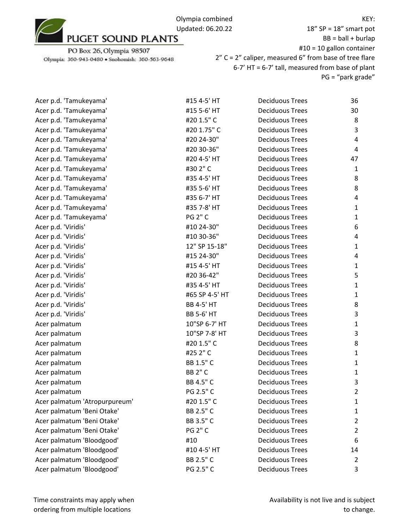

PO Box 26, Olympia 98507 Olympia: 360-943-0480 · Snohomish: 360-563-9648

18" SP = 18" smart pot  $BB = ball + burlap$ #10 = 10 gallon container 2" C = 2" caliper, measured 6" from base of tree flare 6-7' HT = 6-7' tall, measured from base of plant PG = "park grade"

| Acer p.d. 'Tamukeyama'        | #15 4-5' HT       | <b>Deciduous Trees</b> | 36             |
|-------------------------------|-------------------|------------------------|----------------|
| Acer p.d. 'Tamukeyama'        | #15 5-6' HT       | <b>Deciduous Trees</b> | 30             |
| Acer p.d. 'Tamukeyama'        | #20 1.5" C        | <b>Deciduous Trees</b> | 8              |
| Acer p.d. 'Tamukeyama'        | #20 1.75" C       | <b>Deciduous Trees</b> | 3              |
| Acer p.d. 'Tamukeyama'        | #20 24-30"        | <b>Deciduous Trees</b> | 4              |
| Acer p.d. 'Tamukeyama'        | #20 30-36"        | <b>Deciduous Trees</b> | 4              |
| Acer p.d. 'Tamukeyama'        | #20 4-5' HT       | <b>Deciduous Trees</b> | 47             |
| Acer p.d. 'Tamukeyama'        | #30 2" C          | <b>Deciduous Trees</b> | $\mathbf{1}$   |
| Acer p.d. 'Tamukeyama'        | #35 4-5' HT       | <b>Deciduous Trees</b> | 8              |
| Acer p.d. 'Tamukeyama'        | #35 5-6' HT       | <b>Deciduous Trees</b> | 8              |
| Acer p.d. 'Tamukeyama'        | #35 6-7' HT       | <b>Deciduous Trees</b> | 4              |
| Acer p.d. 'Tamukeyama'        | #35 7-8' HT       | <b>Deciduous Trees</b> | $\mathbf{1}$   |
| Acer p.d. 'Tamukeyama'        | <b>PG 2" C</b>    | <b>Deciduous Trees</b> | $\mathbf{1}$   |
| Acer p.d. 'Viridis'           | #10 24-30"        | <b>Deciduous Trees</b> | 6              |
| Acer p.d. 'Viridis'           | #10 30-36"        | <b>Deciduous Trees</b> | 4              |
| Acer p.d. 'Viridis'           | 12" SP 15-18"     | <b>Deciduous Trees</b> | $\mathbf{1}$   |
| Acer p.d. 'Viridis'           | #15 24-30"        | <b>Deciduous Trees</b> | 4              |
| Acer p.d. 'Viridis'           | #15 4-5' HT       | <b>Deciduous Trees</b> | $\mathbf{1}$   |
| Acer p.d. 'Viridis'           | #20 36-42"        | <b>Deciduous Trees</b> | 5              |
| Acer p.d. 'Viridis'           | #35 4-5' HT       | <b>Deciduous Trees</b> | $\mathbf{1}$   |
| Acer p.d. 'Viridis'           | #65 SP 4-5' HT    | <b>Deciduous Trees</b> | $\mathbf{1}$   |
| Acer p.d. 'Viridis'           | <b>BB 4-5' HT</b> | <b>Deciduous Trees</b> | 8              |
| Acer p.d. 'Viridis'           | <b>BB 5-6' HT</b> | <b>Deciduous Trees</b> | 3              |
| Acer palmatum                 | 10"SP 6-7' HT     | <b>Deciduous Trees</b> | $\mathbf{1}$   |
| Acer palmatum                 | 10"SP 7-8' HT     | <b>Deciduous Trees</b> | 3              |
| Acer palmatum                 | #20 1.5" C        | <b>Deciduous Trees</b> | 8              |
| Acer palmatum                 | #25 2" C          | <b>Deciduous Trees</b> | $\mathbf{1}$   |
| Acer palmatum                 | BB 1.5" C         | <b>Deciduous Trees</b> | $\mathbf{1}$   |
| Acer palmatum                 | <b>BB 2" C</b>    | <b>Deciduous Trees</b> | $\mathbf{1}$   |
| Acer palmatum                 | BB 4.5" C         | <b>Deciduous Trees</b> | 3              |
| Acer palmatum                 | PG 2.5" C         | <b>Deciduous Trees</b> | $\overline{2}$ |
| Acer palmatum 'Atropurpureum' | #20 1.5" C        | <b>Deciduous Trees</b> | 1              |
| Acer palmatum 'Beni Otake'    | BB 2.5" C         | <b>Deciduous Trees</b> | 1              |
| Acer palmatum 'Beni Otake'    | BB 3.5" C         | <b>Deciduous Trees</b> | $\overline{2}$ |
| Acer palmatum 'Beni Otake'    | <b>PG 2" C</b>    | <b>Deciduous Trees</b> | $\overline{2}$ |
| Acer palmatum 'Bloodgood'     | #10               | <b>Deciduous Trees</b> | 6              |
| Acer palmatum 'Bloodgood'     | #10 4-5' HT       | <b>Deciduous Trees</b> | 14             |
| Acer palmatum 'Bloodgood'     | BB 2.5" C         | <b>Deciduous Trees</b> | 2              |
| Acer palmatum 'Bloodgood'     | PG 2.5" C         | <b>Deciduous Trees</b> | 3              |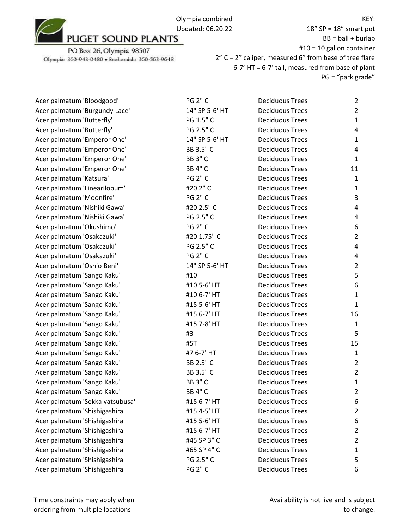

PO Box 26, Olympia 98507 Olympia: 360-943-0480 · Snohomish: 360-563-9648

18" SP = 18" smart pot  $BB = ball + burlap$ #10 = 10 gallon container 2" C = 2" caliper, measured 6" from base of tree flare 6-7' HT = 6-7' tall, measured from base of plant PG = "park grade"

| Acer palmatum 'Bloodgood'       | <b>PG 2" C</b> | <b>Deciduous Trees</b> | $\overline{2}$ |
|---------------------------------|----------------|------------------------|----------------|
| Acer palmatum 'Burgundy Lace'   | 14" SP 5-6' HT | <b>Deciduous Trees</b> | $\overline{2}$ |
| Acer palmatum 'Butterfly'       | PG 1.5" C      | <b>Deciduous Trees</b> | $\mathbf{1}$   |
| Acer palmatum 'Butterfly'       | PG 2.5" C      | <b>Deciduous Trees</b> | $\overline{4}$ |
| Acer palmatum 'Emperor One'     | 14" SP 5-6' HT | <b>Deciduous Trees</b> | $\mathbf{1}$   |
| Acer palmatum 'Emperor One'     | BB 3.5" C      | <b>Deciduous Trees</b> | 4              |
| Acer palmatum 'Emperor One'     | <b>BB 3" C</b> | <b>Deciduous Trees</b> | $\mathbf{1}$   |
| Acer palmatum 'Emperor One'     | <b>BB 4" C</b> | <b>Deciduous Trees</b> | 11             |
| Acer palmatum 'Katsura'         | <b>PG 2" C</b> | <b>Deciduous Trees</b> | $\mathbf{1}$   |
| Acer palmatum 'Linearilobum'    | #20 2" C       | <b>Deciduous Trees</b> | $\mathbf{1}$   |
| Acer palmatum 'Moonfire'        | <b>PG 2" C</b> | <b>Deciduous Trees</b> | 3              |
| Acer palmatum 'Nishiki Gawa'    | #20 2.5" C     | <b>Deciduous Trees</b> | 4              |
| Acer palmatum 'Nishiki Gawa'    | PG 2.5" C      | <b>Deciduous Trees</b> | 4              |
| Acer palmatum 'Okushimo'        | <b>PG 2" C</b> | <b>Deciduous Trees</b> | 6              |
| Acer palmatum 'Osakazuki'       | #20 1.75" C    | <b>Deciduous Trees</b> | $\overline{2}$ |
| Acer palmatum 'Osakazuki'       | PG 2.5" C      | <b>Deciduous Trees</b> | $\overline{4}$ |
| Acer palmatum 'Osakazuki'       | <b>PG 2" C</b> | <b>Deciduous Trees</b> | 4              |
| Acer palmatum 'Oshio Beni'      | 14" SP 5-6' HT | <b>Deciduous Trees</b> | $\overline{2}$ |
| Acer palmatum 'Sango Kaku'      | #10            | <b>Deciduous Trees</b> | 5              |
| Acer palmatum 'Sango Kaku'      | #10 5-6' HT    | <b>Deciduous Trees</b> | 6              |
| Acer palmatum 'Sango Kaku'      | #10 6-7' HT    | <b>Deciduous Trees</b> | $\mathbf{1}$   |
| Acer palmatum 'Sango Kaku'      | #15 5-6' HT    | <b>Deciduous Trees</b> | $\mathbf{1}$   |
| Acer palmatum 'Sango Kaku'      | #15 6-7' HT    | <b>Deciduous Trees</b> | 16             |
| Acer palmatum 'Sango Kaku'      | #15 7-8' HT    | <b>Deciduous Trees</b> | $\mathbf{1}$   |
| Acer palmatum 'Sango Kaku'      | #3             | <b>Deciduous Trees</b> | 5              |
| Acer palmatum 'Sango Kaku'      | #5T            | <b>Deciduous Trees</b> | 15             |
| Acer palmatum 'Sango Kaku'      | #7 6-7' HT     | <b>Deciduous Trees</b> | $\mathbf{1}$   |
| Acer palmatum 'Sango Kaku'      | BB 2.5" C      | <b>Deciduous Trees</b> | $\overline{2}$ |
| Acer palmatum 'Sango Kaku'      | BB 3.5" C      | <b>Deciduous Trees</b> | $\overline{2}$ |
| Acer palmatum 'Sango Kaku'      | <b>BB 3" C</b> | <b>Deciduous Trees</b> | $\mathbf{1}$   |
| Acer palmatum 'Sango Kaku'      | <b>BB 4" C</b> | <b>Deciduous Trees</b> | $\overline{2}$ |
| Acer palmatum 'Sekka yatsubusa' | #15 6-7' HT    | <b>Deciduous Trees</b> | 6              |
| Acer palmatum 'Shishigashira'   | #15 4-5' HT    | <b>Deciduous Trees</b> | 2              |
| Acer palmatum 'Shishigashira'   | #15 5-6' HT    | <b>Deciduous Trees</b> | 6              |
| Acer palmatum 'Shishigashira'   | #15 6-7' HT    | <b>Deciduous Trees</b> | $\overline{2}$ |
| Acer palmatum 'Shishigashira'   | #45 SP 3" C    | <b>Deciduous Trees</b> | $\overline{2}$ |
| Acer palmatum 'Shishigashira'   | #65 SP 4" C    | <b>Deciduous Trees</b> | $\mathbf{1}$   |
| Acer palmatum 'Shishigashira'   | PG 2.5" C      | <b>Deciduous Trees</b> | 5              |
| Acer palmatum 'Shishigashira'   | <b>PG 2" C</b> | <b>Deciduous Trees</b> | 6              |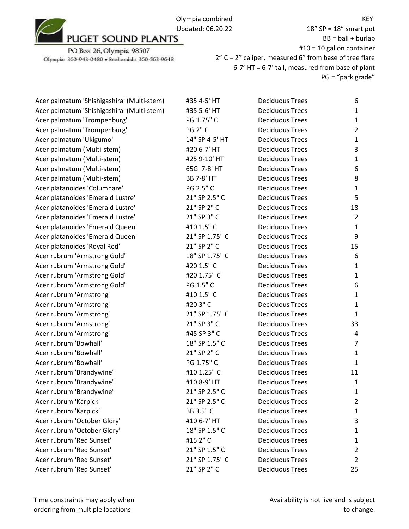Olympia combined Updated: 06.20.22<br>PUGET SOUND PLANTS

PO Box 26, Olympia 98507 Olympia: 360-943-0480 · Snohomish: 360-563-9648

18" SP = 18" smart pot  $BB = ball + burlap$ #10 = 10 gallon container 2" C = 2" caliper, measured 6" from base of tree flare 6-7' HT = 6-7' tall, measured from base of plant PG = "park grade"

| Acer palmatum 'Shishigashira' (Multi-stem) | #35 4-5' HT       | <b>Deciduous Trees</b> | 6                       |
|--------------------------------------------|-------------------|------------------------|-------------------------|
| Acer palmatum 'Shishigashira' (Multi-stem) | #35 5-6' HT       | <b>Deciduous Trees</b> | 1                       |
| Acer palmatum 'Trompenburg'                | PG 1.75" C        | <b>Deciduous Trees</b> | $\mathbf{1}$            |
| Acer palmatum 'Trompenburg'                | <b>PG 2" C</b>    | <b>Deciduous Trees</b> | $\overline{\mathbf{c}}$ |
| Acer palmatum 'Ukigumo'                    | 14" SP 4-5' HT    | <b>Deciduous Trees</b> | $\mathbf{1}$            |
| Acer palmatum (Multi-stem)                 | #20 6-7' HT       | <b>Deciduous Trees</b> | 3                       |
| Acer palmatum (Multi-stem)                 | #25 9-10' HT      | <b>Deciduous Trees</b> | 1                       |
| Acer palmatum (Multi-stem)                 | 65G 7-8' HT       | <b>Deciduous Trees</b> | 6                       |
| Acer palmatum (Multi-stem)                 | <b>BB 7-8' HT</b> | <b>Deciduous Trees</b> | 8                       |
| Acer platanoides 'Columnare'               | PG 2.5" C         | <b>Deciduous Trees</b> | $\mathbf{1}$            |
| Acer platanoides 'Emerald Lustre'          | 21" SP 2.5" C     | <b>Deciduous Trees</b> | 5                       |
| Acer platanoides 'Emerald Lustre'          | 21" SP 2" C       | <b>Deciduous Trees</b> | 18                      |
| Acer platanoides 'Emerald Lustre'          | 21" SP 3" C       | <b>Deciduous Trees</b> | $\overline{c}$          |
| Acer platanoides 'Emerald Queen'           | #10 1.5" C        | <b>Deciduous Trees</b> | $\mathbf{1}$            |
| Acer platanoides 'Emerald Queen'           | 21" SP 1.75" C    | <b>Deciduous Trees</b> | 9                       |
| Acer platanoides 'Royal Red'               | 21" SP 2" C       | <b>Deciduous Trees</b> | 15                      |
| Acer rubrum 'Armstrong Gold'               | 18" SP 1.75" C    | <b>Deciduous Trees</b> | 6                       |
| Acer rubrum 'Armstrong Gold'               | #20 1.5" C        | <b>Deciduous Trees</b> | 1                       |
| Acer rubrum 'Armstrong Gold'               | #20 1.75" C       | <b>Deciduous Trees</b> | $\mathbf{1}$            |
| Acer rubrum 'Armstrong Gold'               | PG 1.5" C         | <b>Deciduous Trees</b> | 6                       |
| Acer rubrum 'Armstrong'                    | #10 1.5" C        | <b>Deciduous Trees</b> | $\mathbf{1}$            |
| Acer rubrum 'Armstrong'                    | #203"C            | <b>Deciduous Trees</b> | $\mathbf{1}$            |
| Acer rubrum 'Armstrong'                    | 21" SP 1.75" C    | <b>Deciduous Trees</b> | $\mathbf{1}$            |
| Acer rubrum 'Armstrong'                    | 21" SP 3" C       | <b>Deciduous Trees</b> | 33                      |
| Acer rubrum 'Armstrong'                    | #45 SP 3" C       | <b>Deciduous Trees</b> | 4                       |
| Acer rubrum 'Bowhall'                      | 18" SP 1.5" C     | <b>Deciduous Trees</b> | 7                       |
| Acer rubrum 'Bowhall'                      | 21" SP 2" C       | <b>Deciduous Trees</b> | $\mathbf{1}$            |
| Acer rubrum 'Bowhall'                      | PG 1.75" C        | <b>Deciduous Trees</b> | $\mathbf{1}$            |
| Acer rubrum 'Brandywine'                   | #10 1.25" C       | <b>Deciduous Trees</b> | 11                      |
| Acer rubrum 'Brandywine'                   | #10 8-9' HT       | <b>Deciduous Trees</b> | 1                       |
| Acer rubrum 'Brandywine'                   | 21" SP 2.5" C     | <b>Deciduous Trees</b> | 1                       |
| Acer rubrum 'Karpick'                      | 21" SP 2.5" C     | <b>Deciduous Trees</b> | $\overline{\mathbf{c}}$ |
| Acer rubrum 'Karpick'                      | BB 3.5" C         | <b>Deciduous Trees</b> | 1                       |
| Acer rubrum 'October Glory'                | #10 6-7' HT       | <b>Deciduous Trees</b> | 3                       |
| Acer rubrum 'October Glory'                | 18" SP 1.5" C     | <b>Deciduous Trees</b> | 1                       |
| Acer rubrum 'Red Sunset'                   | #15 2" C          | <b>Deciduous Trees</b> | 1                       |
| Acer rubrum 'Red Sunset'                   | 21" SP 1.5" C     | <b>Deciduous Trees</b> | $\overline{\mathbf{c}}$ |
| Acer rubrum 'Red Sunset'                   | 21" SP 1.75" C    | <b>Deciduous Trees</b> | $\overline{c}$          |
| Acer rubrum 'Red Sunset'                   | 21" SP 2" C       | <b>Deciduous Trees</b> | 25                      |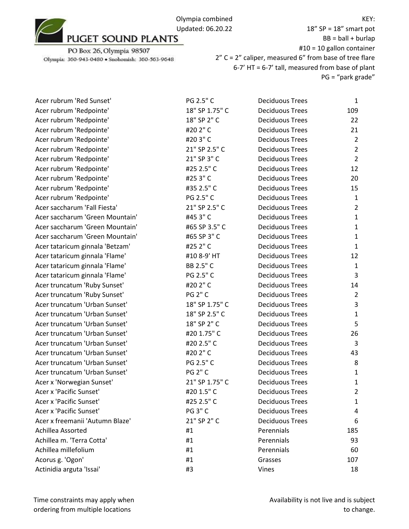Olympia combined Updated: 06.20.22<br>PUGET SOUND PLANTS

PO Box 26, Olympia 98507 Olympia: 360-943-0480 · Snohomish: 360-563-9648

18" SP = 18" smart pot  $BB = ball + burlap$ #10 = 10 gallon container 2" C = 2" caliper, measured 6" from base of tree flare 6-7' HT = 6-7' tall, measured from base of plant PG = "park grade"

| Acer rubrum 'Red Sunset'        | PG 2.5" C      | <b>Deciduous Trees</b> | $\mathbf{1}$   |
|---------------------------------|----------------|------------------------|----------------|
| Acer rubrum 'Redpointe'         | 18" SP 1.75" C | <b>Deciduous Trees</b> | 109            |
| Acer rubrum 'Redpointe'         | 18" SP 2" C    | <b>Deciduous Trees</b> | 22             |
| Acer rubrum 'Redpointe'         | #20 2" C       | <b>Deciduous Trees</b> | 21             |
| Acer rubrum 'Redpointe'         | #203"C         | <b>Deciduous Trees</b> | $\overline{2}$ |
| Acer rubrum 'Redpointe'         | 21" SP 2.5" C  | <b>Deciduous Trees</b> | $\overline{2}$ |
| Acer rubrum 'Redpointe'         | 21" SP 3" C    | <b>Deciduous Trees</b> | $\overline{2}$ |
| Acer rubrum 'Redpointe'         | #25 2.5" C     | <b>Deciduous Trees</b> | 12             |
| Acer rubrum 'Redpointe'         | #253"C         | <b>Deciduous Trees</b> | 20             |
| Acer rubrum 'Redpointe'         | #35 2.5" C     | <b>Deciduous Trees</b> | 15             |
| Acer rubrum 'Redpointe'         | PG 2.5" C      | <b>Deciduous Trees</b> | $\mathbf{1}$   |
| Acer saccharum 'Fall Fiesta'    | 21" SP 2.5" C  | <b>Deciduous Trees</b> | $\overline{2}$ |
| Acer saccharum 'Green Mountain' | #453"C         | <b>Deciduous Trees</b> | $\mathbf{1}$   |
| Acer saccharum 'Green Mountain' | #65 SP 3.5" C  | <b>Deciduous Trees</b> | $\mathbf{1}$   |
| Acer saccharum 'Green Mountain' | #65 SP 3" C    | <b>Deciduous Trees</b> | $\mathbf{1}$   |
| Acer tataricum ginnala 'Betzam' | #25 2" C       | <b>Deciduous Trees</b> | $\mathbf{1}$   |
| Acer tataricum ginnala 'Flame'  | #10 8-9' HT    | <b>Deciduous Trees</b> | 12             |
| Acer tataricum ginnala 'Flame'  | BB 2.5" C      | <b>Deciduous Trees</b> | $\mathbf{1}$   |
| Acer tataricum ginnala 'Flame'  | PG 2.5" C      | <b>Deciduous Trees</b> | 3              |
| Acer truncatum 'Ruby Sunset'    | #20 2" C       | <b>Deciduous Trees</b> | 14             |
| Acer truncatum 'Ruby Sunset'    | <b>PG 2" C</b> | <b>Deciduous Trees</b> | $\overline{2}$ |
| Acer truncatum 'Urban Sunset'   | 18" SP 1.75" C | <b>Deciduous Trees</b> | $\mathsf{3}$   |
| Acer truncatum 'Urban Sunset'   | 18" SP 2.5" C  | <b>Deciduous Trees</b> | $\mathbf{1}$   |
| Acer truncatum 'Urban Sunset'   | 18" SP 2" C    | <b>Deciduous Trees</b> | 5              |
| Acer truncatum 'Urban Sunset'   | #20 1.75" C    | <b>Deciduous Trees</b> | 26             |
| Acer truncatum 'Urban Sunset'   | #20 2.5" C     | <b>Deciduous Trees</b> | 3              |
| Acer truncatum 'Urban Sunset'   | #20 2" C       | <b>Deciduous Trees</b> | 43             |
| Acer truncatum 'Urban Sunset'   | PG 2.5" C      | <b>Deciduous Trees</b> | 8              |
| Acer truncatum 'Urban Sunset'   | <b>PG 2" C</b> | <b>Deciduous Trees</b> | $\mathbf{1}$   |
| Acer x 'Norwegian Sunset'       | 21" SP 1.75" C | <b>Deciduous Trees</b> | $\mathbf{1}$   |
| Acer x 'Pacific Sunset'         | #20 1.5" C     | <b>Deciduous Trees</b> | $\overline{2}$ |
| Acer x 'Pacific Sunset'         | #25 2.5" C     | <b>Deciduous Trees</b> | 1              |
| Acer x 'Pacific Sunset'         | <b>PG 3" C</b> | <b>Deciduous Trees</b> | 4              |
| Acer x freemanii 'Autumn Blaze' | 21" SP 2" C    | <b>Deciduous Trees</b> | 6              |
| Achillea Assorted               | #1             | Perennials             | 185            |
| Achillea m. 'Terra Cotta'       | #1             | Perennials             | 93             |
| Achillea millefolium            | #1             | Perennials             | 60             |
| Acorus g. 'Ogon'                | #1             | Grasses                | 107            |
| Actinidia arguta 'Issai'        | #3             | Vines                  | 18             |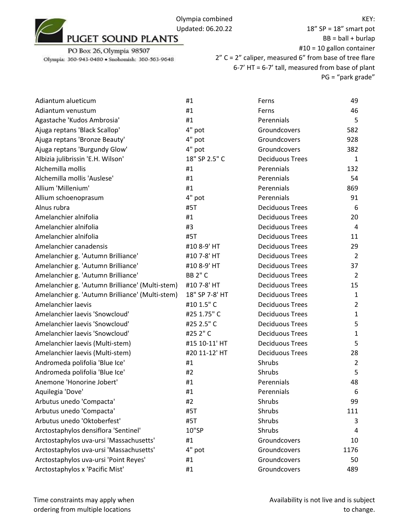

18" SP = 18" smart pot  $BB = ball + burlap$ #10 = 10 gallon container 2" C = 2" caliper, measured 6" from base of tree flare 6-7' HT = 6-7' tall, measured from base of plant PG = "park grade"

| Adiantum alueticum                              | #1             | Ferns                  | 49             |
|-------------------------------------------------|----------------|------------------------|----------------|
| Adiantum venustum                               | #1             | Ferns                  | 46             |
| Agastache 'Kudos Ambrosia'                      | #1             | Perennials             | 5              |
| Ajuga reptans 'Black Scallop'                   | 4" pot         | Groundcovers           | 582            |
| Ajuga reptans 'Bronze Beauty'                   | 4" pot         | Groundcovers           | 928            |
| Ajuga reptans 'Burgundy Glow'                   | 4" pot         | Groundcovers           | 382            |
| Albizia julibrissin 'E.H. Wilson'               | 18" SP 2.5" C  | <b>Deciduous Trees</b> | 1              |
| Alchemilla mollis                               | #1             | Perennials             | 132            |
| Alchemilla mollis 'Auslese'                     | #1             | Perennials             | 54             |
| Allium 'Millenium'                              | #1             | Perennials             | 869            |
| Allium schoenoprasum                            | 4" pot         | Perennials             | 91             |
| Alnus rubra                                     | #5T            | <b>Deciduous Trees</b> | 6              |
| Amelanchier alnifolia                           | #1             | <b>Deciduous Trees</b> | 20             |
| Amelanchier alnifolia                           | #3             | <b>Deciduous Trees</b> | 4              |
| Amelanchier alnifolia                           | #5T            | <b>Deciduous Trees</b> | 11             |
| Amelanchier canadensis                          | #10 8-9' HT    | <b>Deciduous Trees</b> | 29             |
| Amelanchier g. 'Autumn Brilliance'              | #10 7-8' HT    | <b>Deciduous Trees</b> | $\overline{2}$ |
| Amelanchier g. 'Autumn Brilliance'              | #10 8-9' HT    | <b>Deciduous Trees</b> | 37             |
| Amelanchier g. 'Autumn Brilliance'              | <b>BB 2" C</b> | <b>Deciduous Trees</b> | 2              |
| Amelanchier g. 'Autumn Brilliance' (Multi-stem) | #10 7-8' HT    | <b>Deciduous Trees</b> | 15             |
| Amelanchier g. 'Autumn Brilliance' (Multi-stem) | 18" SP 7-8' HT | <b>Deciduous Trees</b> | $\mathbf{1}$   |
| Amelanchier laevis                              | #10 1.5" C     | <b>Deciduous Trees</b> | $\overline{2}$ |
| Amelanchier laevis 'Snowcloud'                  | #25 1.75" C    | <b>Deciduous Trees</b> | 1              |
| Amelanchier laevis 'Snowcloud'                  | #25 2.5" C     | <b>Deciduous Trees</b> | 5              |
| Amelanchier laevis 'Snowcloud'                  | #25 2" C       | <b>Deciduous Trees</b> | 1              |
| Amelanchier laevis (Multi-stem)                 | #15 10-11' HT  | <b>Deciduous Trees</b> | 5              |
| Amelanchier laevis (Multi-stem)                 | #20 11-12' HT  | <b>Deciduous Trees</b> | 28             |
| Andromeda polifolia 'Blue Ice'                  | #1             | Shrubs                 | $\overline{2}$ |
| Andromeda polifolia 'Blue Ice'                  | #2             | Shrubs                 | 5              |
| Anemone 'Honorine Jobert'                       | #1             | Perennials             | 48             |
| Aquilegia 'Dove'                                | #1             | Perennials             | 6              |
| Arbutus unedo 'Compacta'                        | #2             | Shrubs                 | 99             |
| Arbutus unedo 'Compacta'                        | #5T            | Shrubs                 | 111            |
| Arbutus unedo 'Oktoberfest'                     | #5T            | Shrubs                 | 3              |
| Arctostaphylos densiflora 'Sentinel'            | 10"SP          | Shrubs                 | 4              |
| Arctostaphylos uva-ursi 'Massachusetts'         | #1             | Groundcovers           | 10             |
| Arctostaphylos uva-ursi 'Massachusetts'         | 4" pot         | Groundcovers           | 1176           |
| Arctostaphylos uva-ursi 'Point Reyes'           | #1             | Groundcovers           | 50             |
| Arctostaphylos x 'Pacific Mist'                 | #1             | Groundcovers           | 489            |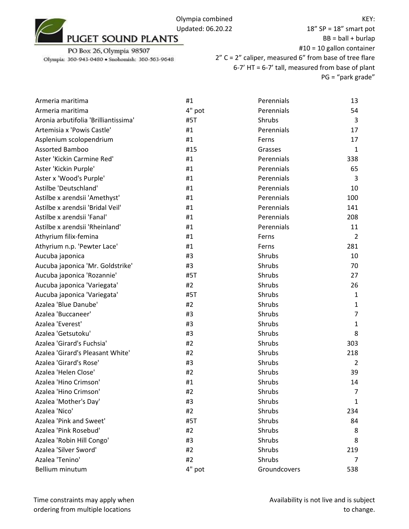

18" SP = 18" smart pot  $BB = ball + burlap$ #10 = 10 gallon container 2" C = 2" caliper, measured 6" from base of tree flare 6-7' HT = 6-7' tall, measured from base of plant PG = "park grade"

| Armeria maritima                     | #1     | Perennials   | 13             |
|--------------------------------------|--------|--------------|----------------|
| Armeria maritima                     | 4" pot | Perennials   | 54             |
| Aronia arbutifolia 'Brilliantissima' | #5T    | Shrubs       | 3              |
| Artemisia x 'Powis Castle'           | #1     | Perennials   | 17             |
| Asplenium scolopendrium              | #1     | Ferns        | 17             |
| <b>Assorted Bamboo</b>               | #15    | Grasses      | $\mathbf{1}$   |
| Aster 'Kickin Carmine Red'           | #1     | Perennials   | 338            |
| Aster 'Kickin Purple'                | #1     | Perennials   | 65             |
| Aster x 'Wood's Purple'              | #1     | Perennials   | 3              |
| Astilbe 'Deutschland'                | #1     | Perennials   | 10             |
| Astilbe x arendsii 'Amethyst'        | #1     | Perennials   | 100            |
| Astilbe x arendsii 'Bridal Veil'     | #1     | Perennials   | 141            |
| Astilbe x arendsii 'Fanal'           | #1     | Perennials   | 208            |
| Astilbe x arendsii 'Rheinland'       | #1     | Perennials   | 11             |
| Athyrium filix-femina                | #1     | Ferns        | $\overline{2}$ |
| Athyrium n.p. 'Pewter Lace'          | #1     | Ferns        | 281            |
| Aucuba japonica                      | #3     | Shrubs       | 10             |
| Aucuba japonica 'Mr. Goldstrike'     | #3     | Shrubs       | 70             |
| Aucuba japonica 'Rozannie'           | #5T    | Shrubs       | 27             |
| Aucuba japonica 'Variegata'          | #2     | Shrubs       | 26             |
| Aucuba japonica 'Variegata'          | #5T    | Shrubs       | $\mathbf{1}$   |
| Azalea 'Blue Danube'                 | #2     | Shrubs       | $\mathbf{1}$   |
| Azalea 'Buccaneer'                   | #3     | Shrubs       | $\overline{7}$ |
| Azalea 'Everest'                     | #3     | Shrubs       | $\mathbf{1}$   |
| Azalea 'Getsutoku'                   | #3     | Shrubs       | 8              |
| Azalea 'Girard's Fuchsia'            | #2     | Shrubs       | 303            |
| Azalea 'Girard's Pleasant White'     | #2     | Shrubs       | 218            |
| Azalea 'Girard's Rose'               | #3     | Shrubs       | $\overline{2}$ |
| Azalea 'Helen Close'                 | #2     | Shrubs       | 39             |
| Azalea 'Hino Crimson'                | #1     | Shrubs       | 14             |
| Azalea 'Hino Crimson'                | #2     | Shrubs       | $\overline{7}$ |
| Azalea 'Mother's Day'                | #3     | Shrubs       | $\mathbf{1}$   |
| Azalea 'Nico'                        | #2     | Shrubs       | 234            |
| Azalea 'Pink and Sweet'              | #5T    | Shrubs       | 84             |
| Azalea 'Pink Rosebud'                | #2     | Shrubs       | 8              |
| Azalea 'Robin Hill Congo'            | #3     | Shrubs       | 8              |
| Azalea 'Silver Sword'                | #2     | Shrubs       | 219            |
| Azalea 'Tenino'                      | #2     | Shrubs       | 7              |
| Bellium minutum                      | 4" pot | Groundcovers | 538            |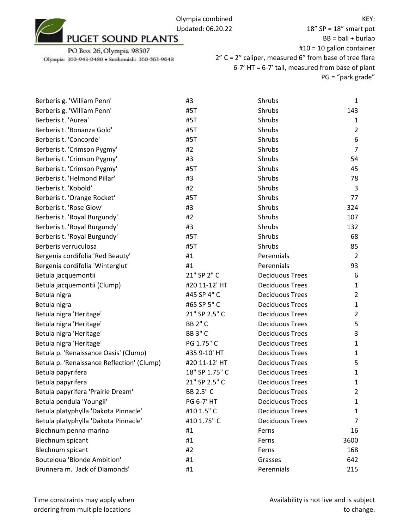

| Berberis g. 'William Penn'                 | #3             | Shrubs                 | 1              |
|--------------------------------------------|----------------|------------------------|----------------|
| Berberis g. 'William Penn'                 | #5T            | Shrubs                 | 143            |
| Berberis t. 'Aurea'                        | #5T            | Shrubs                 | 1              |
| Berberis t. 'Bonanza Gold'                 | #5T            | Shrubs                 | $\overline{2}$ |
| Berberis t. 'Concorde'                     | #5T            | Shrubs                 | 6              |
| Berberis t. 'Crimson Pygmy'                | #2             | Shrubs                 | $\overline{7}$ |
| Berberis t. 'Crimson Pygmy'                | #3             | Shrubs                 | 54             |
| Berberis t. 'Crimson Pygmy'                | #5T            | Shrubs                 | 45             |
| Berberis t. 'Helmond Pillar'               | #3             | Shrubs                 | 78             |
| Berberis t. 'Kobold'                       | #2             | Shrubs                 | 3              |
| Berberis t. 'Orange Rocket'                | #5T            | Shrubs                 | 77             |
| Berberis t. 'Rose Glow'                    | #3             | Shrubs                 | 324            |
| Berberis t. 'Royal Burgundy'               | #2             | Shrubs                 | 107            |
| Berberis t. 'Royal Burgundy'               | #3             | Shrubs                 | 132            |
| Berberis t. 'Royal Burgundy'               | #5T            | Shrubs                 | 68             |
| Berberis verruculosa                       | #5T            | Shrubs                 | 85             |
| Bergenia cordifolia 'Red Beauty'           | #1             | Perennials             | $\overline{2}$ |
| Bergenia cordifolia 'Winterglut'           | #1             | Perennials             | 93             |
| Betula jacquemontii                        | 21" SP 2" C    | <b>Deciduous Trees</b> | 6              |
| Betula jacquemontii (Clump)                | #20 11-12' HT  | <b>Deciduous Trees</b> | 1              |
| Betula nigra                               | #45 SP 4" C    | <b>Deciduous Trees</b> | $\overline{2}$ |
| Betula nigra                               | #65 SP 5" C    | <b>Deciduous Trees</b> | 1              |
| Betula nigra 'Heritage'                    | 21" SP 2.5" C  | <b>Deciduous Trees</b> | $\overline{2}$ |
| Betula nigra 'Heritage'                    | <b>BB 2" C</b> | <b>Deciduous Trees</b> | 5              |
| Betula nigra 'Heritage'                    | <b>BB 3" C</b> | <b>Deciduous Trees</b> | 3              |
| Betula nigra 'Heritage'                    | PG 1.75" C     | <b>Deciduous Trees</b> | 1              |
| Betula p. 'Renaissance Oasis' (Clump)      | #35 9-10' HT   | <b>Deciduous Trees</b> | 1              |
| Betula p. 'Renaissance Reflection' (Clump) | #20 11-12' HT  | <b>Deciduous Trees</b> | 5              |
| Betula papyrifera                          | 18" SP 1.75" C | <b>Deciduous Trees</b> | 1              |
| Betula papyrifera                          | 21" SP 2.5" C  | <b>Deciduous Trees</b> | $\mathbf{1}$   |
| Betula papyrifera 'Prairie Dream'          | BB 2.5" C      | <b>Deciduous Trees</b> | $\overline{2}$ |
| Betula pendula 'Youngii'                   | PG 6-7' HT     | <b>Deciduous Trees</b> | 1              |
| Betula platyphylla 'Dakota Pinnacle'       | #10 1.5" C     | <b>Deciduous Trees</b> | 1              |
| Betula platyphylla 'Dakota Pinnacle'       | #10 1.75" C    | <b>Deciduous Trees</b> | 7              |
| Blechnum penna-marina                      | #1             | Ferns                  | 16             |
| Blechnum spicant                           | #1             | Ferns                  | 3600           |
| Blechnum spicant                           | #2             | Ferns                  | 168            |
| Bouteloua 'Blonde Ambition'                | #1             | Grasses                | 642            |
| Brunnera m. 'Jack of Diamonds'             | #1             | Perennials             | 215            |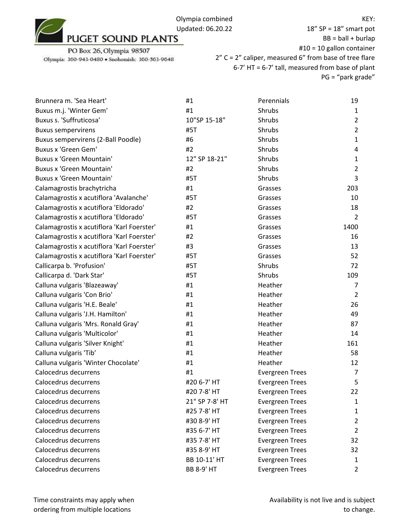

18" SP = 18" smart pot  $BB = ball + burlap$ #10 = 10 gallon container 2" C = 2" caliper, measured 6" from base of tree flare 6-7' HT = 6-7' tall, measured from base of plant PG = "park grade"

| Brunnera m. 'Sea Heart'                    | #1                | Perennials             | 19             |
|--------------------------------------------|-------------------|------------------------|----------------|
| Buxus m.j. 'Winter Gem'                    | #1                | Shrubs                 | 1              |
| Buxus s. 'Suffruticosa'                    | 10"SP 15-18"      | Shrubs                 | $\overline{2}$ |
| <b>Buxus sempervirens</b>                  | #5T               | Shrubs                 | $\overline{2}$ |
| Buxus sempervirens (2-Ball Poodle)         | #6                | Shrubs                 | $\mathbf{1}$   |
| Buxus x 'Green Gem'                        | #2                | Shrubs                 | 4              |
| <b>Buxus x 'Green Mountain'</b>            | 12" SP 18-21"     | Shrubs                 | 1              |
| <b>Buxus x 'Green Mountain'</b>            | #2                | Shrubs                 | $\overline{2}$ |
| <b>Buxus x 'Green Mountain'</b>            | #5T               | Shrubs                 | 3              |
| Calamagrostis brachytricha                 | #1                | Grasses                | 203            |
| Calamagrostis x acutiflora 'Avalanche'     | #5T               | Grasses                | 10             |
| Calamagrostis x acutiflora 'Eldorado'      | #2                | Grasses                | 18             |
| Calamagrostis x acutiflora 'Eldorado'      | #5T               | Grasses                | $\overline{2}$ |
| Calamagrostis x acutiflora 'Karl Foerster' | #1                | Grasses                | 1400           |
| Calamagrostis x acutiflora 'Karl Foerster' | #2                | Grasses                | 16             |
| Calamagrostis x acutiflora 'Karl Foerster' | #3                | Grasses                | 13             |
| Calamagrostis x acutiflora 'Karl Foerster' | #5T               | Grasses                | 52             |
| Callicarpa b. 'Profusion'                  | #5T               | Shrubs                 | 72             |
| Callicarpa d. 'Dark Star'                  | #5T               | Shrubs                 | 109            |
| Calluna vulgaris 'Blazeaway'               | #1                | Heather                | 7              |
| Calluna vulgaris 'Con Brio'                | #1                | Heather                | $\overline{2}$ |
| Calluna vulgaris 'H.E. Beale'              | #1                | Heather                | 26             |
| Calluna vulgaris 'J.H. Hamilton'           | #1                | Heather                | 49             |
| Calluna vulgaris 'Mrs. Ronald Gray'        | #1                | Heather                | 87             |
| Calluna vulgaris 'Multicolor'              | #1                | Heather                | 14             |
| Calluna vulgaris 'Silver Knight'           | #1                | Heather                | 161            |
| Calluna vulgaris 'Tib'                     | #1                | Heather                | 58             |
| Calluna vulgaris 'Winter Chocolate'        | #1                | Heather                | 12             |
| Calocedrus decurrens                       | #1                | <b>Evergreen Trees</b> | 7              |
| Calocedrus decurrens                       | #20 6-7' HT       | <b>Evergreen Trees</b> | 5              |
| Calocedrus decurrens                       | #20 7-8' HT       | <b>Evergreen Trees</b> | 22             |
| Calocedrus decurrens                       | 21" SP 7-8' HT    | <b>Evergreen Trees</b> | 1              |
| Calocedrus decurrens                       | #25 7-8' HT       | <b>Evergreen Trees</b> | 1              |
| Calocedrus decurrens                       | #30 8-9' HT       | <b>Evergreen Trees</b> | 2              |
| Calocedrus decurrens                       | #35 6-7' HT       | <b>Evergreen Trees</b> | 2              |
| Calocedrus decurrens                       | #35 7-8' HT       | <b>Evergreen Trees</b> | 32             |
| Calocedrus decurrens                       | #35 8-9' HT       | <b>Evergreen Trees</b> | 32             |
| Calocedrus decurrens                       | BB 10-11' HT      | <b>Evergreen Trees</b> | 1              |
| Calocedrus decurrens                       | <b>BB 8-9' HT</b> | <b>Evergreen Trees</b> | $\overline{2}$ |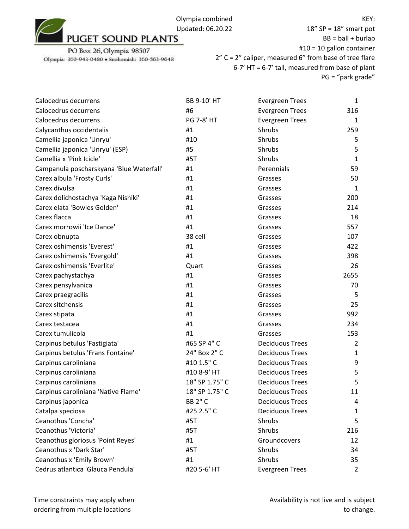KEY:

PO Box 26, Olympia 98507 Olympia: 360-943-0480 · Snohomish: 360-563-9648

| Calocedrus decurrens                     | BB 9-10' HT       | <b>Evergreen Trees</b> | $\mathbf{1}$   |
|------------------------------------------|-------------------|------------------------|----------------|
| Calocedrus decurrens                     | #6                | <b>Evergreen Trees</b> | 316            |
| Calocedrus decurrens                     | <b>PG 7-8' HT</b> | <b>Evergreen Trees</b> | 1              |
| Calycanthus occidentalis                 | #1                | Shrubs                 | 259            |
| Camellia japonica 'Unryu'                | #10               | <b>Shrubs</b>          | 5              |
| Camellia japonica 'Unryu' (ESP)          | #5                | Shrubs                 | 5              |
| Camellia x 'Pink Icicle'                 | #5T               | Shrubs                 | $\mathbf{1}$   |
| Campanula poscharskyana 'Blue Waterfall' | #1                | Perennials             | 59             |
| Carex albula 'Frosty Curls'              | #1                | Grasses                | 50             |
| Carex divulsa                            | #1                | Grasses                | $\mathbf{1}$   |
| Carex dolichostachya 'Kaga Nishiki'      | #1                | Grasses                | 200            |
| Carex elata 'Bowles Golden'              | #1                | Grasses                | 214            |
| Carex flacca                             | #1                | Grasses                | 18             |
| Carex morrowii 'Ice Dance'               | #1                | Grasses                | 557            |
| Carex obnupta                            | 38 cell           | Grasses                | 107            |
| Carex oshimensis 'Everest'               | #1                | Grasses                | 422            |
| Carex oshimensis 'Evergold'              | #1                | Grasses                | 398            |
| Carex oshimensis 'Everlite'              | Quart             | Grasses                | 26             |
| Carex pachystachya                       | #1                | Grasses                | 2655           |
| Carex pensylvanica                       | #1                | Grasses                | 70             |
| Carex praegracilis                       | #1                | Grasses                | 5              |
| Carex sitchensis                         | #1                | Grasses                | 25             |
| Carex stipata                            | #1                | Grasses                | 992            |
| Carex testacea                           | #1                | Grasses                | 234            |
| Carex tumulicola                         | #1                | Grasses                | 153            |
| Carpinus betulus 'Fastigiata'            | #65 SP 4" C       | <b>Deciduous Trees</b> | 2              |
| Carpinus betulus 'Frans Fontaine'        | 24" Box 2" C      | <b>Deciduous Trees</b> | $\mathbf{1}$   |
| Carpinus caroliniana                     | #10 1.5" C        | <b>Deciduous Trees</b> | 9              |
| Carpinus caroliniana                     | #10 8-9' HT       | <b>Deciduous Trees</b> | 5              |
| Carpinus caroliniana                     | 18" SP 1.75" C    | <b>Deciduous Trees</b> | 5              |
| Carpinus caroliniana 'Native Flame'      | 18" SP 1.75" C    | <b>Deciduous Trees</b> | 11             |
| Carpinus japonica                        | <b>BB 2" C</b>    | <b>Deciduous Trees</b> | 4              |
| Catalpa speciosa                         | #25 2.5" C        | <b>Deciduous Trees</b> | 1              |
| Ceanothus 'Concha'                       | #5T               | Shrubs                 | 5              |
| Ceanothus 'Victoria'                     | #5T               | Shrubs                 | 216            |
| Ceanothus gloriosus 'Point Reyes'        | #1                | Groundcovers           | 12             |
| Ceanothus x 'Dark Star'                  | #5T               | Shrubs                 | 34             |
| Ceanothus x 'Emily Brown'                | #1                | Shrubs                 | 35             |
| Cedrus atlantica 'Glauca Pendula'        | #20 5-6' HT       | <b>Evergreen Trees</b> | $\overline{2}$ |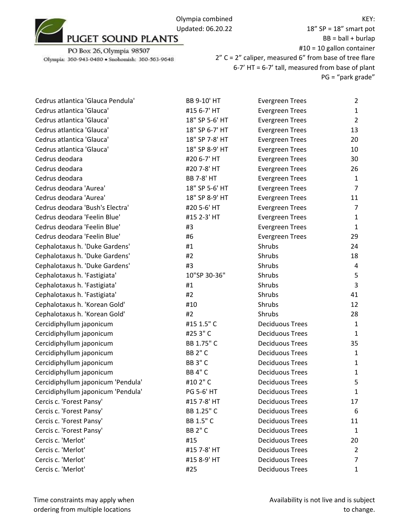

PO Box 26, Olympia 98507 Olympia: 360-943-0480 · Snohomish: 360-563-9648

| Cedrus atlantica 'Glauca Pendula'  | BB 9-10' HT       | <b>Evergreen Trees</b> | 2              |
|------------------------------------|-------------------|------------------------|----------------|
| Cedrus atlantica 'Glauca'          | #15 6-7' HT       | <b>Evergreen Trees</b> | $\mathbf{1}$   |
| Cedrus atlantica 'Glauca'          | 18" SP 5-6' HT    | <b>Evergreen Trees</b> | $\overline{2}$ |
| Cedrus atlantica 'Glauca'          | 18" SP 6-7' HT    | <b>Evergreen Trees</b> | 13             |
| Cedrus atlantica 'Glauca'          | 18" SP 7-8' HT    | <b>Evergreen Trees</b> | 20             |
| Cedrus atlantica 'Glauca'          | 18" SP 8-9' HT    | <b>Evergreen Trees</b> | 10             |
| Cedrus deodara                     | #20 6-7' HT       | <b>Evergreen Trees</b> | 30             |
| Cedrus deodara                     | #20 7-8' HT       | <b>Evergreen Trees</b> | 26             |
| Cedrus deodara                     | <b>BB 7-8' HT</b> | <b>Evergreen Trees</b> | $\mathbf{1}$   |
| Cedrus deodara 'Aurea'             | 18" SP 5-6' HT    | <b>Evergreen Trees</b> | $\overline{7}$ |
| Cedrus deodara 'Aurea'             | 18" SP 8-9' HT    | <b>Evergreen Trees</b> | 11             |
| Cedrus deodara 'Bush's Electra'    | #20 5-6' HT       | <b>Evergreen Trees</b> | 7              |
| Cedrus deodara 'Feelin Blue'       | #15 2-3' HT       | <b>Evergreen Trees</b> | $\mathbf{1}$   |
| Cedrus deodara 'Feelin Blue'       | #3                | <b>Evergreen Trees</b> | $\mathbf{1}$   |
| Cedrus deodara 'Feelin Blue'       | #6                | <b>Evergreen Trees</b> | 29             |
| Cephalotaxus h. 'Duke Gardens'     | #1                | Shrubs                 | 24             |
| Cephalotaxus h. 'Duke Gardens'     | #2                | Shrubs                 | 18             |
| Cephalotaxus h. 'Duke Gardens'     | #3                | <b>Shrubs</b>          | 4              |
| Cephalotaxus h. 'Fastigiata'       | 10"SP 30-36"      | Shrubs                 | 5              |
| Cephalotaxus h. 'Fastigiata'       | #1                | Shrubs                 | $\overline{3}$ |
| Cephalotaxus h. 'Fastigiata'       | #2                | Shrubs                 | 41             |
| Cephalotaxus h. 'Korean Gold'      | #10               | Shrubs                 | 12             |
| Cephalotaxus h. 'Korean Gold'      | #2                | Shrubs                 | 28             |
| Cercidiphyllum japonicum           | #15 1.5" C        | <b>Deciduous Trees</b> | $\mathbf{1}$   |
| Cercidiphyllum japonicum           | #253"C            | <b>Deciduous Trees</b> | $\mathbf{1}$   |
| Cercidiphyllum japonicum           | BB 1.75" C        | <b>Deciduous Trees</b> | 35             |
| Cercidiphyllum japonicum           | <b>BB 2" C</b>    | <b>Deciduous Trees</b> | 1              |
| Cercidiphyllum japonicum           | <b>BB 3" C</b>    | <b>Deciduous Trees</b> | $\mathbf{1}$   |
| Cercidiphyllum japonicum           | <b>BB 4" C</b>    | <b>Deciduous Trees</b> | $\mathbf{1}$   |
| Cercidiphyllum japonicum 'Pendula' | #10 2" C          | <b>Deciduous Trees</b> | 5              |
| Cercidiphyllum japonicum 'Pendula' | PG 5-6' HT        | <b>Deciduous Trees</b> | 1              |
| Cercis c. 'Forest Pansy'           | #15 7-8' HT       | <b>Deciduous Trees</b> | 17             |
| Cercis c. 'Forest Pansy'           | BB 1.25" C        | <b>Deciduous Trees</b> | 6              |
| Cercis c. 'Forest Pansy'           | BB 1.5" C         | <b>Deciduous Trees</b> | 11             |
| Cercis c. 'Forest Pansy'           | <b>BB 2" C</b>    | <b>Deciduous Trees</b> | $\mathbf{1}$   |
| Cercis c. 'Merlot'                 | #15               | <b>Deciduous Trees</b> | 20             |
| Cercis c. 'Merlot'                 | #15 7-8' HT       | <b>Deciduous Trees</b> | $\overline{2}$ |
| Cercis c. 'Merlot'                 | #15 8-9' HT       | <b>Deciduous Trees</b> | 7              |
| Cercis c. 'Merlot'                 | #25               | <b>Deciduous Trees</b> | 1              |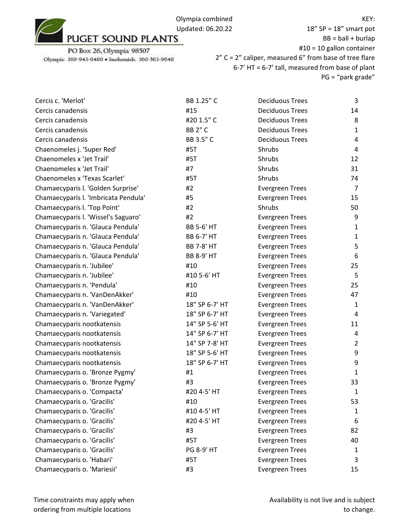| Cercis c. 'Merlot'                   | BB 1.25" C        | <b>Deciduous Trees</b> | 3              |
|--------------------------------------|-------------------|------------------------|----------------|
| Cercis canadensis                    | #15               | <b>Deciduous Trees</b> | 14             |
| Cercis canadensis                    | #20 1.5" C        | <b>Deciduous Trees</b> | 8              |
| Cercis canadensis                    | <b>BB 2" C</b>    | <b>Deciduous Trees</b> | $\mathbf{1}$   |
| Cercis canadensis                    | BB 3.5" C         | <b>Deciduous Trees</b> | 4              |
| Chaenomeles j. 'Super Red'           | #5T               | Shrubs                 | 4              |
| Chaenomeles x 'Jet Trail'            | #5T               | Shrubs                 | 12             |
| Chaenomeles x 'Jet Trail'            | #7                | Shrubs                 | 31             |
| Chaenomeles x 'Texas Scarlet'        | #5T               | Shrubs                 | 74             |
| Chamaecyparis I. 'Golden Surprise'   | #2                | <b>Evergreen Trees</b> | 7              |
| Chamaecyparis I. 'Imbricata Pendula' | #5                | <b>Evergreen Trees</b> | 15             |
| Chamaecyparis I. 'Top Point'         | #2                | Shrubs                 | 50             |
| Chamaecyparis I. 'Wissel's Saguaro'  | #2                | <b>Evergreen Trees</b> | 9              |
| Chamaecyparis n. 'Glauca Pendula'    | <b>BB 5-6' HT</b> | <b>Evergreen Trees</b> | $\mathbf{1}$   |
| Chamaecyparis n. 'Glauca Pendula'    | <b>BB 6-7' HT</b> | <b>Evergreen Trees</b> | $\mathbf{1}$   |
| Chamaecyparis n. 'Glauca Pendula'    | <b>BB 7-8' HT</b> | <b>Evergreen Trees</b> | 5              |
| Chamaecyparis n. 'Glauca Pendula'    | <b>BB 8-9' HT</b> | <b>Evergreen Trees</b> | 6              |
| Chamaecyparis n. 'Jubilee'           | #10               | <b>Evergreen Trees</b> | 25             |
| Chamaecyparis n. 'Jubilee'           | #10 5-6' HT       | <b>Evergreen Trees</b> | 5              |
| Chamaecyparis n. 'Pendula'           | #10               | <b>Evergreen Trees</b> | 25             |
| Chamaecyparis n. 'VanDenAkker'       | #10               | <b>Evergreen Trees</b> | 47             |
| Chamaecyparis n. 'VanDenAkker'       | 18" SP 6-7' HT    | <b>Evergreen Trees</b> | $\mathbf{1}$   |
| Chamaecyparis n. 'Variegated'        | 18" SP 6-7' HT    | <b>Evergreen Trees</b> | 4              |
| Chamaecyparis nootkatensis           | 14" SP 5-6' HT    | <b>Evergreen Trees</b> | 11             |
| Chamaecyparis nootkatensis           | 14" SP 6-7' HT    | <b>Evergreen Trees</b> | 4              |
| Chamaecyparis nootkatensis           | 14" SP 7-8' HT    | <b>Evergreen Trees</b> | $\overline{2}$ |
| Chamaecyparis nootkatensis           | 18" SP 5-6' HT    | <b>Evergreen Trees</b> | 9              |
| Chamaecyparis nootkatensis           | 18" SP 6-7' HT    | <b>Evergreen Trees</b> | 9              |
| Chamaecyparis o. 'Bronze Pygmy'      | #1                | <b>Evergreen Trees</b> | 1              |
| Chamaecyparis o. 'Bronze Pygmy'      | #3                | <b>Evergreen Trees</b> | 33             |
| Chamaecyparis o. 'Compacta'          | #20 4-5' HT       | <b>Evergreen Trees</b> | $\mathbf{1}$   |
| Chamaecyparis o. 'Gracilis'          | #10               | <b>Evergreen Trees</b> | 53             |
| Chamaecyparis o. 'Gracilis'          | #10 4-5' HT       | <b>Evergreen Trees</b> | $\mathbf{1}$   |
| Chamaecyparis o. 'Gracilis'          | #20 4-5' HT       | <b>Evergreen Trees</b> | 6              |
| Chamaecyparis o. 'Gracilis'          | #3                | <b>Evergreen Trees</b> | 82             |
| Chamaecyparis o. 'Gracilis'          | #5T               | <b>Evergreen Trees</b> | 40             |
| Chamaecyparis o. 'Gracilis'          | PG 8-9' HT        | <b>Evergreen Trees</b> | 1              |
| Chamaecyparis o. 'Habari'            | #5T               | <b>Evergreen Trees</b> | 3              |
| Chamaecyparis o. 'Mariesii'          | #3                | <b>Evergreen Trees</b> | 15             |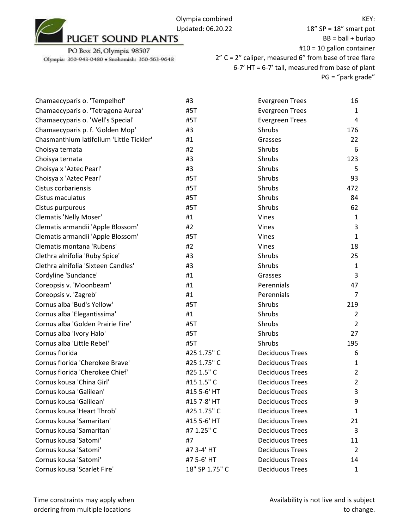Olympia combined Updated: 06.20.22<br>PUGET SOUND PLANTS

PO Box 26, Olympia 98507 Olympia: 360-943-0480 · Snohomish: 360-563-9648

| Chamaecyparis o. 'Tempelhof'             | #3             | <b>Evergreen Trees</b> | 16             |
|------------------------------------------|----------------|------------------------|----------------|
| Chamaecyparis o. 'Tetragona Aurea'       | #5T            | <b>Evergreen Trees</b> | 1              |
| Chamaecyparis o. 'Well's Special'        | #5T            | <b>Evergreen Trees</b> | 4              |
| Chamaecyparis p. f. 'Golden Mop'         | #3             | Shrubs                 | 176            |
| Chasmanthium latifolium 'Little Tickler' | #1             | Grasses                | 22             |
| Choisya ternata                          | #2             | Shrubs                 | 6              |
| Choisya ternata                          | #3             | Shrubs                 | 123            |
| Choisya x 'Aztec Pearl'                  | #3             | Shrubs                 | 5              |
| Choisya x 'Aztec Pearl'                  | #5T            | Shrubs                 | 93             |
| Cistus corbariensis                      | #5T            | <b>Shrubs</b>          | 472            |
| Cistus maculatus                         | #5T            | Shrubs                 | 84             |
| Cistus purpureus                         | #5T            | Shrubs                 | 62             |
| <b>Clematis 'Nelly Moser'</b>            | #1             | Vines                  | $\mathbf{1}$   |
| Clematis armandii 'Apple Blossom'        | #2             | Vines                  | 3              |
| Clematis armandii 'Apple Blossom'        | #5T            | Vines                  | $\mathbf{1}$   |
| Clematis montana 'Rubens'                | #2             | Vines                  | 18             |
| Clethra alnifolia 'Ruby Spice'           | #3             | Shrubs                 | 25             |
| Clethra alnifolia 'Sixteen Candles'      | #3             | Shrubs                 | 1              |
| Cordyline 'Sundance'                     | #1             | Grasses                | 3              |
| Coreopsis v. 'Moonbeam'                  | #1             | Perennials             | 47             |
| Coreopsis v. 'Zagreb'                    | #1             | Perennials             | 7              |
| Cornus alba 'Bud's Yellow'               | #5T            | Shrubs                 | 219            |
| Cornus alba 'Elegantissima'              | #1             | Shrubs                 | $\overline{2}$ |
| Cornus alba 'Golden Prairie Fire'        | #5T            | Shrubs                 | $\overline{2}$ |
| Cornus alba 'Ivory Halo'                 | #5T            | Shrubs                 | 27             |
| Cornus alba 'Little Rebel'               | #5T            | Shrubs                 | 195            |
| Cornus florida                           | #25 1.75" C    | <b>Deciduous Trees</b> | 6              |
| Cornus florida 'Cherokee Brave'          | #25 1.75" C    | <b>Deciduous Trees</b> | 1              |
| Cornus florida 'Cherokee Chief'          | #25 1.5" C     | <b>Deciduous Trees</b> | $\overline{2}$ |
| Cornus kousa 'China Girl'                | #15 1.5" C     | <b>Deciduous Trees</b> | $\overline{2}$ |
| Cornus kousa 'Galilean'                  | #15 5-6' HT    | <b>Deciduous Trees</b> | 3              |
| Cornus kousa 'Galilean'                  | #15 7-8' HT    | <b>Deciduous Trees</b> | 9              |
| Cornus kousa 'Heart Throb'               | #25 1.75" C    | <b>Deciduous Trees</b> | 1              |
| Cornus kousa 'Samaritan'                 | #15 5-6' HT    | <b>Deciduous Trees</b> | 21             |
| Cornus kousa 'Samaritan'                 | #7 1.25" C     | <b>Deciduous Trees</b> | 3              |
| Cornus kousa 'Satomi'                    | #7             | <b>Deciduous Trees</b> | 11             |
| Cornus kousa 'Satomi'                    | #7 3-4' HT     | <b>Deciduous Trees</b> | 2              |
| Cornus kousa 'Satomi'                    | #7 5-6' HT     | <b>Deciduous Trees</b> | 14             |
| Cornus kousa 'Scarlet Fire'              | 18" SP 1.75" C | <b>Deciduous Trees</b> | $\mathbf{1}$   |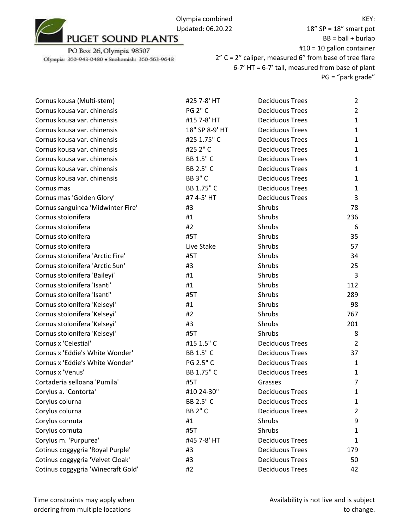

PO Box 26, Olympia 98507 Olympia: 360-943-0480 · Snohomish: 360-563-9648

18" SP = 18" smart pot  $BB = ball + burlap$ #10 = 10 gallon container 2" C = 2" caliper, measured 6" from base of tree flare 6-7' HT = 6-7' tall, measured from base of plant PG = "park grade"

| Cornus kousa (Multi-stem)          | #25 7-8' HT    | <b>Deciduous Trees</b> | $\overline{2}$ |
|------------------------------------|----------------|------------------------|----------------|
| Cornus kousa var. chinensis        | <b>PG 2" C</b> | <b>Deciduous Trees</b> | $\overline{2}$ |
| Cornus kousa var. chinensis        | #15 7-8' HT    | <b>Deciduous Trees</b> | $\mathbf{1}$   |
| Cornus kousa var. chinensis        | 18" SP 8-9' HT | <b>Deciduous Trees</b> | $\mathbf{1}$   |
| Cornus kousa var. chinensis        | #25 1.75" C    | <b>Deciduous Trees</b> | $\mathbf{1}$   |
| Cornus kousa var. chinensis        | #25 2" C       | <b>Deciduous Trees</b> | $\mathbf{1}$   |
| Cornus kousa var. chinensis        | BB 1.5" C      | <b>Deciduous Trees</b> | $\mathbf{1}$   |
| Cornus kousa var. chinensis        | BB 2.5" C      | <b>Deciduous Trees</b> | $\mathbf{1}$   |
| Cornus kousa var. chinensis        | <b>BB 3" C</b> | <b>Deciduous Trees</b> | $\mathbf{1}$   |
| Cornus mas                         | BB 1.75" C     | <b>Deciduous Trees</b> | $\mathbf{1}$   |
| Cornus mas 'Golden Glory'          | #7 4-5' HT     | <b>Deciduous Trees</b> | 3              |
| Cornus sanguinea 'Midwinter Fire'  | #3             | Shrubs                 | 78             |
| Cornus stolonifera                 | #1             | Shrubs                 | 236            |
| Cornus stolonifera                 | #2             | Shrubs                 | 6              |
| Cornus stolonifera                 | #5T            | Shrubs                 | 35             |
| Cornus stolonifera                 | Live Stake     | Shrubs                 | 57             |
| Cornus stolonifera 'Arctic Fire'   | #5T            | Shrubs                 | 34             |
| Cornus stolonifera 'Arctic Sun'    | #3             | Shrubs                 | 25             |
| Cornus stolonifera 'Baileyi'       | #1             | Shrubs                 | 3              |
| Cornus stolonifera 'Isanti'        | #1             | Shrubs                 | 112            |
| Cornus stolonifera 'Isanti'        | #5T            | Shrubs                 | 289            |
| Cornus stolonifera 'Kelseyi'       | #1             | Shrubs                 | 98             |
| Cornus stolonifera 'Kelseyi'       | #2             | Shrubs                 | 767            |
| Cornus stolonifera 'Kelseyi'       | #3             | Shrubs                 | 201            |
| Cornus stolonifera 'Kelseyi'       | #5T            | Shrubs                 | 8              |
| Cornus x 'Celestial'               | #15 1.5" C     | <b>Deciduous Trees</b> | 2              |
| Cornus x 'Eddie's White Wonder'    | BB 1.5" C      | <b>Deciduous Trees</b> | 37             |
| Cornus x 'Eddie's White Wonder'    | PG 2.5" C      | <b>Deciduous Trees</b> | $\mathbf{1}$   |
| Cornus x 'Venus'                   | BB 1.75" C     | <b>Deciduous Trees</b> | $\mathbf{1}$   |
| Cortaderia selloana 'Pumila'       | #5T            | Grasses                | $\overline{7}$ |
| Corylus a. 'Contorta'              | #10 24-30"     | <b>Deciduous Trees</b> | 1              |
| Corylus colurna                    | BB 2.5" C      | <b>Deciduous Trees</b> | $\mathbf{1}$   |
| Corylus colurna                    | <b>BB 2" C</b> | <b>Deciduous Trees</b> | $\overline{2}$ |
| Corylus cornuta                    | #1             | Shrubs                 | 9              |
| Corylus cornuta                    | #5T            | Shrubs                 | 1              |
| Corylus m. 'Purpurea'              | #45 7-8' HT    | <b>Deciduous Trees</b> | 1              |
| Cotinus coggygria 'Royal Purple'   | #3             | <b>Deciduous Trees</b> | 179            |
| Cotinus coggygria 'Velvet Cloak'   | #3             | <b>Deciduous Trees</b> | 50             |
| Cotinus coggygria 'Winecraft Gold' | #2             | <b>Deciduous Trees</b> | 42             |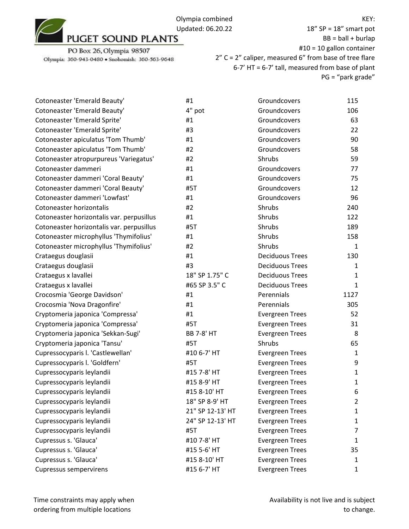

PO Box 26, Olympia 98507 Olympia: 360-943-0480 · Snohomish: 360-563-9648

18" SP = 18" smart pot  $BB = ball + burlap$ #10 = 10 gallon container 2" C = 2" caliper, measured 6" from base of tree flare 6-7' HT = 6-7' tall, measured from base of plant PG = "park grade"

| Cotoneaster 'Emerald Beauty'              | #1                | Groundcovers           | 115          |
|-------------------------------------------|-------------------|------------------------|--------------|
| Cotoneaster 'Emerald Beauty'              | 4" pot            | Groundcovers           | 106          |
| Cotoneaster 'Emerald Sprite'              | #1                | Groundcovers           | 63           |
| Cotoneaster 'Emerald Sprite'              | #3                | Groundcovers           | 22           |
| Cotoneaster apiculatus 'Tom Thumb'        | #1                | Groundcovers           | 90           |
| Cotoneaster apiculatus 'Tom Thumb'        | #2                | Groundcovers           | 58           |
| Cotoneaster atropurpureus 'Variegatus'    | #2                | Shrubs                 | 59           |
| Cotoneaster dammeri                       | #1                | Groundcovers           | 77           |
| Cotoneaster dammeri 'Coral Beauty'        | #1                | Groundcovers           | 75           |
| Cotoneaster dammeri 'Coral Beauty'        | #5T               | Groundcovers           | 12           |
| Cotoneaster dammeri 'Lowfast'             | #1                | Groundcovers           | 96           |
| Cotoneaster horizontalis                  | #2                | Shrubs                 | 240          |
| Cotoneaster horizontalis var. perpusillus | #1                | Shrubs                 | 122          |
| Cotoneaster horizontalis var. perpusillus | #5T               | Shrubs                 | 189          |
| Cotoneaster microphyllus 'Thymifolius'    | #1                | Shrubs                 | 158          |
| Cotoneaster microphyllus 'Thymifolius'    | #2                | Shrubs                 | $\mathbf{1}$ |
| Crataegus douglasii                       | #1                | <b>Deciduous Trees</b> | 130          |
| Crataegus douglasii                       | #3                | <b>Deciduous Trees</b> | 1            |
| Crataegus x lavallei                      | 18" SP 1.75" C    | <b>Deciduous Trees</b> | 1            |
| Crataegus x lavallei                      | #65 SP 3.5" C     | <b>Deciduous Trees</b> | 1            |
| Crocosmia 'George Davidson'               | #1                | Perennials             | 1127         |
| Crocosmia 'Nova Dragonfire'               | #1                | Perennials             | 305          |
| Cryptomeria japonica 'Compressa'          | #1                | <b>Evergreen Trees</b> | 52           |
| Cryptomeria japonica 'Compressa'          | #5T               | <b>Evergreen Trees</b> | 31           |
| Cryptomeria japonica 'Sekkan-Sugi'        | <b>BB 7-8' HT</b> | <b>Evergreen Trees</b> | 8            |
| Cryptomeria japonica 'Tansu'              | #5T               | Shrubs                 | 65           |
| Cupressocyparis I. 'Castlewellan'         | #10 6-7' HT       | <b>Evergreen Trees</b> | 1            |
| Cupressocyparis I. 'Goldfern'             | #5T               | <b>Evergreen Trees</b> | 9            |
| Cupressocyparis leylandii                 | #15 7-8' HT       | <b>Evergreen Trees</b> | 1            |
| Cupressocyparis leylandii                 | #15 8-9' HT       | <b>Evergreen Trees</b> | $\mathbf{1}$ |
| Cupressocyparis leylandii                 | #15 8-10' HT      | <b>Evergreen Trees</b> | 6            |
| Cupressocyparis leylandii                 | 18" SP 8-9' HT    | <b>Evergreen Trees</b> | 2            |
| Cupressocyparis leylandii                 | 21" SP 12-13' HT  | <b>Evergreen Trees</b> | 1            |
| Cupressocyparis leylandii                 | 24" SP 12-13' HT  | <b>Evergreen Trees</b> | 1            |
| Cupressocyparis leylandii                 | #5T               | <b>Evergreen Trees</b> | 7            |
| Cupressus s. 'Glauca'                     | #10 7-8' HT       | <b>Evergreen Trees</b> | 1            |
| Cupressus s. 'Glauca'                     | #15 5-6' HT       | <b>Evergreen Trees</b> | 35           |
| Cupressus s. 'Glauca'                     | #15 8-10' HT      | <b>Evergreen Trees</b> | 1            |
| <b>Cupressus sempervirens</b>             | #15 6-7' HT       | <b>Evergreen Trees</b> | 1            |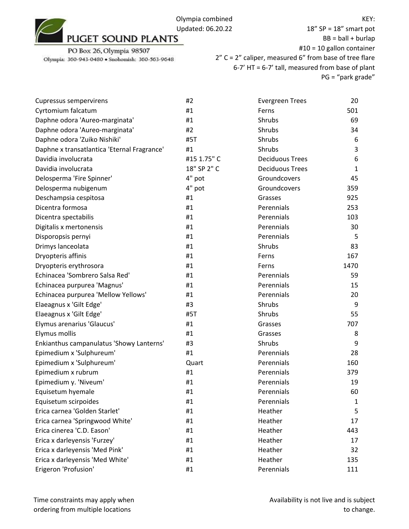

| <b>Cupressus sempervirens</b>               | #2          | <b>Evergreen Trees</b> | 20           |
|---------------------------------------------|-------------|------------------------|--------------|
| Cyrtomium falcatum                          | #1          | Ferns                  | 501          |
| Daphne odora 'Aureo-marginata'              | #1          | Shrubs                 | 69           |
| Daphne odora 'Aureo-marginata'              | #2          | Shrubs                 | 34           |
| Daphne odora 'Zuiko Nishiki'                | #5T         | Shrubs                 | 6            |
| Daphne x transatlantica 'Eternal Fragrance' | #1          | Shrubs                 | 3            |
| Davidia involucrata                         | #15 1.75" C | <b>Deciduous Trees</b> | 6            |
| Davidia involucrata                         | 18" SP 2" C | <b>Deciduous Trees</b> | $\mathbf{1}$ |
| Delosperma 'Fire Spinner'                   | 4" pot      | Groundcovers           | 45           |
| Delosperma nubigenum                        | 4" pot      | Groundcovers           | 359          |
| Deschampsia cespitosa                       | #1          | Grasses                | 925          |
| Dicentra formosa                            | #1          | Perennials             | 253          |
| Dicentra spectabilis                        | #1          | Perennials             | 103          |
| Digitalis x mertonensis                     | #1          | Perennials             | 30           |
| Disporopsis pernyi                          | #1          | Perennials             | 5            |
| Drimys lanceolata                           | #1          | Shrubs                 | 83           |
| Dryopteris affinis                          | #1          | Ferns                  | 167          |
| Dryopteris erythrosora                      | #1          | Ferns                  | 1470         |
| Echinacea 'Sombrero Salsa Red'              | #1          | Perennials             | 59           |
| Echinacea purpurea 'Magnus'                 | #1          | Perennials             | 15           |
| Echinacea purpurea 'Mellow Yellows'         | #1          | Perennials             | 20           |
| Elaeagnus x 'Gilt Edge'                     | #3          | Shrubs                 | 9            |
| Elaeagnus x 'Gilt Edge'                     | #5T         | Shrubs                 | 55           |
| Elymus arenarius 'Glaucus'                  | #1          | Grasses                | 707          |
| Elymus mollis                               | #1          | Grasses                | 8            |
| Enkianthus campanulatus 'Showy Lanterns'    | #3          | Shrubs                 | 9            |
| Epimedium x 'Sulphureum'                    | #1          | Perennials             | 28           |
| Epimedium x 'Sulphureum'                    | Quart       | Perennials             | 160          |
| Epimedium x rubrum                          | #1          | Perennials             | 379          |
| Epimedium y. 'Niveum'                       | #1          | Perennials             | 19           |
| Equisetum hyemale                           | #1          | Perennials             | 60           |
| Equisetum scirpoides                        | #1          | Perennials             | $\mathbf{1}$ |
| Erica carnea 'Golden Starlet'               | #1          | Heather                | 5            |
| Erica carnea 'Springwood White'             | #1          | Heather                | 17           |
| Erica cinerea 'C.D. Eason'                  | #1          | Heather                | 443          |
| Erica x darleyensis 'Furzey'                | #1          | Heather                | 17           |
| Erica x darleyensis 'Med Pink'              | #1          | Heather                | 32           |
| Erica x darleyensis 'Med White'             | #1          | Heather                | 135          |
| Erigeron 'Profusion'                        | #1          | Perennials             | 111          |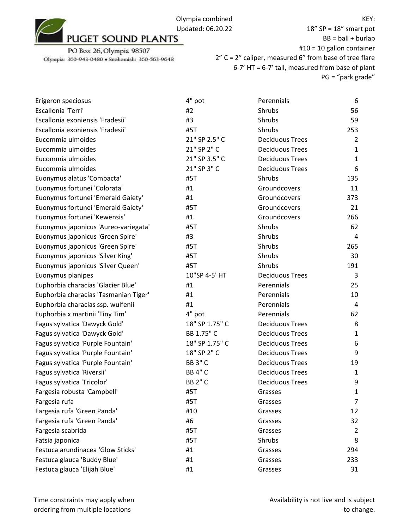

18" SP = 18" smart pot  $BB = ball + burlap$ #10 = 10 gallon container 2" C = 2" caliper, measured 6" from base of tree flare 6-7' HT = 6-7' tall, measured from base of plant PG = "park grade"

| Erigeron speciosus                    | 4" pot         | Perennials             | 6              |
|---------------------------------------|----------------|------------------------|----------------|
| Escallonia 'Terri'                    | #2             | Shrubs                 | 56             |
| Escallonia exoniensis 'Fradesii'      | #3             | Shrubs                 | 59             |
| Escallonia exoniensis 'Fradesii'      | #5T            | Shrubs                 | 253            |
| Eucommia ulmoides                     | 21" SP 2.5" C  | <b>Deciduous Trees</b> | $\overline{2}$ |
| Eucommia ulmoides                     | 21" SP 2" C    | <b>Deciduous Trees</b> | $\mathbf{1}$   |
| Eucommia ulmoides                     | 21" SP 3.5" C  | <b>Deciduous Trees</b> | 1              |
| Eucommia ulmoides                     | 21" SP 3" C    | <b>Deciduous Trees</b> | 6              |
| Euonymus alatus 'Compacta'            | #5T            | Shrubs                 | 135            |
| Euonymus fortunei 'Colorata'          | #1             | Groundcovers           | 11             |
| Euonymus fortunei 'Emerald Gaiety'    | #1             | Groundcovers           | 373            |
| Euonymus fortunei 'Emerald Gaiety'    | #5T            | Groundcovers           | 21             |
| Euonymus fortunei 'Kewensis'          | #1             | Groundcovers           | 266            |
| Euonymus japonicus 'Aureo-variegata'  | #5T            | Shrubs                 | 62             |
| Euonymus japonicus 'Green Spire'      | #3             | Shrubs                 | 4              |
| Euonymus japonicus 'Green Spire'      | #5T            | Shrubs                 | 265            |
| Euonymus japonicus 'Silver King'      | #5T            | Shrubs                 | 30             |
| Euonymus japonicus 'Silver Queen'     | #5T            | Shrubs                 | 191            |
| Euonymus planipes                     | 10"SP 4-5' HT  | <b>Deciduous Trees</b> | 3              |
| Euphorbia characias 'Glacier Blue'    | #1             | Perennials             | 25             |
| Euphorbia characias 'Tasmanian Tiger' | #1             | Perennials             | 10             |
| Euphorbia characias ssp. wulfenii     | #1             | Perennials             | 4              |
| Euphorbia x martinii 'Tiny Tim'       | 4" pot         | Perennials             | 62             |
| Fagus sylvatica 'Dawyck Gold'         | 18" SP 1.75" C | <b>Deciduous Trees</b> | 8              |
| Fagus sylvatica 'Dawyck Gold'         | BB 1.75" C     | <b>Deciduous Trees</b> | 1              |
| Fagus sylvatica 'Purple Fountain'     | 18" SP 1.75" C | <b>Deciduous Trees</b> | 6              |
| Fagus sylvatica 'Purple Fountain'     | 18" SP 2" C    | <b>Deciduous Trees</b> | 9              |
| Fagus sylvatica 'Purple Fountain'     | <b>BB 3" C</b> | <b>Deciduous Trees</b> | 19             |
| Fagus sylvatica 'Riversii'            | <b>BB 4" C</b> | <b>Deciduous Trees</b> | 1              |
| Fagus sylvatica 'Tricolor'            | <b>BB 2" C</b> | <b>Deciduous Trees</b> | 9              |
| Fargesia robusta 'Campbell'           | #5T            | Grasses                | 1              |
| Fargesia rufa                         | #5T            | Grasses                | 7              |
| Fargesia rufa 'Green Panda'           | #10            | Grasses                | 12             |
| Fargesia rufa 'Green Panda'           | #6             | Grasses                | 32             |
| Fargesia scabrida                     | #5T            | Grasses                | 2              |
| Fatsia japonica                       | #5T            | Shrubs                 | 8              |
| Festuca arundinacea 'Glow Sticks'     | #1             | Grasses                | 294            |
| Festuca glauca 'Buddy Blue'           | #1             | Grasses                | 233            |
| Festuca glauca 'Elijah Blue'          | #1             | Grasses                | 31             |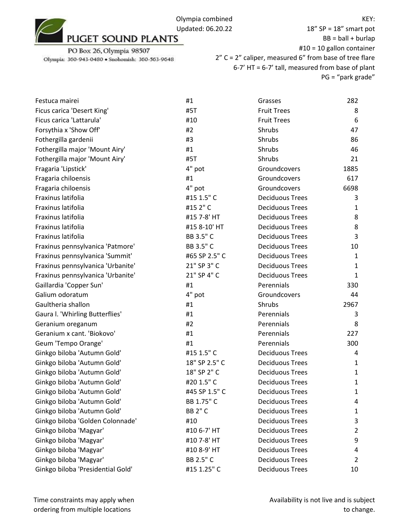18" SP = 18" smart pot  $BB = ball + burlap$ #10 = 10 gallon container 2" C = 2" caliper, measured 6" from base of tree flare 6-7' HT = 6-7' tall, measured from base of plant PG = "park grade"

| Festuca mairei                    | #1             | Grasses                | 282          |
|-----------------------------------|----------------|------------------------|--------------|
| Ficus carica 'Desert King'        | #5T            | <b>Fruit Trees</b>     | 8            |
| Ficus carica 'Lattarula'          | #10            | <b>Fruit Trees</b>     | 6            |
| Forsythia x 'Show Off'            | #2             | Shrubs                 | 47           |
| Fothergilla gardenii              | #3             | Shrubs                 | 86           |
| Fothergilla major 'Mount Airy'    | #1             | Shrubs                 | 46           |
| Fothergilla major 'Mount Airy'    | #5T            | Shrubs                 | 21           |
| Fragaria 'Lipstick'               | 4" pot         | Groundcovers           | 1885         |
| Fragaria chiloensis               | #1             | Groundcovers           | 617          |
| Fragaria chiloensis               | 4" pot         | Groundcovers           | 6698         |
| Fraxinus latifolia                | #15 1.5" C     | <b>Deciduous Trees</b> | 3            |
| Fraxinus latifolia                | #15 2" C       | <b>Deciduous Trees</b> | 1            |
| Fraxinus latifolia                | #15 7-8' HT    | <b>Deciduous Trees</b> | 8            |
| Fraxinus latifolia                | #15 8-10' HT   | <b>Deciduous Trees</b> | 8            |
| Fraxinus latifolia                | BB 3.5" C      | <b>Deciduous Trees</b> | 3            |
| Fraxinus pennsylvanica 'Patmore'  | BB 3.5" C      | <b>Deciduous Trees</b> | 10           |
| Fraxinus pennsylvanica 'Summit'   | #65 SP 2.5" C  | <b>Deciduous Trees</b> | 1            |
| Fraxinus pennsylvanica 'Urbanite' | 21" SP 3" C    | <b>Deciduous Trees</b> | 1            |
| Fraxinus pennsylvanica 'Urbanite' | 21" SP 4" C    | <b>Deciduous Trees</b> | 1            |
| Gaillardia 'Copper Sun'           | #1             | Perennials             | 330          |
| Galium odoratum                   | 4" pot         | Groundcovers           | 44           |
| Gaultheria shallon                | #1             | Shrubs                 | 2967         |
| Gaura I. 'Whirling Butterflies'   | #1             | Perennials             | 3            |
| Geranium oreganum                 | #2             | Perennials             | 8            |
| Geranium x cant. 'Biokovo'        | #1             | Perennials             | 227          |
| Geum 'Tempo Orange'               | #1             | Perennials             | 300          |
| Ginkgo biloba 'Autumn Gold'       | #15 1.5" C     | <b>Deciduous Trees</b> | 4            |
| Ginkgo biloba 'Autumn Gold'       | 18" SP 2.5" C  | <b>Deciduous Trees</b> | 1            |
| Ginkgo biloba 'Autumn Gold'       | 18" SP 2" C    | <b>Deciduous Trees</b> | $\mathbf{1}$ |
| Ginkgo biloba 'Autumn Gold'       | #20 1.5" C     | <b>Deciduous Trees</b> | 1            |
| Ginkgo biloba 'Autumn Gold'       | #45 SP 1.5" C  | <b>Deciduous Trees</b> | 1            |
| Ginkgo biloba 'Autumn Gold'       | BB 1.75" C     | <b>Deciduous Trees</b> | 4            |
| Ginkgo biloba 'Autumn Gold'       | <b>BB 2" C</b> | <b>Deciduous Trees</b> | 1            |
| Ginkgo biloba 'Golden Colonnade'  | #10            | <b>Deciduous Trees</b> | 3            |
| Ginkgo biloba 'Magyar'            | #10 6-7' HT    | <b>Deciduous Trees</b> | 2            |
| Ginkgo biloba 'Magyar'            | #10 7-8' HT    | <b>Deciduous Trees</b> | 9            |
| Ginkgo biloba 'Magyar'            | #10 8-9' HT    | <b>Deciduous Trees</b> | 4            |
| Ginkgo biloba 'Magyar'            | BB 2.5" C      | <b>Deciduous Trees</b> | 2            |
| Ginkgo biloba 'Presidential Gold' | #15 1.25" C    | <b>Deciduous Trees</b> | 10           |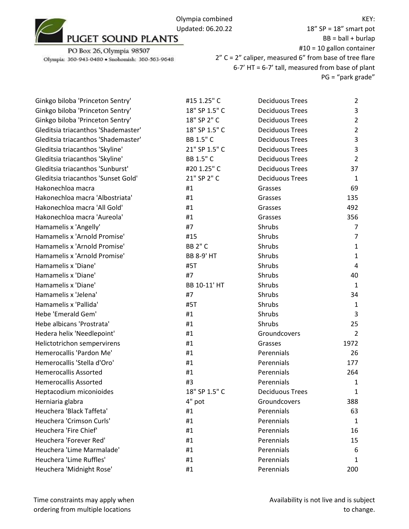

PO Box 26, Olympia 98507 Olympia: 360-943-0480 · Snohomish: 360-563-9648

18" SP = 18" smart pot  $BB = ball + burlap$ #10 = 10 gallon container 2" C = 2" caliper, measured 6" from base of tree flare 6-7' HT = 6-7' tall, measured from base of plant PG = "park grade"

| Ginkgo biloba 'Princeton Sentry'    | #15 1.25" C       | <b>Deciduous Trees</b> | $\overline{2}$ |
|-------------------------------------|-------------------|------------------------|----------------|
| Ginkgo biloba 'Princeton Sentry'    | 18" SP 1.5" C     | <b>Deciduous Trees</b> | 3              |
| Ginkgo biloba 'Princeton Sentry'    | 18" SP 2" C       | <b>Deciduous Trees</b> | $\overline{2}$ |
| Gleditsia triacanthos 'Shademaster' | 18" SP 1.5" C     | <b>Deciduous Trees</b> | $\overline{2}$ |
| Gleditsia triacanthos 'Shademaster' | BB 1.5" C         | <b>Deciduous Trees</b> | 3              |
| Gleditsia triacanthos 'Skyline'     | 21" SP 1.5" C     | <b>Deciduous Trees</b> | 3              |
| Gleditsia triacanthos 'Skyline'     | BB 1.5" C         | <b>Deciduous Trees</b> | $\overline{2}$ |
| Gleditsia triacanthos 'Sunburst'    | #20 1.25" C       | <b>Deciduous Trees</b> | 37             |
| Gleditsia triacanthos 'Sunset Gold' | 21" SP 2" C       | <b>Deciduous Trees</b> | $\mathbf{1}$   |
| Hakonechloa macra                   | #1                | Grasses                | 69             |
| Hakonechloa macra 'Albostriata'     | #1                | Grasses                | 135            |
| Hakonechloa macra 'All Gold'        | #1                | Grasses                | 492            |
| Hakonechloa macra 'Aureola'         | #1                | Grasses                | 356            |
| Hamamelis x 'Angelly'               | #7                | Shrubs                 | 7              |
| Hamamelis x 'Arnold Promise'        | #15               | Shrubs                 | $\overline{7}$ |
| Hamamelis x 'Arnold Promise'        | <b>BB 2" C</b>    | Shrubs                 | $\mathbf{1}$   |
| Hamamelis x 'Arnold Promise'        | <b>BB 8-9' HT</b> | Shrubs                 | $\mathbf{1}$   |
| Hamamelis x 'Diane'                 | #5T               | Shrubs                 | 4              |
| Hamamelis x 'Diane'                 | #7                | Shrubs                 | 40             |
| Hamamelis x 'Diane'                 | BB 10-11' HT      | Shrubs                 | $\mathbf{1}$   |
| Hamamelis x 'Jelena'                | #7                | Shrubs                 | 34             |
| Hamamelis x 'Pallida'               | #5T               | Shrubs                 | $\mathbf{1}$   |
| Hebe 'Emerald Gem'                  | #1                | Shrubs                 | 3              |
| Hebe albicans 'Prostrata'           | #1                | Shrubs                 | 25             |
| Hedera helix 'Needlepoint'          | #1                | Groundcovers           | 2              |
| Helictotrichon sempervirens         | #1                | Grasses                | 1972           |
| Hemerocallis 'Pardon Me'            | #1                | Perennials             | 26             |
| Hemerocallis 'Stella d'Oro'         | #1                | Perennials             | 177            |
| <b>Hemerocallis Assorted</b>        | #1                | Perennials             | 264            |
| <b>Hemerocallis Assorted</b>        | #3                | Perennials             | $\mathbf{1}$   |
| Heptacodium miconioides             | 18" SP 1.5" C     | <b>Deciduous Trees</b> | 1              |
| Herniaria glabra                    | 4" pot            | Groundcovers           | 388            |
| Heuchera 'Black Taffeta'            | #1                | Perennials             | 63             |
| Heuchera 'Crimson Curls'            | #1                | Perennials             | 1              |
| Heuchera 'Fire Chief'               | #1                | Perennials             | 16             |
| Heuchera 'Forever Red'              | #1                | Perennials             | 15             |
| Heuchera 'Lime Marmalade'           | #1                | Perennials             | 6              |
| Heuchera 'Lime Ruffles'             | #1                | Perennials             | 1              |
| Heuchera 'Midnight Rose'            | #1                | Perennials             | 200            |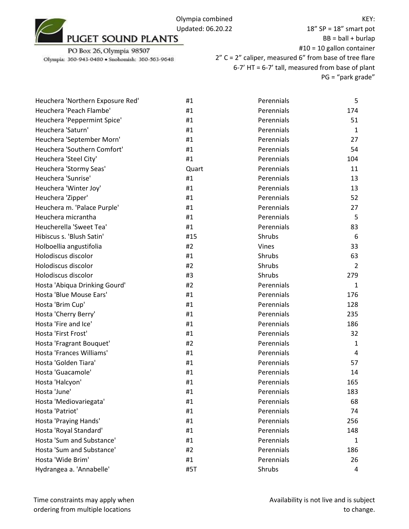

18" SP = 18" smart pot  $BB = ball + burlap$ #10 = 10 gallon container 2" C = 2" caliper, measured 6" from base of tree flare 6-7' HT = 6-7' tall, measured from base of plant PG = "park grade"

| Heuchera 'Northern Exposure Red' | #1    | Perennials | 5              |
|----------------------------------|-------|------------|----------------|
| Heuchera 'Peach Flambe'          | #1    | Perennials | 174            |
| Heuchera 'Peppermint Spice'      | #1    | Perennials | 51             |
| Heuchera 'Saturn'                | #1    | Perennials | $\mathbf{1}$   |
| Heuchera 'September Morn'        | #1    | Perennials | 27             |
| Heuchera 'Southern Comfort'      | #1    | Perennials | 54             |
| Heuchera 'Steel City'            | #1    | Perennials | 104            |
| Heuchera 'Stormy Seas'           | Quart | Perennials | 11             |
| Heuchera 'Sunrise'               | #1    | Perennials | 13             |
| Heuchera 'Winter Joy'            | #1    | Perennials | 13             |
| Heuchera 'Zipper'                | #1    | Perennials | 52             |
| Heuchera m. 'Palace Purple'      | #1    | Perennials | 27             |
| Heuchera micrantha               | #1    | Perennials | 5              |
| Heucherella 'Sweet Tea'          | #1    | Perennials | 83             |
| Hibiscus s. 'Blush Satin'        | #15   | Shrubs     | 6              |
| Holboellia angustifolia          | #2    | Vines      | 33             |
| Holodiscus discolor              | #1    | Shrubs     | 63             |
| Holodiscus discolor              | #2    | Shrubs     | $\overline{2}$ |
| Holodiscus discolor              | #3    | Shrubs     | 279            |
| Hosta 'Abiqua Drinking Gourd'    | #2    | Perennials | $\mathbf{1}$   |
| Hosta 'Blue Mouse Ears'          | #1    | Perennials | 176            |
| Hosta 'Brim Cup'                 | #1    | Perennials | 128            |
| Hosta 'Cherry Berry'             | #1    | Perennials | 235            |
| Hosta 'Fire and Ice'             | #1    | Perennials | 186            |
| Hosta 'First Frost'              | #1    | Perennials | 32             |
| Hosta 'Fragrant Bouquet'         | #2    | Perennials | 1              |
| Hosta 'Frances Williams'         | #1    | Perennials | 4              |
| Hosta 'Golden Tiara'             | #1    | Perennials | 57             |
| Hosta 'Guacamole'                | #1    | Perennials | 14             |
| Hosta 'Halcyon'                  | #1    | Perennials | 165            |
| Hosta 'June'                     | #1    | Perennials | 183            |
| Hosta 'Mediovariegata'           | #1    | Perennials | 68             |
| Hosta 'Patriot'                  | #1    | Perennials | 74             |
| Hosta 'Praying Hands'            | #1    | Perennials | 256            |
| Hosta 'Royal Standard'           | #1    | Perennials | 148            |
| Hosta 'Sum and Substance'        | #1    | Perennials | 1              |
| Hosta 'Sum and Substance'        | #2    | Perennials | 186            |
| Hosta 'Wide Brim'                | #1    | Perennials | 26             |
| Hydrangea a. 'Annabelle'         | #5T   | Shrubs     | 4              |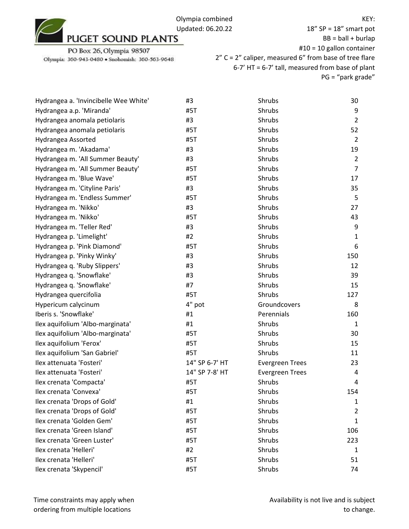

18" SP = 18" smart pot  $BB = ball + burlap$ #10 = 10 gallon container 2" C = 2" caliper, measured 6" from base of tree flare 6-7' HT = 6-7' tall, measured from base of plant PG = "park grade"

| Hydrangea a. 'Invincibelle Wee White' | #3             | Shrubs                 | 30             |
|---------------------------------------|----------------|------------------------|----------------|
| Hydrangea a.p. 'Miranda'              | #5T            | Shrubs                 | 9              |
| Hydrangea anomala petiolaris          | #3             | Shrubs                 | $\overline{2}$ |
| Hydrangea anomala petiolaris          | #5T            | Shrubs                 | 52             |
| Hydrangea Assorted                    | #5T            | Shrubs                 | $\overline{2}$ |
| Hydrangea m. 'Akadama'                | #3             | Shrubs                 | 19             |
| Hydrangea m. 'All Summer Beauty'      | #3             | Shrubs                 | 2              |
| Hydrangea m. 'All Summer Beauty'      | #5T            | Shrubs                 | $\overline{7}$ |
| Hydrangea m. 'Blue Wave'              | #5T            | Shrubs                 | 17             |
| Hydrangea m. 'Cityline Paris'         | #3             | Shrubs                 | 35             |
| Hydrangea m. 'Endless Summer'         | #5T            | Shrubs                 | 5              |
| Hydrangea m. 'Nikko'                  | #3             | Shrubs                 | 27             |
| Hydrangea m. 'Nikko'                  | #5T            | Shrubs                 | 43             |
| Hydrangea m. 'Teller Red'             | #3             | Shrubs                 | 9              |
| Hydrangea p. 'Limelight'              | #2             | Shrubs                 | 1              |
| Hydrangea p. 'Pink Diamond'           | #5T            | Shrubs                 | 6              |
| Hydrangea p. 'Pinky Winky'            | #3             | Shrubs                 | 150            |
| Hydrangea q. 'Ruby Slippers'          | #3             | Shrubs                 | 12             |
| Hydrangea q. 'Snowflake'              | #3             | Shrubs                 | 39             |
| Hydrangea q. 'Snowflake'              | #7             | Shrubs                 | 15             |
| Hydrangea quercifolia                 | #5T            | Shrubs                 | 127            |
| Hypericum calycinum                   | 4" pot         | Groundcovers           | 8              |
| Iberis s. 'Snowflake'                 | #1             | Perennials             | 160            |
| Ilex aquifolium 'Albo-marginata'      | #1             | Shrubs                 | 1              |
| Ilex aquifolium 'Albo-marginata'      | #5T            | Shrubs                 | 30             |
| Ilex aquifolium 'Ferox'               | #5T            | Shrubs                 | 15             |
| Ilex aquifolium 'San Gabriel'         | #5T            | Shrubs                 | 11             |
| Ilex attenuata 'Fosteri'              | 14" SP 6-7' HT | <b>Evergreen Trees</b> | 23             |
| Ilex attenuata 'Fosteri'              | 14" SP 7-8' HT | <b>Evergreen Trees</b> | 4              |
| Ilex crenata 'Compacta'               | #5T            | Shrubs                 | 4              |
| Ilex crenata 'Convexa'                | #5T            | Shrubs                 | 154            |
| Ilex crenata 'Drops of Gold'          | #1             | Shrubs                 | 1              |
| Ilex crenata 'Drops of Gold'          | #5T            | Shrubs                 | 2              |
| Ilex crenata 'Golden Gem'             | #5T            | Shrubs                 | 1              |
| Ilex crenata 'Green Island'           | #5T            | Shrubs                 | 106            |
| Ilex crenata 'Green Luster'           | #5T            | Shrubs                 | 223            |
| Ilex crenata 'Helleri'                | #2             | Shrubs                 | 1              |
| Ilex crenata 'Helleri'                | #5T            | Shrubs                 | 51             |
| Ilex crenata 'Skypencil'              | #5T            | Shrubs                 | 74             |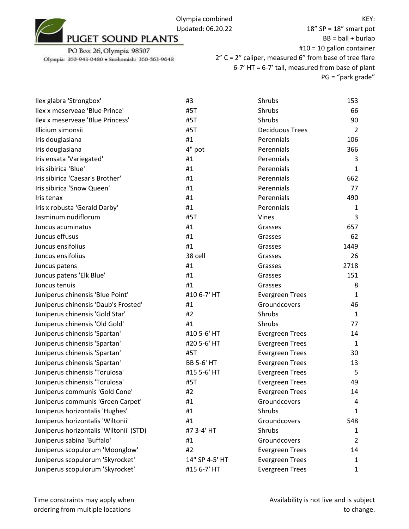

18" SP = 18" smart pot  $BB = ball + burlap$ #10 = 10 gallon container 2" C = 2" caliper, measured 6" from base of tree flare 6-7' HT = 6-7' tall, measured from base of plant PG = "park grade"

| Ilex glabra 'Strongbox'                 | #3                | Shrubs                 | 153            |
|-----------------------------------------|-------------------|------------------------|----------------|
| Ilex x meserveae 'Blue Prince'          | #5T               | <b>Shrubs</b>          | 66             |
| Ilex x meserveae 'Blue Princess'        | #5T               | <b>Shrubs</b>          | 90             |
| Illicium simonsii                       | #5T               | <b>Deciduous Trees</b> | $\overline{2}$ |
| Iris douglasiana                        | #1                | Perennials             | 106            |
| Iris douglasiana                        | 4" pot            | Perennials             | 366            |
| Iris ensata 'Variegated'                | #1                | Perennials             | 3              |
| Iris sibirica 'Blue'                    | #1                | Perennials             | 1              |
| Iris sibirica 'Caesar's Brother'        | #1                | Perennials             | 662            |
| Iris sibirica 'Snow Queen'              | #1                | Perennials             | 77             |
| Iris tenax                              | #1                | Perennials             | 490            |
| Iris x robusta 'Gerald Darby'           | #1                | Perennials             | 1              |
| Jasminum nudiflorum                     | #5T               | Vines                  | 3              |
| Juncus acuminatus                       | #1                | Grasses                | 657            |
| Juncus effusus                          | #1                | Grasses                | 62             |
| Juncus ensifolius                       | #1                | Grasses                | 1449           |
| Juncus ensifolius                       | 38 cell           | Grasses                | 26             |
| Juncus patens                           | #1                | Grasses                | 2718           |
| Juncus patens 'Elk Blue'                | #1                | Grasses                | 151            |
| Juncus tenuis                           | #1                | Grasses                | 8              |
| Juniperus chinensis 'Blue Point'        | #10 6-7' HT       | <b>Evergreen Trees</b> | 1              |
| Juniperus chinensis 'Daub's Frosted'    | #1                | Groundcovers           | 46             |
| Juniperus chinensis 'Gold Star'         | #2                | Shrubs                 | $\mathbf{1}$   |
| Juniperus chinensis 'Old Gold'          | #1                | Shrubs                 | 77             |
| Juniperus chinensis 'Spartan'           | #10 5-6' HT       | <b>Evergreen Trees</b> | 14             |
| Juniperus chinensis 'Spartan'           | #20 5-6' HT       | <b>Evergreen Trees</b> | 1              |
| Juniperus chinensis 'Spartan'           | #5T               | <b>Evergreen Trees</b> | 30             |
| Juniperus chinensis 'Spartan'           | <b>BB 5-6' HT</b> | <b>Evergreen Trees</b> | 13             |
| Juniperus chinensis 'Torulosa'          | #15 5-6' HT       | <b>Evergreen Trees</b> | 5              |
| Juniperus chinensis 'Torulosa'          | #5T               | <b>Evergreen Trees</b> | 49             |
| Juniperus communis 'Gold Cone'          | #2                | <b>Evergreen Trees</b> | 14             |
| Juniperus communis 'Green Carpet'       | #1                | Groundcovers           | 4              |
| Juniperus horizontalis 'Hughes'         | #1                | Shrubs                 | 1              |
| Juniperus horizontalis 'Wiltonii'       | #1                | Groundcovers           | 548            |
| Juniperus horizontalis 'Wiltonii' (STD) | #7 3-4' HT        | Shrubs                 | 1              |
| Juniperus sabina 'Buffalo'              | #1                | Groundcovers           | $\overline{2}$ |
| Juniperus scopulorum 'Moonglow'         | #2                | <b>Evergreen Trees</b> | 14             |
| Juniperus scopulorum 'Skyrocket'        | 14" SP 4-5' HT    | <b>Evergreen Trees</b> | 1              |
| Juniperus scopulorum 'Skyrocket'        | #15 6-7' HT       | <b>Evergreen Trees</b> | 1              |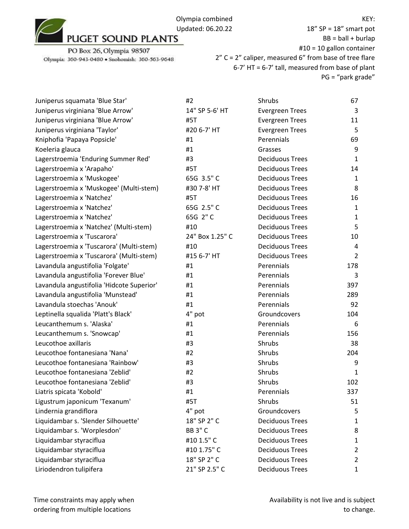PO Box 26, Olympia 98507

Olympia: 360-943-0480 · Snohomish: 360-563-9648

18" SP = 18" smart pot  $BB = ball + burlap$ #10 = 10 gallon container 2" C = 2" caliper, measured 6" from base of tree flare 6-7' HT = 6-7' tall, measured from base of plant PG = "park grade"

| Juniperus squamata 'Blue Star'            | #2              | Shrubs                 | 67             |
|-------------------------------------------|-----------------|------------------------|----------------|
| Juniperus virginiana 'Blue Arrow'         | 14" SP 5-6' HT  | <b>Evergreen Trees</b> | 3              |
| Juniperus virginiana 'Blue Arrow'         | #5T             | <b>Evergreen Trees</b> | 11             |
| Juniperus virginiana 'Taylor'             | #20 6-7' HT     | <b>Evergreen Trees</b> | 5              |
| Kniphofia 'Papaya Popsicle'               | #1              | Perennials             | 69             |
| Koeleria glauca                           | #1              | Grasses                | 9              |
| Lagerstroemia 'Enduring Summer Red'       | #3              | <b>Deciduous Trees</b> | 1              |
| Lagerstroemia x 'Arapaho'                 | #5T             | <b>Deciduous Trees</b> | 14             |
| Lagerstroemia x 'Muskogee'                | 65G 3.5" C      | <b>Deciduous Trees</b> | 1              |
| Lagerstroemia x 'Muskogee' (Multi-stem)   | #30 7-8' HT     | <b>Deciduous Trees</b> | 8              |
| Lagerstroemia x 'Natchez'                 | #5T             | <b>Deciduous Trees</b> | 16             |
| Lagerstroemia x 'Natchez'                 | 65G 2.5" C      | <b>Deciduous Trees</b> | 1              |
| Lagerstroemia x 'Natchez'                 | 65G 2"C         | <b>Deciduous Trees</b> | 1              |
| Lagerstroemia x 'Natchez' (Multi-stem)    | #10             | <b>Deciduous Trees</b> | 5              |
| Lagerstroemia x 'Tuscarora'               | 24" Box 1.25" C | <b>Deciduous Trees</b> | 10             |
| Lagerstroemia x 'Tuscarora' (Multi-stem)  | #10             | <b>Deciduous Trees</b> | 4              |
| Lagerstroemia x 'Tuscarora' (Multi-stem)  | #15 6-7' HT     | <b>Deciduous Trees</b> | $\overline{2}$ |
| Lavandula angustifolia 'Folgate'          | #1              | Perennials             | 178            |
| Lavandula angustifolia 'Forever Blue'     | #1              | Perennials             | 3              |
| Lavandula angustifolia 'Hidcote Superior' | #1              | Perennials             | 397            |
| Lavandula angustifolia 'Munstead'         | #1              | Perennials             | 289            |
| Lavandula stoechas 'Anouk'                | #1              | Perennials             | 92             |
| Leptinella squalida 'Platt's Black'       | 4" pot          | Groundcovers           | 104            |
| Leucanthemum s. 'Alaska'                  | #1              | Perennials             | 6              |
| Leucanthemum s. 'Snowcap'                 | #1              | Perennials             | 156            |
| Leucothoe axillaris                       | #3              | Shrubs                 | 38             |
| Leucothoe fontanesiana 'Nana'             | #2              | Shrubs                 | 204            |
| Leucothoe fontanesiana 'Rainbow'          | #3              | Shrubs                 | 9              |
| Leucothoe fontanesiana 'Zeblid'           | #2              | Shrubs                 | 1              |
| Leucothoe fontanesiana 'Zeblid'           | #3              | Shrubs                 | 102            |
| Liatris spicata 'Kobold'                  | #1              | Perennials             | 337            |
| Ligustrum japonicum 'Texanum'             | #5T             | Shrubs                 | 51             |
| Lindernia grandiflora                     | 4" pot          | Groundcovers           | 5              |
| Liquidambar s. 'Slender Silhouette'       | 18" SP 2" C     | <b>Deciduous Trees</b> | 1              |
| Liquidambar s. 'Worplesdon'               | <b>BB 3" C</b>  | <b>Deciduous Trees</b> | 8              |
| Liquidambar styraciflua                   | #10 1.5" C      | <b>Deciduous Trees</b> | 1              |
| Liquidambar styraciflua                   | #10 1.75" C     | <b>Deciduous Trees</b> | 2              |
| Liquidambar styraciflua                   | 18" SP 2" C     | <b>Deciduous Trees</b> | 2              |
| Liriodendron tulipifera                   | 21" SP 2.5" C   | <b>Deciduous Trees</b> | $\mathbf{1}$   |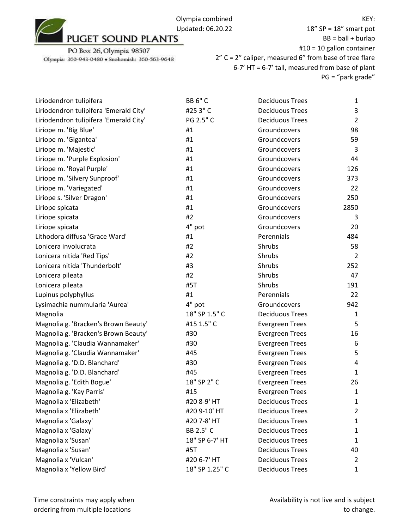

PO Box 26, Olympia 98507 Olympia: 360-943-0480 · Snohomish: 360-563-9648

18" SP = 18" smart pot  $BB = ball + burlap$ #10 = 10 gallon container 2" C = 2" caliper, measured 6" from base of tree flare 6-7' HT = 6-7' tall, measured from base of plant PG = "park grade"

| Liriodendron tulipifera                | <b>BB 6" C</b> | <b>Deciduous Trees</b> | $\mathbf{1}$   |
|----------------------------------------|----------------|------------------------|----------------|
| Liriodendron tulipifera 'Emerald City' | #253"C         | <b>Deciduous Trees</b> | 3              |
| Liriodendron tulipifera 'Emerald City' | PG 2.5" C      | <b>Deciduous Trees</b> | $\overline{2}$ |
| Liriope m. 'Big Blue'                  | #1             | Groundcovers           | 98             |
| Liriope m. 'Gigantea'                  | #1             | Groundcovers           | 59             |
| Liriope m. 'Majestic'                  | #1             | Groundcovers           | 3              |
| Liriope m. 'Purple Explosion'          | #1             | Groundcovers           | 44             |
| Liriope m. 'Royal Purple'              | #1             | Groundcovers           | 126            |
| Liriope m. 'Silvery Sunproof'          | #1             | Groundcovers           | 373            |
| Liriope m. 'Variegated'                | #1             | Groundcovers           | 22             |
| Liriope s. 'Silver Dragon'             | #1             | Groundcovers           | 250            |
| Liriope spicata                        | #1             | Groundcovers           | 2850           |
| Liriope spicata                        | #2             | Groundcovers           | 3              |
| Liriope spicata                        | 4" pot         | Groundcovers           | 20             |
| Lithodora diffusa 'Grace Ward'         | #1             | Perennials             | 484            |
| Lonicera involucrata                   | #2             | Shrubs                 | 58             |
| Lonicera nitida 'Red Tips'             | #2             | Shrubs                 | $\overline{2}$ |
| Lonicera nitida 'Thunderbolt'          | #3             | Shrubs                 | 252            |
| Lonicera pileata                       | #2             | Shrubs                 | 47             |
| Lonicera pileata                       | #5T            | Shrubs                 | 191            |
| Lupinus polyphyllus                    | #1             | Perennials             | 22             |
| Lysimachia nummularia 'Aurea'          | 4" pot         | Groundcovers           | 942            |
| Magnolia                               | 18" SP 1.5" C  | <b>Deciduous Trees</b> | $\mathbf{1}$   |
| Magnolia g. 'Bracken's Brown Beauty'   | #15 1.5" C     | <b>Evergreen Trees</b> | 5              |
| Magnolia g. 'Bracken's Brown Beauty'   | #30            | <b>Evergreen Trees</b> | 16             |
| Magnolia g. 'Claudia Wannamaker'       | #30            | <b>Evergreen Trees</b> | 6              |
| Magnolia g. 'Claudia Wannamaker'       | #45            | <b>Evergreen Trees</b> | 5              |
| Magnolia g. 'D.D. Blanchard'           | #30            | <b>Evergreen Trees</b> | 4              |
| Magnolia g. 'D.D. Blanchard'           | #45            | <b>Evergreen Trees</b> | 1              |
| Magnolia g. 'Edith Bogue'              | 18" SP 2" C    | <b>Evergreen Trees</b> | 26             |
| Magnolia g. 'Kay Parris'               | #15            | <b>Evergreen Trees</b> | $\mathbf{1}$   |
| Magnolia x 'Elizabeth'                 | #20 8-9' HT    | <b>Deciduous Trees</b> | 1              |
| Magnolia x 'Elizabeth'                 | #20 9-10' HT   | <b>Deciduous Trees</b> | $\overline{2}$ |
| Magnolia x 'Galaxy'                    | #20 7-8' HT    | <b>Deciduous Trees</b> | 1              |
| Magnolia x 'Galaxy'                    | BB 2.5" C      | <b>Deciduous Trees</b> | $\mathbf{1}$   |
| Magnolia x 'Susan'                     | 18" SP 6-7' HT | <b>Deciduous Trees</b> | 1              |
| Magnolia x 'Susan'                     | #5T            | <b>Deciduous Trees</b> | 40             |
| Magnolia x 'Vulcan'                    | #20 6-7' HT    | <b>Deciduous Trees</b> | 2              |
| Magnolia x 'Yellow Bird'               | 18" SP 1.25" C | <b>Deciduous Trees</b> | $\mathbf{1}$   |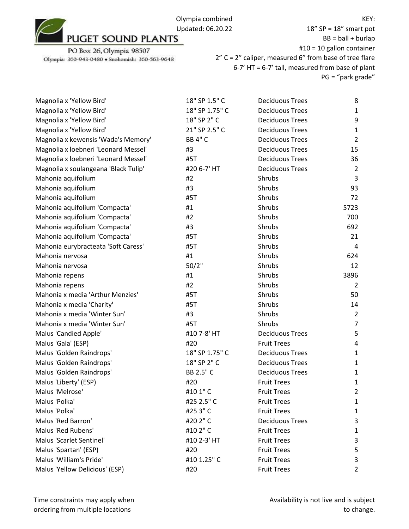PO Box 26, Olympia 98507

Olympia: 360-943-0480 · Snohomish: 360-563-9648

18" SP = 18" smart pot  $BB = ball + burlap$ #10 = 10 gallon container 2" C = 2" caliper, measured 6" from base of tree flare 6-7' HT = 6-7' tall, measured from base of plant PG = "park grade"

| Magnolia x 'Yellow Bird'             | 18" SP 1.5" C  | <b>Deciduous Trees</b> | 8              |
|--------------------------------------|----------------|------------------------|----------------|
| Magnolia x 'Yellow Bird'             | 18" SP 1.75" C | <b>Deciduous Trees</b> | $\mathbf{1}$   |
| Magnolia x 'Yellow Bird'             | 18" SP 2" C    | <b>Deciduous Trees</b> | 9              |
| Magnolia x 'Yellow Bird'             | 21" SP 2.5" C  | <b>Deciduous Trees</b> | $\mathbf{1}$   |
| Magnolia x kewensis 'Wada's Memory'  | <b>BB 4" C</b> | <b>Deciduous Trees</b> | $\overline{2}$ |
| Magnolia x loebneri 'Leonard Messel' | #3             | <b>Deciduous Trees</b> | 15             |
| Magnolia x loebneri 'Leonard Messel' | #5T            | <b>Deciduous Trees</b> | 36             |
| Magnolia x soulangeana 'Black Tulip' | #20 6-7' HT    | <b>Deciduous Trees</b> | $\overline{2}$ |
| Mahonia aquifolium                   | #2             | Shrubs                 | 3              |
| Mahonia aquifolium                   | #3             | Shrubs                 | 93             |
| Mahonia aquifolium                   | #5T            | Shrubs                 | 72             |
| Mahonia aquifolium 'Compacta'        | #1             | Shrubs                 | 5723           |
| Mahonia aquifolium 'Compacta'        | #2             | Shrubs                 | 700            |
| Mahonia aquifolium 'Compacta'        | #3             | Shrubs                 | 692            |
| Mahonia aquifolium 'Compacta'        | #5T            | Shrubs                 | 21             |
| Mahonia eurybracteata 'Soft Caress'  | #5T            | Shrubs                 | 4              |
| Mahonia nervosa                      | #1             | Shrubs                 | 624            |
| Mahonia nervosa                      | 50/2"          | Shrubs                 | 12             |
| Mahonia repens                       | #1             | Shrubs                 | 3896           |
| Mahonia repens                       | #2             | Shrubs                 | $\overline{2}$ |
| Mahonia x media 'Arthur Menzies'     | #5T            | Shrubs                 | 50             |
| Mahonia x media 'Charity'            | #5T            | Shrubs                 | 14             |
| Mahonia x media 'Winter Sun'         | #3             | Shrubs                 | $\overline{2}$ |
| Mahonia x media 'Winter Sun'         | #5T            | Shrubs                 | $\overline{7}$ |
| Malus 'Candied Apple'                | #10 7-8' HT    | <b>Deciduous Trees</b> | 5              |
| Malus 'Gala' (ESP)                   | #20            | <b>Fruit Trees</b>     | 4              |
| Malus 'Golden Raindrops'             | 18" SP 1.75" C | <b>Deciduous Trees</b> | 1              |
| Malus 'Golden Raindrops'             | 18" SP 2" C    | <b>Deciduous Trees</b> | 1              |
| Malus 'Golden Raindrops'             | BB 2.5" C      | <b>Deciduous Trees</b> | 1              |
| Malus 'Liberty' (ESP)                | #20            | <b>Fruit Trees</b>     | 1              |
| Malus 'Melrose'                      | #10 1" C       | <b>Fruit Trees</b>     | $\overline{2}$ |
| Malus 'Polka'                        | #25 2.5" C     | <b>Fruit Trees</b>     | 1              |
| Malus 'Polka'                        | #253"C         | <b>Fruit Trees</b>     | 1              |
| Malus 'Red Barron'                   | #20 2" C       | <b>Deciduous Trees</b> | 3              |
| Malus 'Red Rubens'                   | #10 2" C       | <b>Fruit Trees</b>     | 1              |
| Malus 'Scarlet Sentinel'             | #10 2-3' HT    | <b>Fruit Trees</b>     | 3              |
| Malus 'Spartan' (ESP)                | #20            | <b>Fruit Trees</b>     | 5              |
| Malus 'William's Pride'              | #10 1.25" C    | <b>Fruit Trees</b>     | 3              |
| Malus 'Yellow Delicious' (ESP)       | #20            | <b>Fruit Trees</b>     | $\overline{2}$ |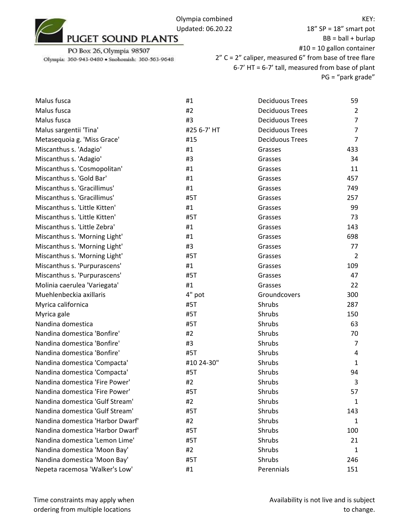18" SP = 18" smart pot  $BB = ball + burlap$ #10 = 10 gallon container 2" C = 2" caliper, measured 6" from base of tree flare 6-7' HT = 6-7' tall, measured from base of plant PG = "park grade"

| Malus fusca                      | #1          | <b>Deciduous Trees</b> | 59             |
|----------------------------------|-------------|------------------------|----------------|
| Malus fusca                      | #2          | <b>Deciduous Trees</b> | $\overline{2}$ |
| Malus fusca                      | #3          | <b>Deciduous Trees</b> | $\overline{7}$ |
| Malus sargentii 'Tina'           | #25 6-7' HT | <b>Deciduous Trees</b> | $\overline{7}$ |
| Metasequoia g. 'Miss Grace'      | #15         | <b>Deciduous Trees</b> | $\overline{7}$ |
| Miscanthus s. 'Adagio'           | #1          | Grasses                | 433            |
| Miscanthus s. 'Adagio'           | #3          | Grasses                | 34             |
| Miscanthus s. 'Cosmopolitan'     | #1          | Grasses                | 11             |
| Miscanthus s. 'Gold Bar'         | #1          | Grasses                | 457            |
| Miscanthus s. 'Gracillimus'      | #1          | Grasses                | 749            |
| Miscanthus s. 'Gracillimus'      | #5T         | Grasses                | 257            |
| Miscanthus s. 'Little Kitten'    | #1          | Grasses                | 99             |
| Miscanthus s. 'Little Kitten'    | #5T         | Grasses                | 73             |
| Miscanthus s. 'Little Zebra'     | #1          | Grasses                | 143            |
| Miscanthus s. 'Morning Light'    | #1          | Grasses                | 698            |
| Miscanthus s. 'Morning Light'    | #3          | Grasses                | 77             |
| Miscanthus s. 'Morning Light'    | #5T         | Grasses                | $\overline{2}$ |
| Miscanthus s. 'Purpurascens'     | #1          | Grasses                | 109            |
| Miscanthus s. 'Purpurascens'     | #5T         | Grasses                | 47             |
| Molinia caerulea 'Variegata'     | #1          | Grasses                | 22             |
| Muehlenbeckia axillaris          | 4" pot      | Groundcovers           | 300            |
| Myrica californica               | #5T         | Shrubs                 | 287            |
| Myrica gale                      | #5T         | Shrubs                 | 150            |
| Nandina domestica                | #5T         | Shrubs                 | 63             |
| Nandina domestica 'Bonfire'      | #2          | Shrubs                 | 70             |
| Nandina domestica 'Bonfire'      | #3          | Shrubs                 | 7              |
| Nandina domestica 'Bonfire'      | #5T         | Shrubs                 | 4              |
| Nandina domestica 'Compacta'     | #10 24-30"  | Shrubs                 | $\mathbf{1}$   |
| Nandina domestica 'Compacta'     | #5T         | Shrubs                 | 94             |
| Nandina domestica 'Fire Power'   | #2          | Shrubs                 | 3              |
| Nandina domestica 'Fire Power'   | #5T         | Shrubs                 | 57             |
| Nandina domestica 'Gulf Stream'  | #2          | Shrubs                 | 1              |
| Nandina domestica 'Gulf Stream'  | #5T         | Shrubs                 | 143            |
| Nandina domestica 'Harbor Dwarf' | #2          | Shrubs                 | 1              |
| Nandina domestica 'Harbor Dwarf' | #5T         | Shrubs                 | 100            |
| Nandina domestica 'Lemon Lime'   | #5T         | Shrubs                 | 21             |
| Nandina domestica 'Moon Bay'     | #2          | Shrubs                 | 1              |
| Nandina domestica 'Moon Bay'     | #5T         | Shrubs                 | 246            |
| Nepeta racemosa 'Walker's Low'   | #1          | Perennials             | 151            |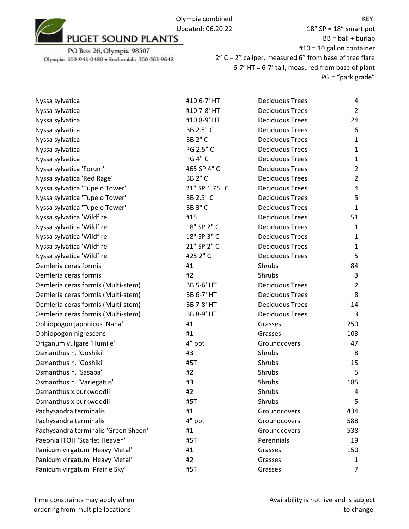## PO Box 26, Olympia 98507

Olympia: 360-943-0480 · Snohomish: 360-563-9648

18" SP = 18" smart pot  $BB = ball + burlap$ #10 = 10 gallon container 2" C = 2" caliper, measured 6" from base of tree flare 6-7' HT = 6-7' tall, measured from base of plant PG = "park grade"

| Nyssa sylvatica                      | #10 6-7' HT       | <b>Deciduous Trees</b> | 4              |
|--------------------------------------|-------------------|------------------------|----------------|
| Nyssa sylvatica                      | #10 7-8' HT       | <b>Deciduous Trees</b> | $\overline{2}$ |
| Nyssa sylvatica                      | #10 8-9' HT       | <b>Deciduous Trees</b> | 24             |
| Nyssa sylvatica                      | BB 2.5" C         | <b>Deciduous Trees</b> | 6              |
| Nyssa sylvatica                      | <b>BB 2" C</b>    | <b>Deciduous Trees</b> | $\mathbf{1}$   |
| Nyssa sylvatica                      | PG 2.5" C         | <b>Deciduous Trees</b> | $\mathbf{1}$   |
| Nyssa sylvatica                      | <b>PG 4" C</b>    | <b>Deciduous Trees</b> | $\mathbf{1}$   |
| Nyssa sylvatica 'Forum'              | #65 SP 4" C       | <b>Deciduous Trees</b> | $\overline{2}$ |
| Nyssa sylvatica 'Red Rage'           | <b>BB 2" C</b>    | <b>Deciduous Trees</b> | $\overline{2}$ |
| Nyssa sylvatica 'Tupelo Tower'       | 21" SP 1.75" C    | <b>Deciduous Trees</b> | 4              |
| Nyssa sylvatica 'Tupelo Tower'       | BB 2.5" C         | <b>Deciduous Trees</b> | 5              |
| Nyssa sylvatica 'Tupelo Tower'       | <b>BB 3" C</b>    | <b>Deciduous Trees</b> | $\mathbf{1}$   |
| Nyssa sylvatica 'Wildfire'           | #15               | <b>Deciduous Trees</b> | 51             |
| Nyssa sylvatica 'Wildfire'           | 18" SP 2" C       | <b>Deciduous Trees</b> | $\mathbf{1}$   |
| Nyssa sylvatica 'Wildfire'           | 18" SP 3" C       | <b>Deciduous Trees</b> | $\mathbf{1}$   |
| Nyssa sylvatica 'Wildfire'           | 21" SP 2" C       | <b>Deciduous Trees</b> | $\mathbf{1}$   |
| Nyssa sylvatica 'Wildfire'           | #25 2" C          | <b>Deciduous Trees</b> | 5              |
| Oemleria cerasiformis                | #1                | Shrubs                 | 84             |
| Oemleria cerasiformis                | #2                | Shrubs                 | $\mathsf 3$    |
| Oemleria cerasiformis (Multi-stem)   | <b>BB 5-6' HT</b> | <b>Deciduous Trees</b> | $\overline{2}$ |
| Oemleria cerasiformis (Multi-stem)   | <b>BB 6-7' HT</b> | <b>Deciduous Trees</b> | 8              |
| Oemleria cerasiformis (Multi-stem)   | <b>BB 7-8' HT</b> | <b>Deciduous Trees</b> | 14             |
| Oemleria cerasiformis (Multi-stem)   | <b>BB 8-9' HT</b> | <b>Deciduous Trees</b> | 3              |
| Ophiopogon japonicus 'Nana'          | #1                | Grasses                | 250            |
| Ophiopogon nigrescens                | #1                | Grasses                | 103            |
| Origanum vulgare 'Humile'            | 4" pot            | Groundcovers           | 47             |
| Osmanthus h. 'Goshiki'               | #3                | Shrubs                 | 8              |
| Osmanthus h. 'Goshiki'               | #5T               | Shrubs                 | 15             |
| Osmanthus h. 'Sasaba'                | #2                | Shrubs                 | 5              |
| Osmanthus h. 'Variegatus'            | #3                | Shrubs                 | 185            |
| Osmanthus x burkwoodii               | #2                | Shrubs                 | 4              |
| Osmanthus x burkwoodii               | #5T               | Shrubs                 | 5              |
| Pachysandra terminalis               | #1                | Groundcovers           | 434            |
| Pachysandra terminalis               | 4" pot            | Groundcovers           | 588            |
| Pachysandra terminalis 'Green Sheen' | #1                | Groundcovers           | 538            |
| Paeonia ITOH 'Scarlet Heaven'        | #5T               | Perennials             | 19             |
| Panicum virgatum 'Heavy Metal'       | #1                | Grasses                | 150            |
| Panicum virgatum 'Heavy Metal'       | #2                | Grasses                | 1              |
| Panicum virgatum 'Prairie Sky'       | #5T               | Grasses                | 7              |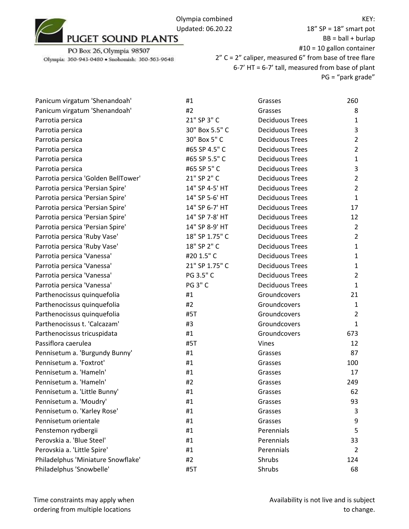18" SP = 18" smart pot  $BB = ball + burlap$ #10 = 10 gallon container 2" C = 2" caliper, measured 6" from base of tree flare 6-7' HT = 6-7' tall, measured from base of plant PG = "park grade"

| Panicum virgatum 'Shenandoah'       | #1             | Grasses                | 260            |
|-------------------------------------|----------------|------------------------|----------------|
| Panicum virgatum 'Shenandoah'       | #2             | Grasses                | 8              |
| Parrotia persica                    | 21" SP 3" C    | <b>Deciduous Trees</b> | $\mathbf{1}$   |
| Parrotia persica                    | 30" Box 5.5" C | <b>Deciduous Trees</b> | 3              |
| Parrotia persica                    | 30" Box 5" C   | <b>Deciduous Trees</b> | $\overline{2}$ |
| Parrotia persica                    | #65 SP 4.5" C  | <b>Deciduous Trees</b> | $\overline{2}$ |
| Parrotia persica                    | #65 SP 5.5" C  | <b>Deciduous Trees</b> | $\mathbf{1}$   |
| Parrotia persica                    | #65 SP 5" C    | <b>Deciduous Trees</b> | 3              |
| Parrotia persica 'Golden BellTower' | 21" SP 2" C    | <b>Deciduous Trees</b> | $\overline{2}$ |
| Parrotia persica 'Persian Spire'    | 14" SP 4-5' HT | <b>Deciduous Trees</b> | $\overline{2}$ |
| Parrotia persica 'Persian Spire'    | 14" SP 5-6' HT | <b>Deciduous Trees</b> | $\mathbf{1}$   |
| Parrotia persica 'Persian Spire'    | 14" SP 6-7' HT | <b>Deciduous Trees</b> | 17             |
| Parrotia persica 'Persian Spire'    | 14" SP 7-8' HT | <b>Deciduous Trees</b> | 12             |
| Parrotia persica 'Persian Spire'    | 14" SP 8-9' HT | <b>Deciduous Trees</b> | $\overline{2}$ |
| Parrotia persica 'Ruby Vase'        | 18" SP 1.75" C | <b>Deciduous Trees</b> | $\overline{2}$ |
| Parrotia persica 'Ruby Vase'        | 18" SP 2" C    | <b>Deciduous Trees</b> | $\mathbf{1}$   |
| Parrotia persica 'Vanessa'          | #20 1.5" C     | <b>Deciduous Trees</b> | $\mathbf{1}$   |
| Parrotia persica 'Vanessa'          | 21" SP 1.75" C | <b>Deciduous Trees</b> | $\mathbf{1}$   |
| Parrotia persica 'Vanessa'          | PG 3.5" C      | <b>Deciduous Trees</b> | $\overline{2}$ |
| Parrotia persica 'Vanessa'          | <b>PG 3" C</b> | <b>Deciduous Trees</b> | $\mathbf{1}$   |
| Parthenocissus quinquefolia         | #1             | Groundcovers           | 21             |
| Parthenocissus quinquefolia         | #2             | Groundcovers           | $\mathbf{1}$   |
| Parthenocissus quinquefolia         | #5T            | Groundcovers           | $\overline{2}$ |
| Parthenocissus t. 'Calcazam'        | #3             | Groundcovers           | $\mathbf{1}$   |
| Parthenocissus tricuspidata         | #1             | Groundcovers           | 673            |
| Passiflora caerulea                 | #5T            | Vines                  | 12             |
| Pennisetum a. 'Burgundy Bunny'      | #1             | Grasses                | 87             |
| Pennisetum a. 'Foxtrot'             | #1             | Grasses                | 100            |
| Pennisetum a. 'Hameln'              | #1             | Grasses                | 17             |
| Pennisetum a. 'Hameln'              | #2             | Grasses                | 249            |
| Pennisetum a. 'Little Bunny'        | #1             | Grasses                | 62             |
| Pennisetum a. 'Moudry'              | #1             | Grasses                | 93             |
| Pennisetum o. 'Karley Rose'         | #1             | Grasses                | 3              |
| Pennisetum orientale                | #1             | Grasses                | 9              |
| Penstemon rydbergii                 | #1             | Perennials             | 5              |
| Perovskia a. 'Blue Steel'           | #1             | Perennials             | 33             |
| Perovskia a. 'Little Spire'         | #1             | Perennials             | $\overline{2}$ |
| Philadelphus 'Miniature Snowflake'  | #2             | Shrubs                 | 124            |
| Philadelphus 'Snowbelle'            | #5T            | Shrubs                 | 68             |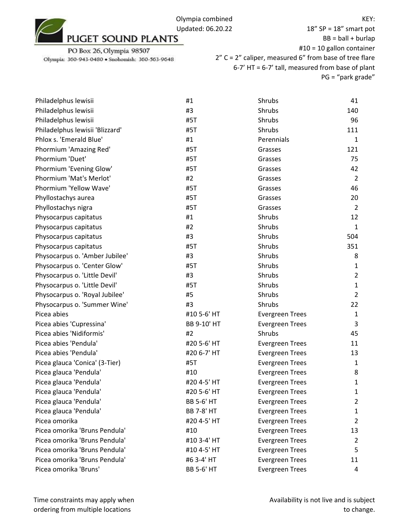

| Philadelphus lewisii            | #1                | Shrubs                 | 41             |
|---------------------------------|-------------------|------------------------|----------------|
| Philadelphus lewisii            | #3                | <b>Shrubs</b>          | 140            |
| Philadelphus lewisii            | #5T               | Shrubs                 | 96             |
| Philadelphus lewisii 'Blizzard' | #5T               | Shrubs                 | 111            |
| Phlox s. 'Emerald Blue'         | #1                | Perennials             | 1              |
| Phormium 'Amazing Red'          | #5T               | Grasses                | 121            |
| Phormium 'Duet'                 | #5T               | Grasses                | 75             |
| Phormium 'Evening Glow'         | #5T               | Grasses                | 42             |
| Phormium 'Mat's Merlot'         | #2                | Grasses                | $\overline{2}$ |
| Phormium 'Yellow Wave'          | #5T               | Grasses                | 46             |
| Phyllostachys aurea             | #5T               | Grasses                | 20             |
| Phyllostachys nigra             | #5T               | Grasses                | $\overline{2}$ |
| Physocarpus capitatus           | #1                | Shrubs                 | 12             |
| Physocarpus capitatus           | #2                | Shrubs                 | $\mathbf{1}$   |
| Physocarpus capitatus           | #3                | Shrubs                 | 504            |
| Physocarpus capitatus           | #5T               | Shrubs                 | 351            |
| Physocarpus o. 'Amber Jubilee'  | #3                | Shrubs                 | 8              |
| Physocarpus o. 'Center Glow'    | #5T               | Shrubs                 | 1              |
| Physocarpus o. 'Little Devil'   | #3                | Shrubs                 | $\overline{2}$ |
| Physocarpus o. 'Little Devil'   | #5T               | Shrubs                 | $\mathbf{1}$   |
| Physocarpus o. 'Royal Jubilee'  | #5                | Shrubs                 | $\overline{2}$ |
| Physocarpus o. 'Summer Wine'    | #3                | Shrubs                 | 22             |
| Picea abies                     | #10 5-6' HT       | <b>Evergreen Trees</b> | $\mathbf{1}$   |
| Picea abies 'Cupressina'        | BB 9-10' HT       | <b>Evergreen Trees</b> | 3              |
| Picea abies 'Nidiformis'        | #2                | Shrubs                 | 45             |
| Picea abies 'Pendula'           | #20 5-6' HT       | <b>Evergreen Trees</b> | 11             |
| Picea abies 'Pendula'           | #20 6-7' HT       | <b>Evergreen Trees</b> | 13             |
| Picea glauca 'Conica' (3-Tier)  | #5T               | <b>Evergreen Trees</b> | 1              |
| Picea glauca 'Pendula'          | #10               | <b>Evergreen Trees</b> | 8              |
| Picea glauca 'Pendula'          | #20 4-5' HT       | <b>Evergreen Trees</b> | $\mathbf{1}$   |
| Picea glauca 'Pendula'          | #20 5-6' HT       | <b>Evergreen Trees</b> | 1              |
| Picea glauca 'Pendula'          | <b>BB 5-6' HT</b> | <b>Evergreen Trees</b> | 2              |
| Picea glauca 'Pendula'          | <b>BB 7-8' HT</b> | <b>Evergreen Trees</b> | 1              |
| Picea omorika                   | #20 4-5' HT       | <b>Evergreen Trees</b> | 2              |
| Picea omorika 'Bruns Pendula'   | #10               | <b>Evergreen Trees</b> | 13             |
| Picea omorika 'Bruns Pendula'   | #10 3-4' HT       | <b>Evergreen Trees</b> | 2              |
| Picea omorika 'Bruns Pendula'   | #10 4-5' HT       | <b>Evergreen Trees</b> | 5              |
| Picea omorika 'Bruns Pendula'   | #6 3-4' HT        | <b>Evergreen Trees</b> | 11             |
| Picea omorika 'Bruns'           | <b>BB 5-6' HT</b> | <b>Evergreen Trees</b> | 4              |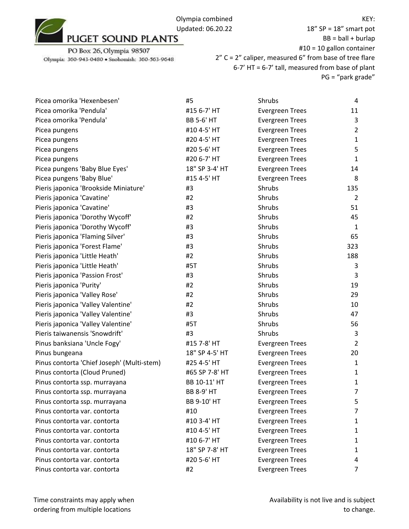

18" SP = 18" smart pot  $BB = ball + burlap$ #10 = 10 gallon container 2" C = 2" caliper, measured 6" from base of tree flare 6-7' HT = 6-7' tall, measured from base of plant PG = "park grade"

| Picea omorika 'Hexenbesen'                 | #5                | Shrubs                 | 4              |
|--------------------------------------------|-------------------|------------------------|----------------|
| Picea omorika 'Pendula'                    | #15 6-7' HT       | <b>Evergreen Trees</b> | 11             |
| Picea omorika 'Pendula'                    | <b>BB 5-6' HT</b> | <b>Evergreen Trees</b> | 3              |
| Picea pungens                              | #10 4-5' HT       | <b>Evergreen Trees</b> | $\overline{2}$ |
| Picea pungens                              | #20 4-5' HT       | <b>Evergreen Trees</b> | $\mathbf{1}$   |
| Picea pungens                              | #20 5-6' HT       | <b>Evergreen Trees</b> | 5              |
| Picea pungens                              | #20 6-7' HT       | <b>Evergreen Trees</b> | $\mathbf{1}$   |
| Picea pungens 'Baby Blue Eyes'             | 18" SP 3-4' HT    | <b>Evergreen Trees</b> | 14             |
| Picea pungens 'Baby Blue'                  | #15 4-5' HT       | <b>Evergreen Trees</b> | 8              |
| Pieris japonica 'Brookside Miniature'      | #3                | Shrubs                 | 135            |
| Pieris japonica 'Cavatine'                 | #2                | Shrubs                 | $\overline{2}$ |
| Pieris japonica 'Cavatine'                 | #3                | Shrubs                 | 51             |
| Pieris japonica 'Dorothy Wycoff'           | #2                | Shrubs                 | 45             |
| Pieris japonica 'Dorothy Wycoff'           | #3                | Shrubs                 | $\mathbf{1}$   |
| Pieris japonica 'Flaming Silver'           | #3                | Shrubs                 | 65             |
| Pieris japonica 'Forest Flame'             | #3                | Shrubs                 | 323            |
| Pieris japonica 'Little Heath'             | #2                | Shrubs                 | 188            |
| Pieris japonica 'Little Heath'             | #5T               | Shrubs                 | 3              |
| Pieris japonica 'Passion Frost'            | #3                | Shrubs                 | 3              |
| Pieris japonica 'Purity'                   | #2                | Shrubs                 | 19             |
| Pieris japonica 'Valley Rose'              | #2                | Shrubs                 | 29             |
| Pieris japonica 'Valley Valentine'         | #2                | Shrubs                 | 10             |
| Pieris japonica 'Valley Valentine'         | #3                | Shrubs                 | 47             |
| Pieris japonica 'Valley Valentine'         | #5T               | Shrubs                 | 56             |
| Pieris taiwanensis 'Snowdrift'             | #3                | Shrubs                 | 3              |
| Pinus banksiana 'Uncle Fogy'               | #15 7-8' HT       | <b>Evergreen Trees</b> | $\overline{2}$ |
| Pinus bungeana                             | 18" SP 4-5' HT    | <b>Evergreen Trees</b> | 20             |
| Pinus contorta 'Chief Joseph' (Multi-stem) | #25 4-5' HT       | <b>Evergreen Trees</b> | $\mathbf{1}$   |
| Pinus contorta (Cloud Pruned)              | #65 SP 7-8' HT    | <b>Evergreen Trees</b> | $\mathbf{1}$   |
| Pinus contorta ssp. murrayana              | BB 10-11' HT      | <b>Evergreen Trees</b> | $\mathbf{1}$   |
| Pinus contorta ssp. murrayana              | <b>BB 8-9' HT</b> | <b>Evergreen Trees</b> | $\overline{7}$ |
| Pinus contorta ssp. murrayana              | BB 9-10' HT       | <b>Evergreen Trees</b> | 5              |
| Pinus contorta var. contorta               | #10               | <b>Evergreen Trees</b> | 7              |
| Pinus contorta var. contorta               | #10 3-4' HT       | <b>Evergreen Trees</b> | 1              |
| Pinus contorta var. contorta               | #10 4-5' HT       | <b>Evergreen Trees</b> | 1              |
| Pinus contorta var. contorta               | #10 6-7' HT       | <b>Evergreen Trees</b> | 1              |
| Pinus contorta var. contorta               | 18" SP 7-8' HT    | <b>Evergreen Trees</b> | 1              |
| Pinus contorta var. contorta               | #20 5-6' HT       | <b>Evergreen Trees</b> | 4              |
| Pinus contorta var. contorta               | #2                | <b>Evergreen Trees</b> | 7              |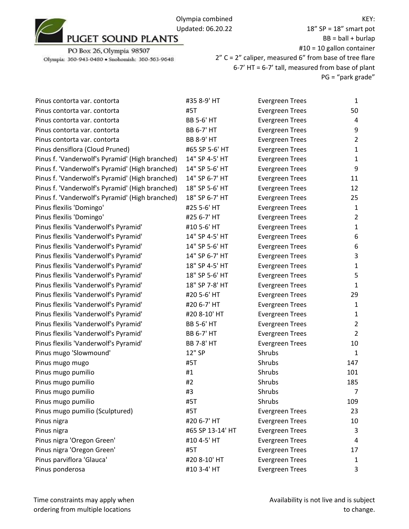

PO Box 26, Olympia 98507 Olympia: 360-943-0480 · Snohomish: 360-563-9648

18" SP = 18" smart pot  $BB = ball + burlap$ #10 = 10 gallon container 2" C = 2" caliper, measured 6" from base of tree flare 6-7' HT = 6-7' tall, measured from base of plant PG = "park grade"

| Pinus contorta var. contorta                    | #35 8-9' HT       | <b>Evergreen Trees</b> | $\mathbf{1}$   |
|-------------------------------------------------|-------------------|------------------------|----------------|
| Pinus contorta var. contorta                    | #5T               | <b>Evergreen Trees</b> | 50             |
| Pinus contorta var. contorta                    | <b>BB 5-6' HT</b> | <b>Evergreen Trees</b> | 4              |
| Pinus contorta var. contorta                    | <b>BB 6-7' HT</b> | <b>Evergreen Trees</b> | 9              |
| Pinus contorta var. contorta                    | <b>BB 8-9' HT</b> | <b>Evergreen Trees</b> | $\overline{2}$ |
| Pinus densiflora (Cloud Pruned)                 | #65 SP 5-6' HT    | <b>Evergreen Trees</b> | $\mathbf{1}$   |
| Pinus f. 'Vanderwolf's Pyramid' (High branched) | 14" SP 4-5' HT    | <b>Evergreen Trees</b> | $\mathbf{1}$   |
| Pinus f. 'Vanderwolf's Pyramid' (High branched) | 14" SP 5-6' HT    | <b>Evergreen Trees</b> | 9              |
| Pinus f. 'Vanderwolf's Pyramid' (High branched) | 14" SP 6-7' HT    | <b>Evergreen Trees</b> | 11             |
| Pinus f. 'Vanderwolf's Pyramid' (High branched) | 18" SP 5-6' HT    | <b>Evergreen Trees</b> | 12             |
| Pinus f. 'Vanderwolf's Pyramid' (High branched) | 18" SP 6-7' HT    | <b>Evergreen Trees</b> | 25             |
| Pinus flexilis 'Domingo'                        | #25 5-6' HT       | <b>Evergreen Trees</b> | $\mathbf{1}$   |
| Pinus flexilis 'Domingo'                        | #25 6-7' HT       | <b>Evergreen Trees</b> | $\overline{2}$ |
| Pinus flexilis 'Vanderwolf's Pyramid'           | #10 5-6' HT       | <b>Evergreen Trees</b> | $\mathbf{1}$   |
| Pinus flexilis 'Vanderwolf's Pyramid'           | 14" SP 4-5' HT    | <b>Evergreen Trees</b> | 6              |
| Pinus flexilis 'Vanderwolf's Pyramid'           | 14" SP 5-6' HT    | <b>Evergreen Trees</b> | 6              |
| Pinus flexilis 'Vanderwolf's Pyramid'           | 14" SP 6-7' HT    | <b>Evergreen Trees</b> | 3              |
| Pinus flexilis 'Vanderwolf's Pyramid'           | 18" SP 4-5' HT    | <b>Evergreen Trees</b> | $\mathbf{1}$   |
| Pinus flexilis 'Vanderwolf's Pyramid'           | 18" SP 5-6' HT    | <b>Evergreen Trees</b> | 5              |
| Pinus flexilis 'Vanderwolf's Pyramid'           | 18" SP 7-8' HT    | <b>Evergreen Trees</b> | $\mathbf{1}$   |
| Pinus flexilis 'Vanderwolf's Pyramid'           | #20 5-6' HT       | <b>Evergreen Trees</b> | 29             |
| Pinus flexilis 'Vanderwolf's Pyramid'           | #20 6-7' HT       | <b>Evergreen Trees</b> | $\mathbf{1}$   |
| Pinus flexilis 'Vanderwolf's Pyramid'           | #20 8-10' HT      | <b>Evergreen Trees</b> | $\mathbf{1}$   |
| Pinus flexilis 'Vanderwolf's Pyramid'           | <b>BB 5-6' HT</b> | <b>Evergreen Trees</b> | $\overline{2}$ |
| Pinus flexilis 'Vanderwolf's Pyramid'           | <b>BB 6-7' HT</b> | <b>Evergreen Trees</b> | $\overline{2}$ |
| Pinus flexilis 'Vanderwolf's Pyramid'           | <b>BB 7-8' HT</b> | <b>Evergreen Trees</b> | 10             |
| Pinus mugo 'Slowmound'                          | 12" SP            | Shrubs                 | 1              |
| Pinus mugo mugo                                 | #5T               | Shrubs                 | 147            |
| Pinus mugo pumilio                              | #1                | Shrubs                 | 101            |
| Pinus mugo pumilio                              | #2                | Shrubs                 | 185            |
| Pinus mugo pumilio                              | #3                | Shrubs                 | $\overline{7}$ |
| Pinus mugo pumilio                              | #5T               | Shrubs                 | 109            |
| Pinus mugo pumilio (Sculptured)                 | #5T               | <b>Evergreen Trees</b> | 23             |
| Pinus nigra                                     | #20 6-7' HT       | <b>Evergreen Trees</b> | 10             |
| Pinus nigra                                     | #65 SP 13-14' HT  | <b>Evergreen Trees</b> | 3              |
| Pinus nigra 'Oregon Green'                      | #10 4-5' HT       | <b>Evergreen Trees</b> | 4              |
| Pinus nigra 'Oregon Green'                      | #5T               | <b>Evergreen Trees</b> | 17             |
| Pinus parviflora 'Glauca'                       | #20 8-10' HT      | <b>Evergreen Trees</b> | 1              |
| Pinus ponderosa                                 | #10 3-4' HT       | <b>Evergreen Trees</b> | 3              |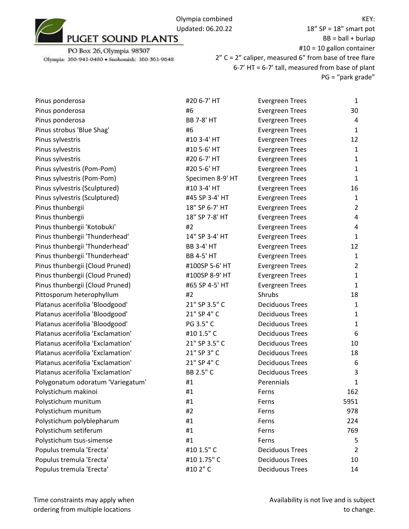18" SP = 18" smart pot  $BB = ball + burlap$ #10 = 10 gallon container 2" C = 2" caliper, measured 6" from base of tree flare 6-7' HT = 6-7' tall, measured from base of plant PG = "park grade"

| Pinus ponderosa                   | #20 6-7' HT       | <b>Evergreen Trees</b> | $\mathbf{1}$   |
|-----------------------------------|-------------------|------------------------|----------------|
| Pinus ponderosa                   | #6                | <b>Evergreen Trees</b> | 30             |
| Pinus ponderosa                   | <b>BB 7-8' HT</b> | <b>Evergreen Trees</b> | 4              |
| Pinus strobus 'Blue Shag'         | #6                | <b>Evergreen Trees</b> | $\mathbf{1}$   |
| Pinus sylvestris                  | #10 3-4' HT       | <b>Evergreen Trees</b> | 12             |
| Pinus sylvestris                  | #10 5-6' HT       | <b>Evergreen Trees</b> | $\mathbf{1}$   |
| Pinus sylvestris                  | #20 6-7' HT       | <b>Evergreen Trees</b> | $\mathbf{1}$   |
| Pinus sylvestris (Pom-Pom)        | #20 5-6' HT       | <b>Evergreen Trees</b> | $\mathbf{1}$   |
| Pinus sylvestris (Pom-Pom)        | Specimen 8-9' HT  | <b>Evergreen Trees</b> | $\mathbf{1}$   |
| Pinus sylvestris (Sculptured)     | #10 3-4' HT       | <b>Evergreen Trees</b> | 16             |
| Pinus sylvestris (Sculptured)     | #45 SP 3-4' HT    | <b>Evergreen Trees</b> | $\mathbf{1}$   |
| Pinus thunbergii                  | 18" SP 6-7' HT    | <b>Evergreen Trees</b> | $\overline{2}$ |
| Pinus thunbergii                  | 18" SP 7-8' HT    | <b>Evergreen Trees</b> | 4              |
| Pinus thunbergii 'Kotobuki'       | #2                | <b>Evergreen Trees</b> | 4              |
| Pinus thunbergii 'Thunderhead'    | 14" SP 3-4' HT    | <b>Evergreen Trees</b> | $\mathbf{1}$   |
| Pinus thunbergii 'Thunderhead'    | <b>BB 3-4' HT</b> | <b>Evergreen Trees</b> | 12             |
| Pinus thunbergii 'Thunderhead'    | <b>BB 4-5' HT</b> | <b>Evergreen Trees</b> | $\mathbf{1}$   |
| Pinus thunbergii (Cloud Pruned)   | #100SP 5-6' HT    | <b>Evergreen Trees</b> | $\overline{2}$ |
| Pinus thunbergii (Cloud Pruned)   | #100SP 8-9' HT    | <b>Evergreen Trees</b> | $\mathbf{1}$   |
| Pinus thunbergii (Cloud Pruned)   | #65 SP 4-5' HT    | <b>Evergreen Trees</b> | $\mathbf{1}$   |
| Pittosporum heterophyllum         | #2                | Shrubs                 | 18             |
| Platanus acerifolia 'Bloodgood'   | 21" SP 3.5" C     | <b>Deciduous Trees</b> | $\mathbf{1}$   |
| Platanus acerifolia 'Bloodgood'   | 21" SP 4" C       | <b>Deciduous Trees</b> | $\mathbf{1}$   |
| Platanus acerifolia 'Bloodgood'   | PG 3.5" C         | <b>Deciduous Trees</b> | $\mathbf{1}$   |
| Platanus acerifolia 'Exclamation' | #10 1.5" C        | <b>Deciduous Trees</b> | 6              |
| Platanus acerifolia 'Exclamation' | 21" SP 3.5" C     | <b>Deciduous Trees</b> | 10             |
| Platanus acerifolia 'Exclamation' | 21" SP 3" C       | <b>Deciduous Trees</b> | 18             |
| Platanus acerifolia 'Exclamation' | 21" SP 4" C       | <b>Deciduous Trees</b> | 6              |
| Platanus acerifolia 'Exclamation' | BB 2.5" C         | <b>Deciduous Trees</b> | 3              |
| Polygonatum odoratum 'Variegatum' | #1                | Perennials             | $\mathbf{1}$   |
| Polystichum makinoi               | #1                | Ferns                  | 162            |
| Polystichum munitum               | #1                | Ferns                  | 5951           |
| Polystichum munitum               | #2                | Ferns                  | 978            |
| Polystichum polyblepharum         | #1                | Ferns                  | 224            |
| Polystichum setiferum             | #1                | Ferns                  | 769            |
| Polystichum tsus-simense          | #1                | Ferns                  | 5              |
| Populus tremula 'Erecta'          | #10 1.5" C        | <b>Deciduous Trees</b> | $\overline{2}$ |
| Populus tremula 'Erecta'          | #10 1.75" C       | <b>Deciduous Trees</b> | 10             |
| Populus tremula 'Erecta'          | #10 2" C          | <b>Deciduous Trees</b> | 14             |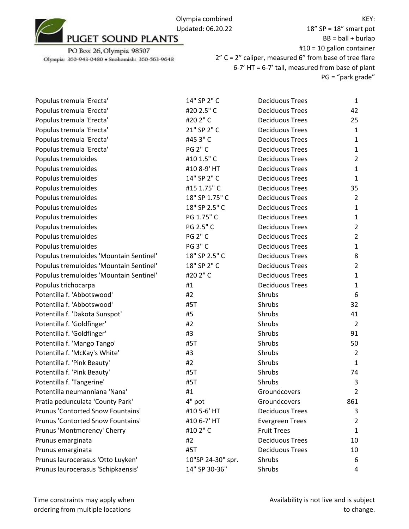

18" SP = 18" smart pot  $BB = ball + burlap$ #10 = 10 gallon container 2" C = 2" caliper, measured 6" from base of tree flare 6-7' HT = 6-7' tall, measured from base of plant PG = "park grade"

| Populus tremula 'Erecta'                | 14" SP 2" C       | <b>Deciduous Trees</b> | $\mathbf{1}$   |
|-----------------------------------------|-------------------|------------------------|----------------|
| Populus tremula 'Erecta'                | #20 2.5" C        | <b>Deciduous Trees</b> | 42             |
| Populus tremula 'Erecta'                | #20 2" C          | <b>Deciduous Trees</b> | 25             |
| Populus tremula 'Erecta'                | 21" SP 2" C       | <b>Deciduous Trees</b> | $\mathbf{1}$   |
| Populus tremula 'Erecta'                | #45 3" C          | <b>Deciduous Trees</b> | $\mathbf{1}$   |
| Populus tremula 'Erecta'                | <b>PG 2" C</b>    | <b>Deciduous Trees</b> | $\mathbf{1}$   |
| Populus tremuloides                     | #10 1.5" C        | <b>Deciduous Trees</b> | $\overline{2}$ |
| Populus tremuloides                     | #10 8-9' HT       | <b>Deciduous Trees</b> | 1              |
| Populus tremuloides                     | 14" SP 2" C       | <b>Deciduous Trees</b> | $\mathbf{1}$   |
| Populus tremuloides                     | #15 1.75" C       | <b>Deciduous Trees</b> | 35             |
| Populus tremuloides                     | 18" SP 1.75" C    | <b>Deciduous Trees</b> | $\overline{2}$ |
| Populus tremuloides                     | 18" SP 2.5" C     | <b>Deciduous Trees</b> | $\mathbf{1}$   |
| Populus tremuloides                     | PG 1.75" C        | <b>Deciduous Trees</b> | $\mathbf{1}$   |
| Populus tremuloides                     | PG 2.5" C         | <b>Deciduous Trees</b> | $\overline{2}$ |
| Populus tremuloides                     | <b>PG 2" C</b>    | <b>Deciduous Trees</b> | $\overline{2}$ |
| Populus tremuloides                     | <b>PG 3" C</b>    | <b>Deciduous Trees</b> | $\mathbf{1}$   |
| Populus tremuloides 'Mountain Sentinel' | 18" SP 2.5" C     | <b>Deciduous Trees</b> | 8              |
| Populus tremuloides 'Mountain Sentinel' | 18" SP 2" C       | <b>Deciduous Trees</b> | $\overline{2}$ |
| Populus tremuloides 'Mountain Sentinel' | #20 2" C          | <b>Deciduous Trees</b> | $\mathbf{1}$   |
| Populus trichocarpa                     | #1                | <b>Deciduous Trees</b> | $\mathbf{1}$   |
| Potentilla f. 'Abbotswood'              | #2                | Shrubs                 | 6              |
| Potentilla f. 'Abbotswood'              | #5T               | Shrubs                 | 32             |
| Potentilla f. 'Dakota Sunspot'          | #5                | Shrubs                 | 41             |
| Potentilla f. 'Goldfinger'              | #2                | Shrubs                 | $\overline{2}$ |
| Potentilla f. 'Goldfinger'              | #3                | Shrubs                 | 91             |
| Potentilla f. 'Mango Tango'             | #5T               | Shrubs                 | 50             |
| Potentilla f. 'McKay's White'           | #3                | Shrubs                 | $\overline{2}$ |
| Potentilla f. 'Pink Beauty'             | #2                | Shrubs                 | $\mathbf{1}$   |
| Potentilla f. 'Pink Beauty'             | #5T               | Shrubs                 | 74             |
| Potentilla f. 'Tangerine'               | #5T               | Shrubs                 | 3              |
| Potentilla neumanniana 'Nana'           | #1                | Groundcovers           | $\overline{2}$ |
| Pratia pedunculata 'County Park'        | 4" pot            | Groundcovers           | 861            |
| Prunus 'Contorted Snow Fountains'       | #10 5-6' HT       | <b>Deciduous Trees</b> | 3              |
| Prunus 'Contorted Snow Fountains'       | #10 6-7' HT       | <b>Evergreen Trees</b> | 2              |
| Prunus 'Montmorency' Cherry             | #102"C            | <b>Fruit Trees</b>     | $\mathbf{1}$   |
| Prunus emarginata                       | #2                | <b>Deciduous Trees</b> | 10             |
| Prunus emarginata                       | #5T               | <b>Deciduous Trees</b> | 10             |
| Prunus laurocerasus 'Otto Luyken'       | 10"SP 24-30" spr. | Shrubs                 | 6              |
| Prunus laurocerasus 'Schipkaensis'      | 14" SP 30-36"     | Shrubs                 | 4              |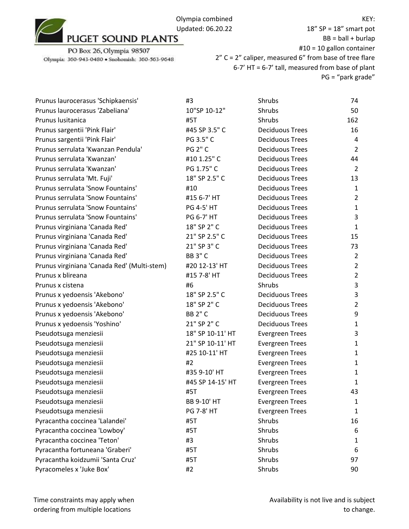

18" SP = 18" smart pot  $BB = ball + burlap$ #10 = 10 gallon container 2" C = 2" caliper, measured 6" from base of tree flare 6-7' HT = 6-7' tall, measured from base of plant PG = "park grade"

| Prunus laurocerasus 'Schipkaensis'          | #3                | Shrubs                 | 74             |
|---------------------------------------------|-------------------|------------------------|----------------|
| Prunus laurocerasus 'Zabeliana'             | 10"SP 10-12"      | Shrubs                 | 50             |
| Prunus lusitanica                           | #5T               | Shrubs                 | 162            |
| Prunus sargentii 'Pink Flair'               | #45 SP 3.5" C     | <b>Deciduous Trees</b> | 16             |
| Prunus sargentii 'Pink Flair'               | PG 3.5" C         | <b>Deciduous Trees</b> | 4              |
| Prunus serrulata 'Kwanzan Pendula'          | <b>PG 2" C</b>    | <b>Deciduous Trees</b> | $\overline{2}$ |
| Prunus serrulata 'Kwanzan'                  | #10 1.25" C       | <b>Deciduous Trees</b> | 44             |
| Prunus serrulata 'Kwanzan'                  | PG 1.75" C        | <b>Deciduous Trees</b> | $\overline{2}$ |
| Prunus serrulata 'Mt. Fuji'                 | 18" SP 2.5" C     | <b>Deciduous Trees</b> | 13             |
| Prunus serrulata 'Snow Fountains'           | #10               | <b>Deciduous Trees</b> | $\mathbf{1}$   |
| Prunus serrulata 'Snow Fountains'           | #15 6-7' HT       | <b>Deciduous Trees</b> | $\overline{2}$ |
| Prunus serrulata 'Snow Fountains'           | <b>PG 4-5' HT</b> | <b>Deciduous Trees</b> | $\mathbf{1}$   |
| Prunus serrulata 'Snow Fountains'           | <b>PG 6-7' HT</b> | <b>Deciduous Trees</b> | 3              |
| Prunus virginiana 'Canada Red'              | 18" SP 2" C       | <b>Deciduous Trees</b> | $\mathbf{1}$   |
| Prunus virginiana 'Canada Red'              | 21" SP 2.5" C     | <b>Deciduous Trees</b> | 15             |
| Prunus virginiana 'Canada Red'              | 21" SP 3" C       | <b>Deciduous Trees</b> | 73             |
| Prunus virginiana 'Canada Red'              | <b>BB 3" C</b>    | <b>Deciduous Trees</b> | $\overline{2}$ |
| Prunus virginiana 'Canada Red' (Multi-stem) | #20 12-13' HT     | <b>Deciduous Trees</b> | $\overline{2}$ |
| Prunus x blireana                           | #15 7-8' HT       | <b>Deciduous Trees</b> | $\overline{2}$ |
| Prunus x cistena                            | #6                | Shrubs                 | 3              |
| Prunus x yedoensis 'Akebono'                | 18" SP 2.5" C     | <b>Deciduous Trees</b> | 3              |
| Prunus x yedoensis 'Akebono'                | 18" SP 2" C       | <b>Deciduous Trees</b> | $\overline{2}$ |
| Prunus x yedoensis 'Akebono'                | <b>BB 2" C</b>    | <b>Deciduous Trees</b> | 9              |
| Prunus x yedoensis 'Yoshino'                | 21" SP 2" C       | <b>Deciduous Trees</b> | $\mathbf{1}$   |
| Pseudotsuga menziesii                       | 18" SP 10-11' HT  | <b>Evergreen Trees</b> | 3              |
| Pseudotsuga menziesii                       | 21" SP 10-11' HT  | <b>Evergreen Trees</b> | $\mathbf{1}$   |
| Pseudotsuga menziesii                       | #25 10-11' HT     | <b>Evergreen Trees</b> | $\mathbf{1}$   |
| Pseudotsuga menziesii                       | #2                | <b>Evergreen Trees</b> | $\mathbf{1}$   |
| Pseudotsuga menziesii                       | #35 9-10' HT      | <b>Evergreen Trees</b> | 1              |
| Pseudotsuga menziesii                       | #45 SP 14-15' HT  | <b>Evergreen Trees</b> | 1              |
| Pseudotsuga menziesii                       | #5T               | <b>Evergreen Trees</b> | 43             |
| Pseudotsuga menziesii                       | BB 9-10' HT       | <b>Evergreen Trees</b> | 1              |
| Pseudotsuga menziesii                       | <b>PG 7-8' HT</b> | <b>Evergreen Trees</b> | 1              |
| Pyracantha coccinea 'Lalandei'              | #5T               | Shrubs                 | 16             |
| Pyracantha coccinea 'Lowboy'                | #5T               | Shrubs                 | 6              |
| Pyracantha coccinea 'Teton'                 | #3                | Shrubs                 | 1              |
| Pyracantha fortuneana 'Graberi'             | #5T               | Shrubs                 | 6              |
| Pyracantha koidzumii 'Santa Cruz'           | #5T               | Shrubs                 | 97             |
| Pyracomeles x 'Juke Box'                    | #2                | Shrubs                 | 90             |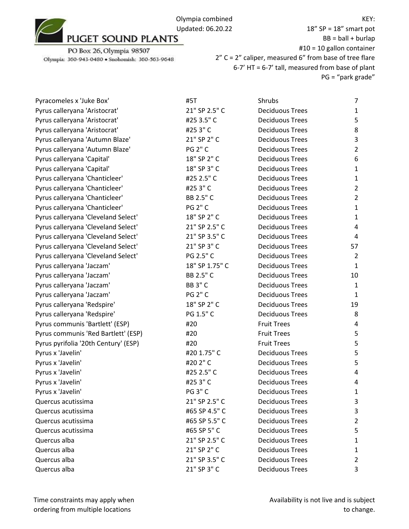

PO Box 26, Olympia 98507 Olympia: 360-943-0480 · Snohomish: 360-563-9648

18" SP = 18" smart pot  $BB = ball + burlap$ #10 = 10 gallon container 2" C = 2" caliper, measured 6" from base of tree flare 6-7' HT = 6-7' tall, measured from base of plant PG = "park grade"

| Pyracomeles x 'Juke Box'             | #5T            | Shrubs                 | $\overline{7}$ |
|--------------------------------------|----------------|------------------------|----------------|
| Pyrus calleryana 'Aristocrat'        | 21" SP 2.5" C  | <b>Deciduous Trees</b> | $\mathbf{1}$   |
| Pyrus calleryana 'Aristocrat'        | #25 3.5" C     | <b>Deciduous Trees</b> | 5              |
| Pyrus calleryana 'Aristocrat'        | #253"C         | <b>Deciduous Trees</b> | 8              |
| Pyrus calleryana 'Autumn Blaze'      | 21" SP 2" C    | <b>Deciduous Trees</b> | 3              |
| Pyrus calleryana 'Autumn Blaze'      | <b>PG 2" C</b> | <b>Deciduous Trees</b> | $\overline{2}$ |
| Pyrus calleryana 'Capital'           | 18" SP 2" C    | <b>Deciduous Trees</b> | 6              |
| Pyrus calleryana 'Capital'           | 18" SP 3" C    | <b>Deciduous Trees</b> | $\mathbf{1}$   |
| Pyrus calleryana 'Chanticleer'       | #25 2.5" C     | <b>Deciduous Trees</b> | $\mathbf{1}$   |
| Pyrus calleryana 'Chanticleer'       | #253"C         | <b>Deciduous Trees</b> | $\overline{2}$ |
| Pyrus calleryana 'Chanticleer'       | BB 2.5" C      | <b>Deciduous Trees</b> | $\overline{2}$ |
| Pyrus calleryana 'Chanticleer'       | <b>PG 2" C</b> | <b>Deciduous Trees</b> | $\mathbf{1}$   |
| Pyrus calleryana 'Cleveland Select'  | 18" SP 2" C    | <b>Deciduous Trees</b> | $\mathbf{1}$   |
| Pyrus calleryana 'Cleveland Select'  | 21" SP 2.5" C  | <b>Deciduous Trees</b> | 4              |
| Pyrus calleryana 'Cleveland Select'  | 21" SP 3.5" C  | <b>Deciduous Trees</b> | 4              |
| Pyrus calleryana 'Cleveland Select'  | 21" SP 3" C    | <b>Deciduous Trees</b> | 57             |
| Pyrus calleryana 'Cleveland Select'  | PG 2.5" C      | <b>Deciduous Trees</b> | $\overline{2}$ |
| Pyrus calleryana 'Jaczam'            | 18" SP 1.75" C | <b>Deciduous Trees</b> | $\mathbf{1}$   |
| Pyrus calleryana 'Jaczam'            | BB 2.5" C      | <b>Deciduous Trees</b> | 10             |
| Pyrus calleryana 'Jaczam'            | <b>BB 3" C</b> | <b>Deciduous Trees</b> | $\mathbf{1}$   |
| Pyrus calleryana 'Jaczam'            | <b>PG 2" C</b> | <b>Deciduous Trees</b> | 1              |
| Pyrus calleryana 'Redspire'          | 18" SP 2" C    | <b>Deciduous Trees</b> | 19             |
| Pyrus calleryana 'Redspire'          | PG 1.5" C      | <b>Deciduous Trees</b> | 8              |
| Pyrus communis 'Bartlett' (ESP)      | #20            | <b>Fruit Trees</b>     | 4              |
| Pyrus communis 'Red Bartlett' (ESP)  | #20            | <b>Fruit Trees</b>     | 5              |
| Pyrus pyrifolia '20th Century' (ESP) | #20            | <b>Fruit Trees</b>     | 5              |
| Pyrus x 'Javelin'                    | #20 1.75" C    | <b>Deciduous Trees</b> | 5              |
| Pyrus x 'Javelin'                    | #20 2" C       | <b>Deciduous Trees</b> | 5              |
| Pyrus x 'Javelin'                    | #25 2.5" C     | <b>Deciduous Trees</b> | $\overline{4}$ |
| Pyrus x 'Javelin'                    | #253"C         | <b>Deciduous Trees</b> | 4              |
| Pyrus x 'Javelin'                    | <b>PG 3" C</b> | <b>Deciduous Trees</b> | $\mathbf{1}$   |
| Quercus acutissima                   | 21" SP 2.5" C  | <b>Deciduous Trees</b> | 3              |
| Quercus acutissima                   | #65 SP 4.5" C  | <b>Deciduous Trees</b> | 3              |
| Quercus acutissima                   | #65 SP 5.5" C  | <b>Deciduous Trees</b> | $\overline{2}$ |
| Quercus acutissima                   | #65 SP 5" C    | <b>Deciduous Trees</b> | 5              |
| Quercus alba                         | 21" SP 2.5" C  | <b>Deciduous Trees</b> | 1              |
| Quercus alba                         | 21" SP 2" C    | <b>Deciduous Trees</b> | 1              |
| Quercus alba                         | 21" SP 3.5" C  | <b>Deciduous Trees</b> | 2              |
| Quercus alba                         | 21" SP 3" C    | <b>Deciduous Trees</b> | 3              |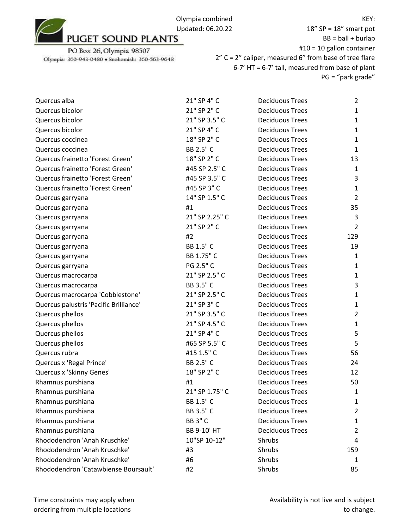## PO Box 26, Olympia 98507

Olympia: 360-943-0480 · Snohomish: 360-563-9648

| Quercus alba                           | 21" SP 4" C    | <b>Deciduous Trees</b> | $\overline{2}$ |
|----------------------------------------|----------------|------------------------|----------------|
| Quercus bicolor                        | 21" SP 2" C    | <b>Deciduous Trees</b> | $\mathbf{1}$   |
| Quercus bicolor                        | 21" SP 3.5" C  | <b>Deciduous Trees</b> | $\mathbf{1}$   |
| Quercus bicolor                        | 21" SP 4" C    | <b>Deciduous Trees</b> | $\mathbf{1}$   |
| Quercus coccinea                       | 18" SP 2" C    | <b>Deciduous Trees</b> | $\mathbf{1}$   |
| Quercus coccinea                       | BB 2.5" C      | <b>Deciduous Trees</b> | $\mathbf{1}$   |
| Quercus frainetto 'Forest Green'       | 18" SP 2" C    | <b>Deciduous Trees</b> | 13             |
| Quercus frainetto 'Forest Green'       | #45 SP 2.5" C  | <b>Deciduous Trees</b> | $\mathbf{1}$   |
| Quercus frainetto 'Forest Green'       | #45 SP 3.5" C  | <b>Deciduous Trees</b> | 3              |
| Quercus frainetto 'Forest Green'       | #45 SP 3" C    | <b>Deciduous Trees</b> | $\mathbf{1}$   |
| Quercus garryana                       | 14" SP 1.5" C  | <b>Deciduous Trees</b> | $\overline{2}$ |
| Quercus garryana                       | #1             | <b>Deciduous Trees</b> | 35             |
| Quercus garryana                       | 21" SP 2.25" C | <b>Deciduous Trees</b> | 3              |
| Quercus garryana                       | 21" SP 2" C    | <b>Deciduous Trees</b> | $\overline{2}$ |
| Quercus garryana                       | #2             | <b>Deciduous Trees</b> | 129            |
| Quercus garryana                       | BB 1.5" C      | <b>Deciduous Trees</b> | 19             |
| Quercus garryana                       | BB 1.75" C     | <b>Deciduous Trees</b> | $\mathbf{1}$   |
| Quercus garryana                       | PG 2.5" C      | <b>Deciduous Trees</b> | $\mathbf{1}$   |
| Quercus macrocarpa                     | 21" SP 2.5" C  | <b>Deciduous Trees</b> | $\mathbf{1}$   |
| Quercus macrocarpa                     | BB 3.5" C      | <b>Deciduous Trees</b> | 3              |
| Quercus macrocarpa 'Cobblestone'       | 21" SP 2.5" C  | <b>Deciduous Trees</b> | $\mathbf{1}$   |
| Quercus palustris 'Pacific Brilliance' | 21" SP 3" C    | <b>Deciduous Trees</b> | $\mathbf{1}$   |
| Quercus phellos                        | 21" SP 3.5" C  | <b>Deciduous Trees</b> | $\overline{2}$ |
| Quercus phellos                        | 21" SP 4.5" C  | <b>Deciduous Trees</b> | $\mathbf{1}$   |
| Quercus phellos                        | 21" SP 4" C    | <b>Deciduous Trees</b> | 5              |
| Quercus phellos                        | #65 SP 5.5" C  | <b>Deciduous Trees</b> | 5              |
| Quercus rubra                          | #15 1.5" C     | <b>Deciduous Trees</b> | 56             |
| Quercus x 'Regal Prince'               | BB 2.5" C      | <b>Deciduous Trees</b> | 24             |
| Quercus x 'Skinny Genes'               | 18" SP 2" C    | <b>Deciduous Trees</b> | 12             |
| Rhamnus purshiana                      | #1             | <b>Deciduous Trees</b> | 50             |
| Rhamnus purshiana                      | 21" SP 1.75" C | <b>Deciduous Trees</b> | $\mathbf{1}$   |
| Rhamnus purshiana                      | BB 1.5" C      | <b>Deciduous Trees</b> | 1              |
| Rhamnus purshiana                      | BB 3.5" C      | <b>Deciduous Trees</b> | $\overline{2}$ |
| Rhamnus purshiana                      | <b>BB 3" C</b> | <b>Deciduous Trees</b> | $\mathbf{1}$   |
| Rhamnus purshiana                      | BB 9-10' HT    | <b>Deciduous Trees</b> | $\overline{2}$ |
| Rhododendron 'Anah Kruschke'           | 10"SP 10-12"   | Shrubs                 | 4              |
| Rhododendron 'Anah Kruschke'           | #3             | Shrubs                 | 159            |
| Rhododendron 'Anah Kruschke'           | #6             | Shrubs                 | 1              |
| Rhododendron 'Catawbiense Boursault'   | #2             | Shrubs                 | 85             |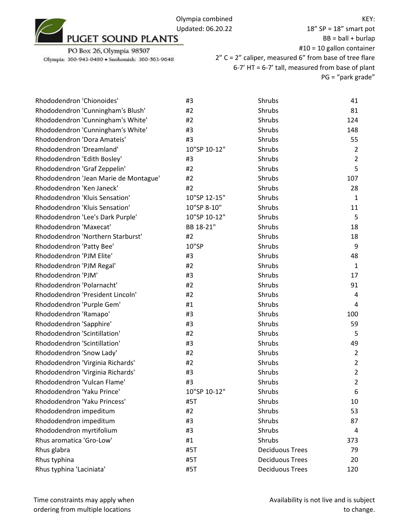

PO Box 26, Olympia 98507 Olympia: 360-943-0480 · Snohomish: 360-563-9648

| Rhododendron 'Chionoides'             | #3           | Shrubs                 | 41             |
|---------------------------------------|--------------|------------------------|----------------|
| Rhododendron 'Cunningham's Blush'     | #2           | Shrubs                 | 81             |
| Rhododendron 'Cunningham's White'     | #2           | Shrubs                 | 124            |
| Rhododendron 'Cunningham's White'     | #3           | Shrubs                 | 148            |
| Rhododendron 'Dora Amateis'           | #3           | Shrubs                 | 55             |
| Rhododendron 'Dreamland'              | 10"SP 10-12" | Shrubs                 | $\overline{2}$ |
| Rhododendron 'Edith Bosley'           | #3           | Shrubs                 | $\overline{2}$ |
| Rhododendron 'Graf Zeppelin'          | #2           | Shrubs                 | 5              |
| Rhododendron 'Jean Marie de Montague' | #2           | Shrubs                 | 107            |
| Rhododendron 'Ken Janeck'             | #2           | Shrubs                 | 28             |
| Rhododendron 'Kluis Sensation'        | 10"SP 12-15" | Shrubs                 | $\mathbf{1}$   |
| Rhododendron 'Kluis Sensation'        | 10"SP 8-10"  | Shrubs                 | 11             |
| Rhododendron 'Lee's Dark Purple'      | 10"SP 10-12" | Shrubs                 | 5              |
| Rhododendron 'Maxecat'                | BB 18-21"    | Shrubs                 | 18             |
| Rhododendron 'Northern Starburst'     | #2           | Shrubs                 | 18             |
| Rhododendron 'Patty Bee'              | 10"SP        | Shrubs                 | 9              |
| Rhododendron 'PJM Elite'              | #3           | Shrubs                 | 48             |
| Rhododendron 'PJM Regal'              | #2           | Shrubs                 | $\mathbf{1}$   |
| Rhododendron 'PJM'                    | #3           | Shrubs                 | 17             |
| Rhododendron 'Polarnacht'             | #2           | Shrubs                 | 91             |
| Rhododendron 'President Lincoln'      | #2           | Shrubs                 | 4              |
| Rhododendron 'Purple Gem'             | #1           | Shrubs                 | 4              |
| Rhododendron 'Ramapo'                 | #3           | Shrubs                 | 100            |
| Rhododendron 'Sapphire'               | #3           | Shrubs                 | 59             |
| Rhododendron 'Scintillation'          | #2           | Shrubs                 | 5              |
| Rhododendron 'Scintillation'          | #3           | Shrubs                 | 49             |
| Rhododendron 'Snow Lady'              | #2           | Shrubs                 | $\overline{2}$ |
| Rhododendron 'Virginia Richards'      | #2           | Shrubs                 | $\overline{2}$ |
| Rhododendron 'Virginia Richards'      | #3           | Shrubs                 | $\overline{2}$ |
| Rhododendron 'Vulcan Flame'           | #3           | Shrubs                 | $\overline{2}$ |
| Rhododendron 'Yaku Prince'            | 10"SP 10-12" | Shrubs                 | 6              |
| Rhododendron 'Yaku Princess'          | #5T          | Shrubs                 | 10             |
| Rhododendron impeditum                | #2           | Shrubs                 | 53             |
| Rhododendron impeditum                | #3           | Shrubs                 | 87             |
| Rhododendron myrtifolium              | #3           | Shrubs                 | 4              |
| Rhus aromatica 'Gro-Low'              | #1           | Shrubs                 | 373            |
| Rhus glabra                           | #5T          | <b>Deciduous Trees</b> | 79             |
| Rhus typhina                          | #5T          | <b>Deciduous Trees</b> | 20             |
| Rhus typhina 'Laciniata'              | #5T          | <b>Deciduous Trees</b> | 120            |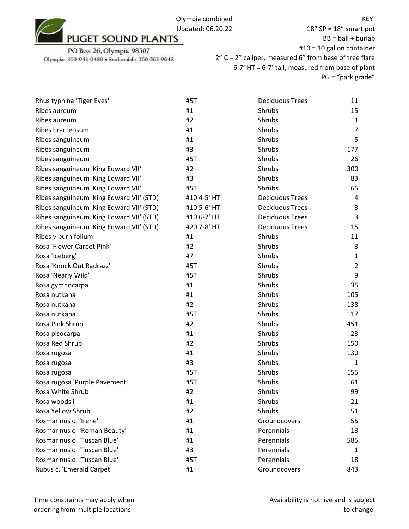KEY:

PO Box 26, Olympia 98507

Olympia: 360-943-0480 · Snohomish: 360-563-9648

| Rhus typhina 'Tiger Eyes'                | #5T         | <b>Deciduous Trees</b> | 11             |
|------------------------------------------|-------------|------------------------|----------------|
| Ribes aureum                             | #1          | Shrubs                 | 15             |
| Ribes aureum                             | #2          | Shrubs                 | $\mathbf{1}$   |
| Ribes bracteosum                         | #1          | Shrubs                 | 7              |
| Ribes sanguineum                         | #1          | <b>Shrubs</b>          | 5              |
| Ribes sanguineum                         | #3          | Shrubs                 | 177            |
| Ribes sanguineum                         | #5T         | Shrubs                 | 26             |
| Ribes sanguineum 'King Edward VII'       | #2          | Shrubs                 | 300            |
| Ribes sanguineum 'King Edward VII'       | #3          | Shrubs                 | 83             |
| Ribes sanguineum 'King Edward VII'       | #5T         | Shrubs                 | 65             |
| Ribes sanguineum 'King Edward VII' (STD) | #10 4-5' HT | <b>Deciduous Trees</b> | 4              |
| Ribes sanguineum 'King Edward VII' (STD) | #10 5-6' HT | <b>Deciduous Trees</b> | 3              |
| Ribes sanguineum 'King Edward VII' (STD) | #10 6-7' HT | <b>Deciduous Trees</b> | 3              |
| Ribes sanguineum 'King Edward VII' (STD) | #20 7-8' HT | <b>Deciduous Trees</b> | 15             |
| Ribes viburnifolium                      | #1          | Shrubs                 | 11             |
| Rosa 'Flower Carpet Pink'                | #2          | Shrubs                 | 3              |
| Rosa 'Iceberg'                           | #7          | Shrubs                 | 1              |
| Rosa 'Knock Out Radrazz'                 | #5T         | Shrubs                 | $\overline{2}$ |
| Rosa 'Nearly Wild'                       | #5T         | Shrubs                 | 9              |
| Rosa gymnocarpa                          | #1          | Shrubs                 | 35             |
| Rosa nutkana                             | #1          | Shrubs                 | 105            |
| Rosa nutkana                             | #2          | Shrubs                 | 138            |
| Rosa nutkana                             | #5T         | Shrubs                 | 117            |
| Rosa Pink Shrub                          | #2          | Shrubs                 | 451            |
| Rosa pisocarpa                           | #1          | Shrubs                 | 23             |
| Rosa Red Shrub                           | #2          | Shrubs                 | 150            |
| Rosa rugosa                              | #1          | Shrubs                 | 130            |
| Rosa rugosa                              | #3          | Shrubs                 | 1              |
| Rosa rugosa                              | #5T         | Shrubs                 | 155            |
| Rosa rugosa 'Purple Pavement'            | #5T         | Shrubs                 | 61             |
| Rosa White Shrub                         | #2          | Shrubs                 | 99             |
| Rosa woodsii                             | #1          | Shrubs                 | 21             |
| Rosa Yellow Shrub                        | #2          | Shrubs                 | 51             |
| Rosmarinus o. 'Irene'                    | #1          | Groundcovers           | 55             |
| Rosmarinus o. 'Roman Beauty'             | #1          | Perennials             | 13             |
| Rosmarinus o. 'Tuscan Blue'              | #1          | Perennials             | 585            |
| Rosmarinus o. 'Tuscan Blue'              | #3          | Perennials             | 1              |
| Rosmarinus o. 'Tuscan Blue'              | #5T         | Perennials             | 18             |
| Rubus c. 'Emerald Carpet'                | #1          | Groundcovers           | 843            |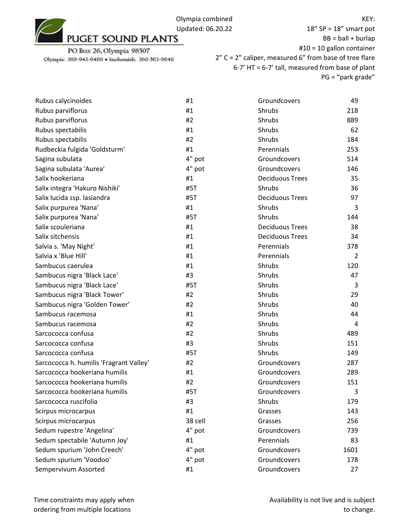18" SP = 18" smart pot  $BB = ball + burlap$ #10 = 10 gallon container 2" C = 2" caliper, measured 6" from base of tree flare 6-7' HT = 6-7' tall, measured from base of plant PG = "park grade"

| Rubus calycinoides                      | #1      | Groundcovers           | 49   |
|-----------------------------------------|---------|------------------------|------|
| Rubus parviflorus                       | #1      | Shrubs                 | 218  |
| Rubus parviflorus                       | #2      | Shrubs                 | 889  |
| Rubus spectabilis                       | #1      | Shrubs                 | 62   |
| Rubus spectabilis                       | #2      | Shrubs                 | 184  |
| Rudbeckia fulgida 'Goldsturm'           | #1      | Perennials             | 253  |
| Sagina subulata                         | 4" pot  | Groundcovers           | 514  |
| Sagina subulata 'Aurea'                 | 4" pot  | Groundcovers           | 146  |
| Salix hookeriana                        | #1      | <b>Deciduous Trees</b> | 35   |
| Salix integra 'Hakuro Nishiki'          | #5T     | Shrubs                 | 36   |
| Salix lucida ssp. lasiandra             | #5T     | <b>Deciduous Trees</b> | 97   |
| Salix purpurea 'Nana'                   | #1      | Shrubs                 | 3    |
| Salix purpurea 'Nana'                   | #5T     | Shrubs                 | 144  |
| Salix scouleriana                       | #1      | <b>Deciduous Trees</b> | 38   |
| Salix sitchensis                        | #1      | <b>Deciduous Trees</b> | 34   |
| Salvia s. 'May Night'                   | #1      | Perennials             | 378  |
| Salvia x 'Blue Hill'                    | #1      | Perennials             | 2    |
| Sambucus caerulea                       | #1      | Shrubs                 | 120  |
| Sambucus nigra 'Black Lace'             | #3      | Shrubs                 | 47   |
| Sambucus nigra 'Black Lace'             | #5T     | Shrubs                 | 3    |
| Sambucus nigra 'Black Tower'            | #2      | Shrubs                 | 29   |
| Sambucus nigra 'Golden Tower'           | #2      | Shrubs                 | 40   |
| Sambucus racemosa                       | #1      | Shrubs                 | 44   |
| Sambucus racemosa                       | #2      | Shrubs                 | 4    |
| Sarcococca confusa                      | #2      | Shrubs                 | 489  |
| Sarcococca confusa                      | #3      | Shrubs                 | 151  |
| Sarcococca confusa                      | #5T     | Shrubs                 | 149  |
| Sarcococca h. humilis 'Fragrant Valley' | #2      | Groundcovers           | 287  |
| Sarcococca hookeriana humilis           | #1      | Groundcovers           | 289  |
| Sarcococca hookeriana humilis           | #2      | Groundcovers           | 151  |
| Sarcococca hookeriana humilis           | #5T     | Groundcovers           | 3    |
| Sarcococca ruscifolia                   | #3      | Shrubs                 | 179  |
| Scirpus microcarpus                     | #1      | Grasses                | 143  |
| Scirpus microcarpus                     | 38 cell | Grasses                | 256  |
| Sedum rupestre 'Angelina'               | 4" pot  | Groundcovers           | 739  |
| Sedum spectabile 'Autumn Joy'           | #1      | Perennials             | 83   |
| Sedum spurium 'John Creech'             | 4" pot  | Groundcovers           | 1601 |
| Sedum spurium 'Voodoo'                  | 4" pot  | Groundcovers           | 178  |
| Sempervivum Assorted                    | #1      | Groundcovers           | 27   |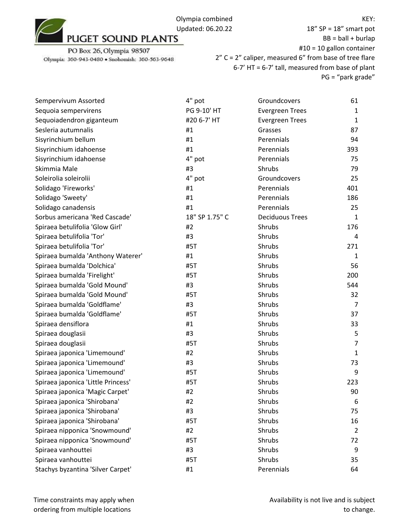

18" SP = 18" smart pot  $BB = ball + burlap$ #10 = 10 gallon container 2" C = 2" caliper, measured 6" from base of tree flare 6-7' HT = 6-7' tall, measured from base of plant PG = "park grade"

| Sempervivum Assorted               | 4" pot         | Groundcovers           | 61             |
|------------------------------------|----------------|------------------------|----------------|
| Sequoia sempervirens               | PG 9-10' HT    | <b>Evergreen Trees</b> | 1              |
| Sequoiadendron giganteum           | #20 6-7' HT    | <b>Evergreen Trees</b> | 1              |
| Sesleria autumnalis                | #1             | Grasses                | 87             |
| Sisyrinchium bellum                | #1             | Perennials             | 94             |
| Sisyrinchium idahoense             | #1             | Perennials             | 393            |
| Sisyrinchium idahoense             | 4" pot         | Perennials             | 75             |
| Skimmia Male                       | #3             | Shrubs                 | 79             |
| Soleirolia soleirolii              | 4" pot         | Groundcovers           | 25             |
| Solidago 'Fireworks'               | #1             | Perennials             | 401            |
| Solidago 'Sweety'                  | #1             | Perennials             | 186            |
| Solidago canadensis                | #1             | Perennials             | 25             |
| Sorbus americana 'Red Cascade'     | 18" SP 1.75" C | <b>Deciduous Trees</b> | $\mathbf{1}$   |
| Spiraea betulifolia 'Glow Girl'    | #2             | Shrubs                 | 176            |
| Spiraea betulifolia 'Tor'          | #3             | Shrubs                 | 4              |
| Spiraea betulifolia 'Tor'          | #5T            | Shrubs                 | 271            |
| Spiraea bumalda 'Anthony Waterer'  | #1             | Shrubs                 | 1              |
| Spiraea bumalda 'Dolchica'         | #5T            | Shrubs                 | 56             |
| Spiraea bumalda 'Firelight'        | #5T            | Shrubs                 | 200            |
| Spiraea bumalda 'Gold Mound'       | #3             | Shrubs                 | 544            |
| Spiraea bumalda 'Gold Mound'       | #5T            | Shrubs                 | 32             |
| Spiraea bumalda 'Goldflame'        | #3             | Shrubs                 | $\overline{7}$ |
| Spiraea bumalda 'Goldflame'        | #5T            | Shrubs                 | 37             |
| Spiraea densiflora                 | #1             | Shrubs                 | 33             |
| Spiraea douglasii                  | #3             | Shrubs                 | 5              |
| Spiraea douglasii                  | #5T            | Shrubs                 | 7              |
| Spiraea japonica 'Limemound'       | #2             | Shrubs                 | 1              |
| Spiraea japonica 'Limemound'       | #3             | Shrubs                 | 73             |
| Spiraea japonica 'Limemound'       | #5T            | Shrubs                 | 9              |
| Spiraea japonica 'Little Princess' | #5T            | Shrubs                 | 223            |
| Spiraea japonica 'Magic Carpet'    | #2             | Shrubs                 | 90             |
| Spiraea japonica 'Shirobana'       | #2             | Shrubs                 | 6              |
| Spiraea japonica 'Shirobana'       | #3             | Shrubs                 | 75             |
| Spiraea japonica 'Shirobana'       | #5T            | Shrubs                 | 16             |
| Spiraea nipponica 'Snowmound'      | #2             | Shrubs                 | 2              |
| Spiraea nipponica 'Snowmound'      | #5T            | Shrubs                 | 72             |
| Spiraea vanhouttei                 | #3             | Shrubs                 | 9              |
| Spiraea vanhouttei                 | #5T            | Shrubs                 | 35             |
| Stachys byzantina 'Silver Carpet'  | #1             | Perennials             | 64             |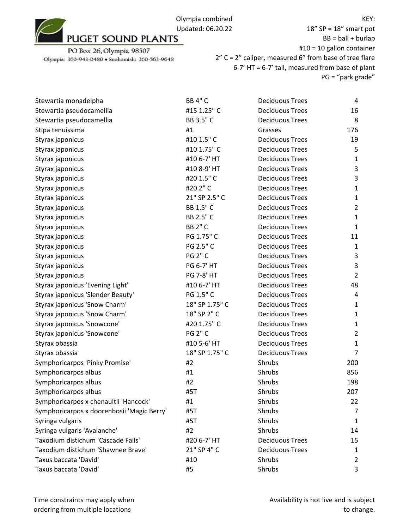18" SP = 18" smart pot  $BB = ball + burlap$ #10 = 10 gallon container 2" C = 2" caliper, measured 6" from base of tree flare 6-7' HT = 6-7' tall, measured from base of plant

PG = "park grade"

| Stewartia monadelpha                       | <b>BB 4" C</b>    | <b>Deciduous Trees</b> | 4              |
|--------------------------------------------|-------------------|------------------------|----------------|
| Stewartia pseudocamellia                   | #15 1.25" C       | <b>Deciduous Trees</b> | 16             |
| Stewartia pseudocamellia                   | BB 3.5" C         | <b>Deciduous Trees</b> | 8              |
| Stipa tenuissima                           | #1                | Grasses                | 176            |
| Styrax japonicus                           | #10 1.5" C        | <b>Deciduous Trees</b> | 19             |
| Styrax japonicus                           | #10 1.75" C       | <b>Deciduous Trees</b> | 5              |
| Styrax japonicus                           | #10 6-7' HT       | <b>Deciduous Trees</b> | $\mathbf{1}$   |
| Styrax japonicus                           | #10 8-9' HT       | <b>Deciduous Trees</b> | 3              |
| Styrax japonicus                           | #20 1.5" C        | <b>Deciduous Trees</b> | 3              |
| Styrax japonicus                           | #202"C            | <b>Deciduous Trees</b> | $\mathbf{1}$   |
| Styrax japonicus                           | 21" SP 2.5" C     | <b>Deciduous Trees</b> | $\mathbf{1}$   |
| Styrax japonicus                           | BB 1.5" C         | <b>Deciduous Trees</b> | $\overline{2}$ |
| Styrax japonicus                           | BB 2.5" C         | <b>Deciduous Trees</b> | $\mathbf{1}$   |
| Styrax japonicus                           | <b>BB 2" C</b>    | <b>Deciduous Trees</b> | 1              |
| Styrax japonicus                           | PG 1.75" C        | <b>Deciduous Trees</b> | 11             |
| Styrax japonicus                           | PG 2.5" C         | <b>Deciduous Trees</b> | $\mathbf{1}$   |
| Styrax japonicus                           | <b>PG 2" C</b>    | <b>Deciduous Trees</b> | 3              |
| Styrax japonicus                           | PG 6-7' HT        | <b>Deciduous Trees</b> | 3              |
| Styrax japonicus                           | <b>PG 7-8' HT</b> | <b>Deciduous Trees</b> | $\overline{2}$ |
| Styrax japonicus 'Evening Light'           | #10 6-7' HT       | <b>Deciduous Trees</b> | 48             |
| Styrax japonicus 'Slender Beauty'          | PG 1.5" C         | <b>Deciduous Trees</b> | 4              |
| Styrax japonicus 'Snow Charm'              | 18" SP 1.75" C    | <b>Deciduous Trees</b> | $\mathbf{1}$   |
| Styrax japonicus 'Snow Charm'              | 18" SP 2" C       | <b>Deciduous Trees</b> | $\mathbf{1}$   |
| Styrax japonicus 'Snowcone'                | #20 1.75" C       | <b>Deciduous Trees</b> | $\mathbf{1}$   |
| Styrax japonicus 'Snowcone'                | <b>PG 2" C</b>    | <b>Deciduous Trees</b> | $\overline{2}$ |
| Styrax obassia                             | #10 5-6' HT       | <b>Deciduous Trees</b> | 1              |
| Styrax obassia                             | 18" SP 1.75" C    | <b>Deciduous Trees</b> | $\overline{7}$ |
| Symphoricarpos 'Pinky Promise'             | #2                | Shrubs                 | 200            |
| Symphoricarpos albus                       | #1                | Shrubs                 | 856            |
| Symphoricarpos albus                       | #2                | Shrubs                 | 198            |
| Symphoricarpos albus                       | #5T               | Shrubs                 | 207            |
| Symphoricarpos x chenaultii 'Hancock'      | #1                | Shrubs                 | 22             |
| Symphoricarpos x doorenbosii 'Magic Berry' | #5T               | Shrubs                 | 7              |
| Syringa vulgaris                           | #5T               | Shrubs                 | 1              |
| Syringa vulgaris 'Avalanche'               | #2                | Shrubs                 | 14             |
| Taxodium distichum 'Cascade Falls'         | #20 6-7' HT       | <b>Deciduous Trees</b> | 15             |
| Taxodium distichum 'Shawnee Brave'         | 21" SP 4" C       | <b>Deciduous Trees</b> | 1              |
| Taxus baccata 'David'                      | #10               | Shrubs                 | 2              |
| Taxus baccata 'David'                      | #5                | Shrubs                 | 3              |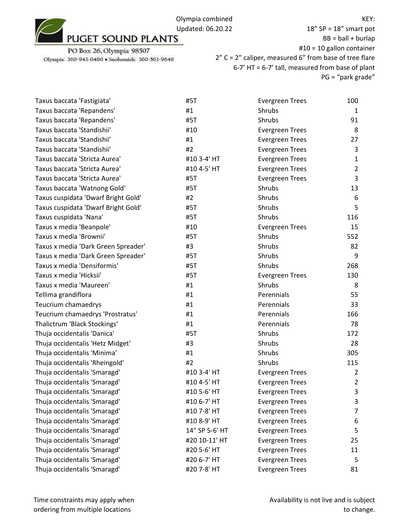

18" SP = 18" smart pot  $BB = ball + burlap$ #10 = 10 gallon container 2" C = 2" caliper, measured 6" from base of tree flare 6-7' HT = 6-7' tall, measured from base of plant PG = "park grade"

| Taxus baccata 'Fastigiata'          | #5T            | <b>Evergreen Trees</b> | 100            |
|-------------------------------------|----------------|------------------------|----------------|
| Taxus baccata 'Repandens'           | #1             | Shrubs                 | $\mathbf{1}$   |
| Taxus baccata 'Repandens'           | #5T            | Shrubs                 | 91             |
| Taxus baccata 'Standishii'          | #10            | <b>Evergreen Trees</b> | 8              |
| Taxus baccata 'Standishii'          | #1             | <b>Evergreen Trees</b> | 27             |
| Taxus baccata 'Standishii'          | #2             | <b>Evergreen Trees</b> | 3              |
| Taxus baccata 'Stricta Aurea'       | #10 3-4' HT    | <b>Evergreen Trees</b> | 1              |
| Taxus baccata 'Stricta Aurea'       | #10 4-5' HT    | <b>Evergreen Trees</b> | 2              |
| Taxus baccata 'Stricta Aurea'       | #5T            | <b>Evergreen Trees</b> | 3              |
| Taxus baccata 'Watnong Gold'        | #5T            | Shrubs                 | 13             |
| Taxus cuspidata 'Dwarf Bright Gold' | #2             | Shrubs                 | 6              |
| Taxus cuspidata 'Dwarf Bright Gold' | #5T            | Shrubs                 | 5              |
| Taxus cuspidata 'Nana'              | #5T            | Shrubs                 | 116            |
| Taxus x media 'Beanpole'            | #10            | <b>Evergreen Trees</b> | 15             |
| Taxus x media 'Brownii'             | #5T            | Shrubs                 | 552            |
| Taxus x media 'Dark Green Spreader' | #3             | Shrubs                 | 82             |
| Taxus x media 'Dark Green Spreader' | #5T            | Shrubs                 | 9              |
| Taxus x media 'Densiformis'         | #5T            | Shrubs                 | 268            |
| Taxus x media 'Hicksii'             | #5T            | <b>Evergreen Trees</b> | 130            |
| Taxus x media 'Maureen'             | #1             | Shrubs                 | 8              |
| Tellima grandiflora                 | #1             | Perennials             | 55             |
| Teucrium chamaedrys                 | #1             | Perennials             | 33             |
| Teucrium chamaedrys 'Prostratus'    | #1             | Perennials             | 166            |
| Thalictrum 'Black Stockings'        | #1             | Perennials             | 78             |
| Thuja occidentalis 'Danica'         | #5T            | Shrubs                 | 172            |
| Thuja occidentalis 'Hetz Midget'    | #3             | Shrubs                 | 28             |
| Thuja occidentalis 'Minima'         | #1             | Shrubs                 | 305            |
| Thuja occidentalis 'Rheingold'      | #2             | Shrubs                 | 115            |
| Thuja occidentalis 'Smaragd'        | #10 3-4' HT    | <b>Evergreen Trees</b> | 2              |
| Thuja occidentalis 'Smaragd'        | #10 4-5' HT    | <b>Evergreen Trees</b> | $\overline{2}$ |
| Thuja occidentalis 'Smaragd'        | #10 5-6' HT    | <b>Evergreen Trees</b> | 3              |
| Thuja occidentalis 'Smaragd'        | #10 6-7' HT    | <b>Evergreen Trees</b> | 3              |
| Thuja occidentalis 'Smaragd'        | #10 7-8' HT    | <b>Evergreen Trees</b> | 7              |
| Thuja occidentalis 'Smaragd'        | #10 8-9' HT    | <b>Evergreen Trees</b> | 6              |
| Thuja occidentalis 'Smaragd'        | 14" SP 5-6' HT | <b>Evergreen Trees</b> | 5              |
| Thuja occidentalis 'Smaragd'        | #20 10-11' HT  | <b>Evergreen Trees</b> | 25             |
| Thuja occidentalis 'Smaragd'        | #20 5-6' HT    | <b>Evergreen Trees</b> | 11             |
| Thuja occidentalis 'Smaragd'        | #20 6-7' HT    | <b>Evergreen Trees</b> | 5              |
| Thuja occidentalis 'Smaragd'        | #20 7-8' HT    | <b>Evergreen Trees</b> | 81             |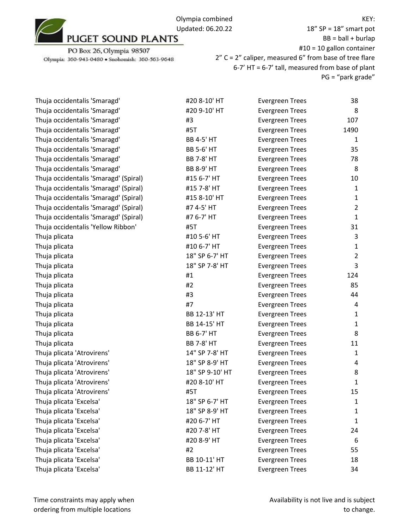

PO Box 26, Olympia 98507 Olympia: 360-943-0480 · Snohomish: 360-563-9648

18" SP = 18" smart pot  $BB = ball + burlap$ #10 = 10 gallon container 2" C = 2" caliper, measured 6" from base of tree flare 6-7' HT = 6-7' tall, measured from base of plant PG = "park grade"

| Thuja occidentalis 'Smaragd'          | #20 8-10' HT      | <b>Evergreen Trees</b> | 38             |
|---------------------------------------|-------------------|------------------------|----------------|
| Thuja occidentalis 'Smaragd'          | #20 9-10' HT      | <b>Evergreen Trees</b> | 8              |
| Thuja occidentalis 'Smaragd'          | #3                | <b>Evergreen Trees</b> | 107            |
| Thuja occidentalis 'Smaragd'          | #5T               | <b>Evergreen Trees</b> | 1490           |
| Thuja occidentalis 'Smaragd'          | <b>BB 4-5' HT</b> | <b>Evergreen Trees</b> | 1              |
| Thuja occidentalis 'Smaragd'          | <b>BB 5-6' HT</b> | <b>Evergreen Trees</b> | 35             |
| Thuja occidentalis 'Smaragd'          | <b>BB 7-8' HT</b> | <b>Evergreen Trees</b> | 78             |
| Thuja occidentalis 'Smaragd'          | <b>BB 8-9' HT</b> | <b>Evergreen Trees</b> | 8              |
| Thuja occidentalis 'Smaragd' (Spiral) | #15 6-7' HT       | <b>Evergreen Trees</b> | 10             |
| Thuja occidentalis 'Smaragd' (Spiral) | #15 7-8' HT       | <b>Evergreen Trees</b> | $\mathbf{1}$   |
| Thuja occidentalis 'Smaragd' (Spiral) | #15 8-10' HT      | <b>Evergreen Trees</b> | $\mathbf{1}$   |
| Thuja occidentalis 'Smaragd' (Spiral) | #7 4-5' HT        | <b>Evergreen Trees</b> | $\overline{2}$ |
| Thuja occidentalis 'Smaragd' (Spiral) | #7 6-7' HT        | <b>Evergreen Trees</b> | $\mathbf{1}$   |
| Thuja occidentalis 'Yellow Ribbon'    | #5T               | <b>Evergreen Trees</b> | 31             |
| Thuja plicata                         | #10 5-6' HT       | <b>Evergreen Trees</b> | 3              |
| Thuja plicata                         | #10 6-7' HT       | <b>Evergreen Trees</b> | $\mathbf{1}$   |
| Thuja plicata                         | 18" SP 6-7' HT    | <b>Evergreen Trees</b> | $\overline{2}$ |
| Thuja plicata                         | 18" SP 7-8' HT    | <b>Evergreen Trees</b> | 3              |
| Thuja plicata                         | #1                | <b>Evergreen Trees</b> | 124            |
| Thuja plicata                         | #2                | <b>Evergreen Trees</b> | 85             |
| Thuja plicata                         | #3                | <b>Evergreen Trees</b> | 44             |
| Thuja plicata                         | #7                | <b>Evergreen Trees</b> | 4              |
| Thuja plicata                         | BB 12-13' HT      | <b>Evergreen Trees</b> | $\mathbf{1}$   |
| Thuja plicata                         | BB 14-15' HT      | <b>Evergreen Trees</b> | $\mathbf{1}$   |
| Thuja plicata                         | <b>BB 6-7' HT</b> | <b>Evergreen Trees</b> | 8              |
| Thuja plicata                         | <b>BB 7-8' HT</b> | <b>Evergreen Trees</b> | 11             |
| Thuja plicata 'Atrovirens'            | 14" SP 7-8' HT    | <b>Evergreen Trees</b> | $\mathbf{1}$   |
| Thuja plicata 'Atrovirens'            | 18" SP 8-9' HT    | <b>Evergreen Trees</b> | 4              |
| Thuja plicata 'Atrovirens'            | 18" SP 9-10' HT   | <b>Evergreen Trees</b> | 8              |
| Thuja plicata 'Atrovirens'            | #20 8-10' HT      | <b>Evergreen Trees</b> | 1              |
| Thuja plicata 'Atrovirens'            | #5T               | <b>Evergreen Trees</b> | 15             |
| Thuja plicata 'Excelsa'               | 18" SP 6-7' HT    | <b>Evergreen Trees</b> | 1              |
| Thuja plicata 'Excelsa'               | 18" SP 8-9' HT    | <b>Evergreen Trees</b> | 1              |
| Thuja plicata 'Excelsa'               | #20 6-7' HT       | <b>Evergreen Trees</b> | 1              |
| Thuja plicata 'Excelsa'               | #20 7-8' HT       | <b>Evergreen Trees</b> | 24             |
| Thuja plicata 'Excelsa'               | #20 8-9' HT       | <b>Evergreen Trees</b> | 6              |
| Thuja plicata 'Excelsa'               | #2                | <b>Evergreen Trees</b> | 55             |
| Thuja plicata 'Excelsa'               | BB 10-11' HT      | <b>Evergreen Trees</b> | 18             |
| Thuja plicata 'Excelsa'               | BB 11-12' HT      | <b>Evergreen Trees</b> | 34             |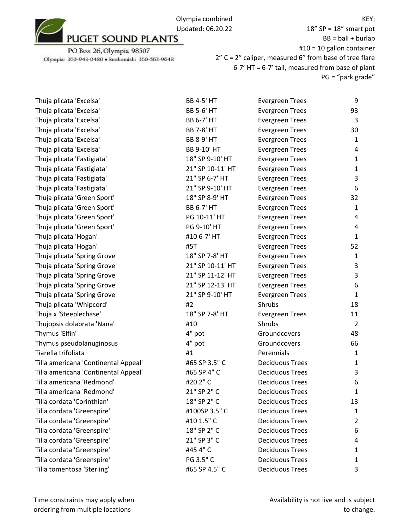

PO Box 26, Olympia 98507 Olympia: 360-943-0480 · Snohomish: 360-563-9648

18" SP = 18" smart pot  $BB = ball + burlap$ #10 = 10 gallon container 2" C = 2" caliper, measured 6" from base of tree flare 6-7' HT = 6-7' tall, measured from base of plant PG = "park grade"

| Thuja plicata 'Excelsa'              | <b>BB 4-5' HT</b> | <b>Evergreen Trees</b> | 9              |
|--------------------------------------|-------------------|------------------------|----------------|
| Thuja plicata 'Excelsa'              | <b>BB 5-6' HT</b> | <b>Evergreen Trees</b> | 93             |
| Thuja plicata 'Excelsa'              | <b>BB 6-7' HT</b> | <b>Evergreen Trees</b> | 3              |
| Thuja plicata 'Excelsa'              | <b>BB 7-8' HT</b> | <b>Evergreen Trees</b> | 30             |
| Thuja plicata 'Excelsa'              | <b>BB 8-9' HT</b> | <b>Evergreen Trees</b> | $\mathbf{1}$   |
| Thuja plicata 'Excelsa'              | BB 9-10' HT       | <b>Evergreen Trees</b> | 4              |
| Thuja plicata 'Fastigiata'           | 18" SP 9-10' HT   | <b>Evergreen Trees</b> | $\mathbf{1}$   |
| Thuja plicata 'Fastigiata'           | 21" SP 10-11' HT  | <b>Evergreen Trees</b> | $\mathbf{1}$   |
| Thuja plicata 'Fastigiata'           | 21" SP 6-7' HT    | <b>Evergreen Trees</b> | 3              |
| Thuja plicata 'Fastigiata'           | 21" SP 9-10' HT   | <b>Evergreen Trees</b> | 6              |
| Thuja plicata 'Green Sport'          | 18" SP 8-9' HT    | <b>Evergreen Trees</b> | 32             |
| Thuja plicata 'Green Sport'          | <b>BB 6-7' HT</b> | <b>Evergreen Trees</b> | $\mathbf{1}$   |
| Thuja plicata 'Green Sport'          | PG 10-11' HT      | <b>Evergreen Trees</b> | 4              |
| Thuja plicata 'Green Sport'          | PG 9-10' HT       | <b>Evergreen Trees</b> | 4              |
| Thuja plicata 'Hogan'                | #10 6-7' HT       | <b>Evergreen Trees</b> | $\mathbf{1}$   |
| Thuja plicata 'Hogan'                | #5T               | <b>Evergreen Trees</b> | 52             |
| Thuja plicata 'Spring Grove'         | 18" SP 7-8' HT    | <b>Evergreen Trees</b> | $\mathbf{1}$   |
| Thuja plicata 'Spring Grove'         | 21" SP 10-11' HT  | <b>Evergreen Trees</b> | 3              |
| Thuja plicata 'Spring Grove'         | 21" SP 11-12' HT  | <b>Evergreen Trees</b> | 3              |
| Thuja plicata 'Spring Grove'         | 21" SP 12-13' HT  | <b>Evergreen Trees</b> | 6              |
| Thuja plicata 'Spring Grove'         | 21" SP 9-10' HT   | <b>Evergreen Trees</b> | $\mathbf{1}$   |
| Thuja plicata 'Whipcord'             | #2                | Shrubs                 | 18             |
| Thuja x 'Steeplechase'               | 18" SP 7-8' HT    | <b>Evergreen Trees</b> | 11             |
| Thujopsis dolabrata 'Nana'           | #10               | Shrubs                 | $\overline{2}$ |
| Thymus 'Elfin'                       | 4" pot            | Groundcovers           | 48             |
| Thymus pseudolanuginosus             | 4" pot            | Groundcovers           | 66             |
| Tiarella trifoliata                  | #1                | Perennials             | $\mathbf{1}$   |
| Tilia americana 'Continental Appeal' | #65 SP 3.5" C     | <b>Deciduous Trees</b> | $\mathbf{1}$   |
| Tilia americana 'Continental Appeal' | #65 SP 4" C       | <b>Deciduous Trees</b> | 3              |
| Tilia americana 'Redmond'            | #202"C            | <b>Deciduous Trees</b> | 6              |
| Tilia americana 'Redmond'            | 21" SP 2" C       | <b>Deciduous Trees</b> | $\mathbf{1}$   |
| Tilia cordata 'Corinthian'           | 18" SP 2" C       | <b>Deciduous Trees</b> | 13             |
| Tilia cordata 'Greenspire'           | #100SP 3.5" C     | <b>Deciduous Trees</b> | 1              |
| Tilia cordata 'Greenspire'           | #10 1.5" C        | <b>Deciduous Trees</b> | 2              |
| Tilia cordata 'Greenspire'           | 18" SP 2" C       | <b>Deciduous Trees</b> | 6              |
| Tilia cordata 'Greenspire'           | 21" SP 3" C       | <b>Deciduous Trees</b> | 4              |
| Tilia cordata 'Greenspire'           | #45 4" C          | <b>Deciduous Trees</b> | 1              |
| Tilia cordata 'Greenspire'           | PG 3.5" C         | <b>Deciduous Trees</b> | 1              |
| Tilia tomentosa 'Sterling'           | #65 SP 4.5" C     | <b>Deciduous Trees</b> | 3              |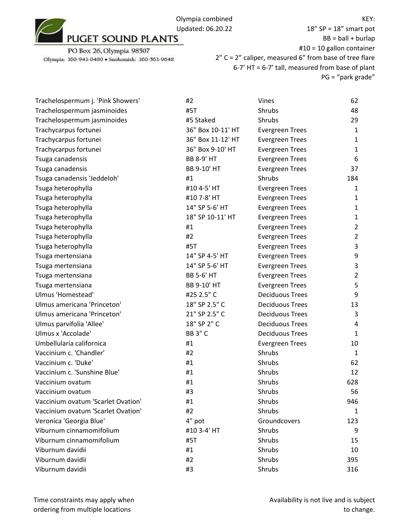18" SP = 18" smart pot  $BB = ball + burlap$ #10 = 10 gallon container 2" C = 2" caliper, measured 6" from base of tree flare 6-7' HT = 6-7' tall, measured from base of plant PG = "park grade"

| Trachelospermum j. 'Pink Showers'  | #2                | Vines                  | 62             |
|------------------------------------|-------------------|------------------------|----------------|
| Trachelospermum jasminoides        | #5T               | Shrubs                 | 48             |
| Trachelospermum jasminoides        | #5 Staked         | Shrubs                 | 29             |
| Trachycarpus fortunei              | 36" Box 10-11' HT | <b>Evergreen Trees</b> | $\mathbf{1}$   |
| Trachycarpus fortunei              | 36" Box 11-12' HT | <b>Evergreen Trees</b> | $\mathbf{1}$   |
| Trachycarpus fortunei              | 36" Box 9-10' HT  | <b>Evergreen Trees</b> | $\mathbf{1}$   |
| Tsuga canadensis                   | <b>BB 8-9' HT</b> | <b>Evergreen Trees</b> | 6              |
| Tsuga canadensis                   | BB 9-10' HT       | <b>Evergreen Trees</b> | 37             |
| Tsuga canadensis 'Jeddeloh'        | #1                | Shrubs                 | 184            |
| Tsuga heterophylla                 | #10 4-5' HT       | <b>Evergreen Trees</b> | $\mathbf{1}$   |
| Tsuga heterophylla                 | #10 7-8' HT       | <b>Evergreen Trees</b> | $\mathbf{1}$   |
| Tsuga heterophylla                 | 14" SP 5-6' HT    | <b>Evergreen Trees</b> | 1              |
| Tsuga heterophylla                 | 18" SP 10-11' HT  | <b>Evergreen Trees</b> | $\mathbf{1}$   |
| Tsuga heterophylla                 | #1                | <b>Evergreen Trees</b> | $\overline{2}$ |
| Tsuga heterophylla                 | #2                | <b>Evergreen Trees</b> | $\overline{2}$ |
| Tsuga heterophylla                 | #5T               | <b>Evergreen Trees</b> | 3              |
| Tsuga mertensiana                  | 14" SP 4-5' HT    | <b>Evergreen Trees</b> | 9              |
| Tsuga mertensiana                  | 14" SP 5-6' HT    | <b>Evergreen Trees</b> | 3              |
| Tsuga mertensiana                  | <b>BB 5-6' HT</b> | <b>Evergreen Trees</b> | $\overline{2}$ |
| Tsuga mertensiana                  | BB 9-10' HT       | <b>Evergreen Trees</b> | 5              |
| Ulmus 'Homestead'                  | #25 2.5" C        | <b>Deciduous Trees</b> | 9              |
| Ulmus americana 'Princeton'        | 18" SP 2.5" C     | <b>Deciduous Trees</b> | 13             |
| Ulmus americana 'Princeton'        | 21" SP 2.5" C     | <b>Deciduous Trees</b> | 3              |
| Ulmus parvifolia 'Allee'           | 18" SP 2" C       | <b>Deciduous Trees</b> | 4              |
| Ulmus x 'Accolade'                 | <b>BB 3" C</b>    | <b>Deciduous Trees</b> | $\mathbf{1}$   |
| Umbellularia californica           | #1                | <b>Evergreen Trees</b> | 10             |
| Vaccinium c. 'Chandler'            | #2                | Shrubs                 | $\mathbf{1}$   |
| Vaccinium c. 'Duke'                | #1                | Shrubs                 | 62             |
| Vaccinium c. 'Sunshine Blue'       | #1                | Shrubs                 | 12             |
| Vaccinium ovatum                   | #1                | Shrubs                 | 628            |
| Vaccinium ovatum                   | #3                | Shrubs                 | 56             |
| Vaccinium ovatum 'Scarlet Ovation' | #1                | Shrubs                 | 946            |
| Vaccinium ovatum 'Scarlet Ovation' | #2                | Shrubs                 | 1              |
| Veronica 'Georgia Blue'            | 4" pot            | Groundcovers           | 123            |
| Viburnum cinnamomifolium           | #10 3-4' HT       | Shrubs                 | 9              |
| Viburnum cinnamomifolium           | #5T               | Shrubs                 | 15             |
| Viburnum davidii                   | #1                | Shrubs                 | 10             |
| Viburnum davidii                   | #2                | Shrubs                 | 395            |
| Viburnum davidii                   | #3                | Shrubs                 | 316            |